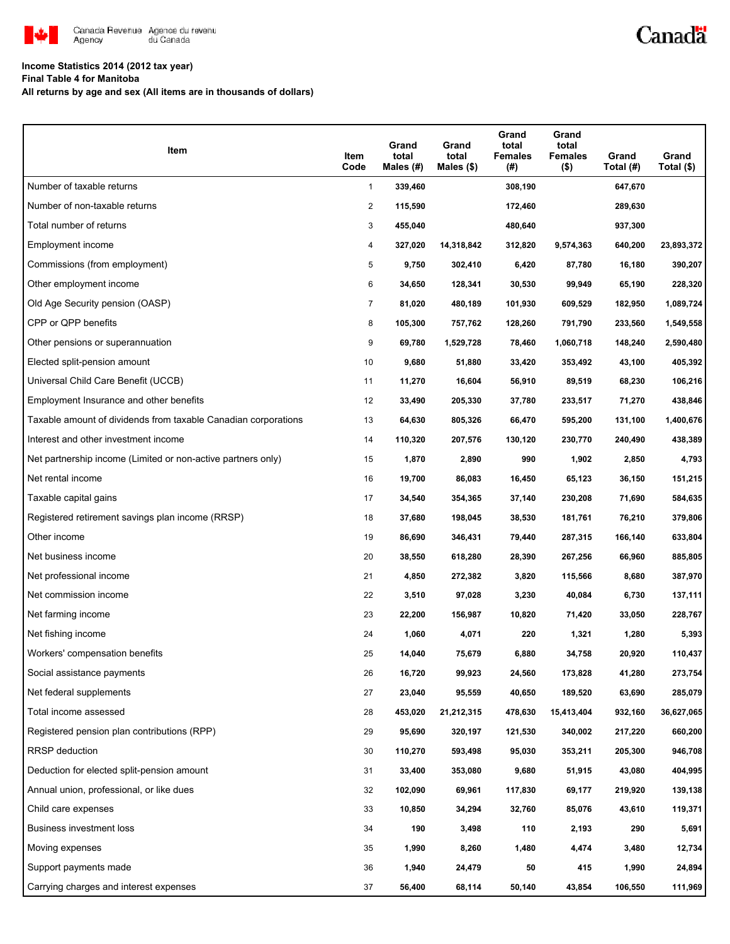

# Canadä

## **Income Statistics 2014 (2012 tax year)**

**Final Table 4 for Manitoba**

**All returns by age and sex (All items are in thousands of dollars)**

| Item                                                           | Item<br>Code   | Grand<br>total<br>Males (#) | Grand<br>total<br>Males $($)$ | Grand<br>total<br><b>Females</b><br>(#) | Grand<br>total<br><b>Females</b><br>$($ \$) | Grand<br>Total (#) | Grand<br>Total (\$) |
|----------------------------------------------------------------|----------------|-----------------------------|-------------------------------|-----------------------------------------|---------------------------------------------|--------------------|---------------------|
| Number of taxable returns                                      | $\mathbf{1}$   | 339,460                     |                               | 308,190                                 |                                             | 647,670            |                     |
| Number of non-taxable returns                                  | 2              | 115,590                     |                               | 172,460                                 |                                             | 289,630            |                     |
| Total number of returns                                        | 3              | 455,040                     |                               | 480,640                                 |                                             | 937,300            |                     |
| Employment income                                              | 4              | 327,020                     | 14,318,842                    | 312,820                                 | 9,574,363                                   | 640,200            | 23,893,372          |
| Commissions (from employment)                                  | 5              | 9,750                       | 302,410                       | 6,420                                   | 87,780                                      | 16,180             | 390,207             |
| Other employment income                                        | 6              | 34,650                      | 128,341                       | 30,530                                  | 99,949                                      | 65,190             | 228,320             |
| Old Age Security pension (OASP)                                | $\overline{7}$ | 81,020                      | 480,189                       | 101,930                                 | 609,529                                     | 182,950            | 1,089,724           |
| CPP or QPP benefits                                            | 8              | 105,300                     | 757,762                       | 128,260                                 | 791,790                                     | 233,560            | 1,549,558           |
| Other pensions or superannuation                               | 9              | 69,780                      | 1,529,728                     | 78,460                                  | 1,060,718                                   | 148,240            | 2,590,480           |
| Elected split-pension amount                                   | 10             | 9,680                       | 51,880                        | 33,420                                  | 353,492                                     | 43,100             | 405,392             |
| Universal Child Care Benefit (UCCB)                            | 11             | 11,270                      | 16,604                        | 56,910                                  | 89,519                                      | 68,230             | 106,216             |
| Employment Insurance and other benefits                        | 12             | 33,490                      | 205,330                       | 37,780                                  | 233,517                                     | 71,270             | 438,846             |
| Taxable amount of dividends from taxable Canadian corporations | 13             | 64,630                      | 805,326                       | 66,470                                  | 595,200                                     | 131,100            | 1,400,676           |
| Interest and other investment income                           | 14             | 110,320                     | 207,576                       | 130,120                                 | 230,770                                     | 240,490            | 438,389             |
| Net partnership income (Limited or non-active partners only)   | 15             | 1,870                       | 2,890                         | 990                                     | 1,902                                       | 2,850              | 4,793               |
| Net rental income                                              | 16             | 19,700                      | 86,083                        | 16,450                                  | 65,123                                      | 36,150             | 151,215             |
| Taxable capital gains                                          | 17             | 34,540                      | 354,365                       | 37,140                                  | 230,208                                     | 71,690             | 584,635             |
| Registered retirement savings plan income (RRSP)               | 18             | 37,680                      | 198,045                       | 38,530                                  | 181,761                                     | 76,210             | 379,806             |
| Other income                                                   | 19             | 86,690                      | 346,431                       | 79,440                                  | 287,315                                     | 166,140            | 633,804             |
| Net business income                                            | 20             | 38,550                      | 618,280                       | 28,390                                  | 267,256                                     | 66,960             | 885,805             |
| Net professional income                                        | 21             | 4,850                       | 272,382                       | 3,820                                   | 115,566                                     | 8,680              | 387,970             |
| Net commission income                                          | 22             | 3,510                       | 97,028                        | 3,230                                   | 40,084                                      | 6,730              | 137,111             |
| Net farming income                                             | 23             | 22,200                      | 156,987                       | 10,820                                  | 71,420                                      | 33,050             | 228,767             |
| Net fishing income                                             | 24             | 1,060                       | 4,071                         | 220                                     | 1,321                                       | 1,280              | 5,393               |
| Workers' compensation benefits                                 | 25             | 14,040                      | 75,679                        | 6,880                                   | 34,758                                      | 20,920             | 110,437             |
| Social assistance payments                                     | 26             | 16,720                      | 99,923                        | 24,560                                  | 173,828                                     | 41,280             | 273,754             |
| Net federal supplements                                        | 27             | 23,040                      | 95,559                        | 40,650                                  | 189,520                                     | 63,690             | 285,079             |
| Total income assessed                                          | 28             | 453,020                     | 21,212,315                    | 478,630                                 | 15,413,404                                  | 932,160            | 36,627,065          |
| Registered pension plan contributions (RPP)                    | 29             | 95,690                      | 320,197                       | 121,530                                 | 340,002                                     | 217,220            | 660,200             |
| <b>RRSP</b> deduction                                          | 30             | 110,270                     | 593,498                       | 95,030                                  | 353,211                                     | 205,300            | 946,708             |
| Deduction for elected split-pension amount                     | 31             | 33,400                      | 353,080                       | 9,680                                   | 51,915                                      | 43,080             | 404,995             |
| Annual union, professional, or like dues                       | 32             | 102,090                     | 69,961                        | 117,830                                 | 69,177                                      | 219,920            | 139,138             |
| Child care expenses                                            | 33             | 10,850                      | 34,294                        | 32,760                                  | 85,076                                      | 43,610             | 119,371             |
| Business investment loss                                       | 34             | 190                         | 3,498                         | 110                                     | 2,193                                       | 290                | 5,691               |
| Moving expenses                                                | 35             | 1,990                       | 8,260                         | 1,480                                   | 4,474                                       | 3,480              | 12,734              |
| Support payments made                                          | 36             | 1,940                       | 24,479                        | 50                                      | 415                                         | 1,990              | 24,894              |
| Carrying charges and interest expenses                         | 37             | 56,400                      | 68,114                        | 50,140                                  | 43,854                                      | 106,550            | 111,969             |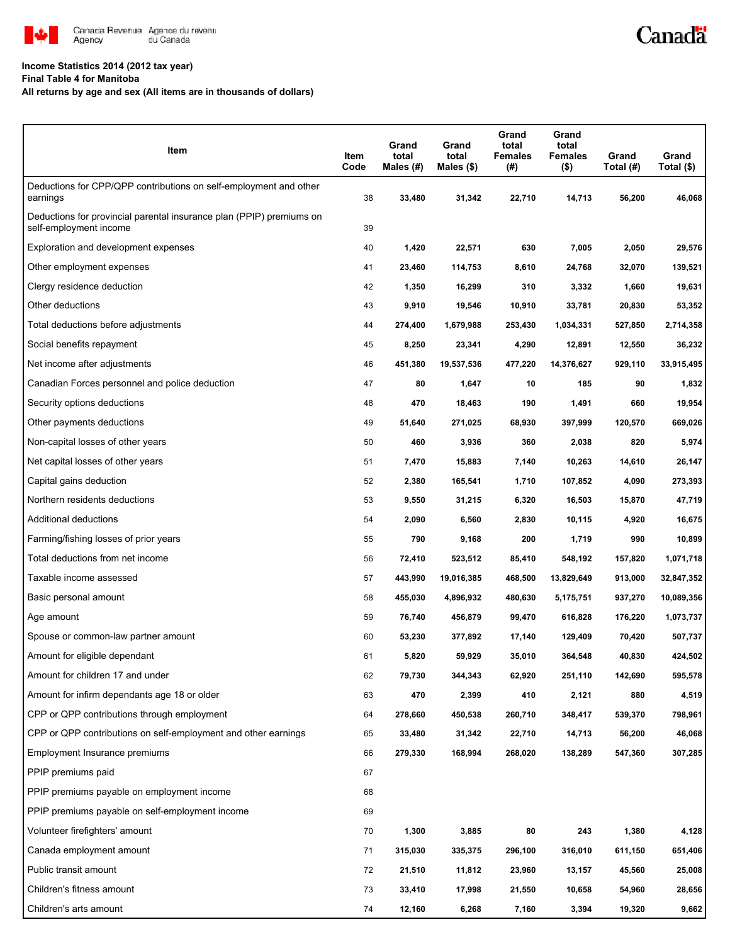

#### **Income Statistics 2014 (2012 tax year)**

**Final Table 4 for Manitoba**

**All returns by age and sex (All items are in thousands of dollars)**

| Item                                                                                           | Item<br>Code | Grand<br>total<br>Males (#) | Grand<br>total<br>Males $($)$ | Grand<br>total<br><b>Females</b><br>(#) | Grand<br>total<br>Females<br>$($ \$) | Grand<br>Total (#) | Grand<br>Total (\$) |
|------------------------------------------------------------------------------------------------|--------------|-----------------------------|-------------------------------|-----------------------------------------|--------------------------------------|--------------------|---------------------|
| Deductions for CPP/QPP contributions on self-employment and other<br>earnings                  | 38           | 33,480                      | 31,342                        | 22,710                                  | 14,713                               | 56,200             | 46,068              |
| Deductions for provincial parental insurance plan (PPIP) premiums on<br>self-employment income | 39           |                             |                               |                                         |                                      |                    |                     |
| Exploration and development expenses                                                           | 40           | 1,420                       | 22,571                        | 630                                     | 7,005                                | 2,050              | 29,576              |
| Other employment expenses                                                                      | 41           | 23,460                      | 114,753                       | 8,610                                   | 24,768                               | 32,070             | 139,521             |
| Clergy residence deduction                                                                     | 42           | 1,350                       | 16,299                        | 310                                     | 3,332                                | 1,660              | 19,631              |
| Other deductions                                                                               | 43           | 9,910                       | 19,546                        | 10,910                                  | 33,781                               | 20,830             | 53,352              |
| Total deductions before adjustments                                                            | 44           | 274,400                     | 1,679,988                     | 253,430                                 | 1,034,331                            | 527,850            | 2,714,358           |
| Social benefits repayment                                                                      | 45           | 8,250                       | 23,341                        | 4,290                                   | 12,891                               | 12,550             | 36,232              |
| Net income after adjustments                                                                   | 46           | 451,380                     | 19,537,536                    | 477,220                                 | 14,376,627                           | 929,110            | 33,915,495          |
| Canadian Forces personnel and police deduction                                                 | 47           | 80                          | 1,647                         | 10                                      | 185                                  | 90                 | 1,832               |
| Security options deductions                                                                    | 48           | 470                         | 18,463                        | 190                                     | 1,491                                | 660                | 19,954              |
| Other payments deductions                                                                      | 49           | 51,640                      | 271,025                       | 68,930                                  | 397,999                              | 120,570            | 669,026             |
| Non-capital losses of other years                                                              | 50           | 460                         | 3,936                         | 360                                     | 2,038                                | 820                | 5,974               |
| Net capital losses of other years                                                              | 51           | 7,470                       | 15,883                        | 7,140                                   | 10,263                               | 14,610             | 26,147              |
| Capital gains deduction                                                                        | 52           | 2,380                       | 165,541                       | 1,710                                   | 107,852                              | 4,090              | 273,393             |
| Northern residents deductions                                                                  | 53           | 9,550                       | 31,215                        | 6,320                                   | 16,503                               | 15,870             | 47,719              |
| Additional deductions                                                                          | 54           | 2,090                       | 6,560                         | 2,830                                   | 10,115                               | 4,920              | 16,675              |
| Farming/fishing losses of prior years                                                          | 55           | 790                         | 9,168                         | 200                                     | 1,719                                | 990                | 10,899              |
| Total deductions from net income                                                               | 56           | 72,410                      | 523,512                       | 85,410                                  | 548,192                              | 157,820            | 1,071,718           |
| Taxable income assessed                                                                        | 57           | 443,990                     | 19,016,385                    | 468,500                                 | 13,829,649                           | 913,000            | 32,847,352          |
| Basic personal amount                                                                          | 58           | 455,030                     | 4,896,932                     | 480,630                                 | 5,175,751                            | 937,270            | 10,089,356          |
| Age amount                                                                                     | 59           | 76,740                      | 456,879                       | 99,470                                  | 616,828                              | 176,220            | 1,073,737           |
| Spouse or common-law partner amount                                                            | 60           | 53,230                      | 377,892                       | 17,140                                  | 129,409                              | 70,420             | 507,737             |
| Amount for eligible dependant                                                                  | 61           | 5,820                       | 59,929                        | 35,010                                  | 364,548                              | 40,830             | 424,502             |
| Amount for children 17 and under                                                               | 62           | 79,730                      | 344,343                       | 62,920                                  | 251,110                              | 142,690            | 595,578             |
| Amount for infirm dependants age 18 or older                                                   | 63           | 470                         | 2,399                         | 410                                     | 2,121                                | 880                | 4,519               |
| CPP or QPP contributions through employment                                                    | 64           | 278,660                     | 450,538                       | 260,710                                 | 348,417                              | 539,370            | 798,961             |
| CPP or QPP contributions on self-employment and other earnings                                 | 65           | 33,480                      | 31,342                        | 22,710                                  | 14,713                               | 56,200             | 46,068              |
| Employment Insurance premiums                                                                  | 66           | 279,330                     | 168,994                       | 268,020                                 | 138,289                              | 547,360            | 307,285             |
| PPIP premiums paid                                                                             | 67           |                             |                               |                                         |                                      |                    |                     |
| PPIP premiums payable on employment income                                                     | 68           |                             |                               |                                         |                                      |                    |                     |
| PPIP premiums payable on self-employment income                                                | 69           |                             |                               |                                         |                                      |                    |                     |
| Volunteer firefighters' amount                                                                 | 70           | 1,300                       | 3,885                         | 80                                      | 243                                  | 1,380              | 4,128               |
| Canada employment amount                                                                       | 71           | 315,030                     | 335,375                       | 296,100                                 | 316,010                              | 611,150            | 651,406             |
| Public transit amount                                                                          | 72           | 21,510                      | 11,812                        | 23,960                                  | 13,157                               | 45,560             | 25,008              |
| Children's fitness amount                                                                      | 73           | 33,410                      | 17,998                        | 21,550                                  | 10,658                               | 54,960             | 28,656              |
| Children's arts amount                                                                         | 74           | 12,160                      | 6,268                         | 7,160                                   | 3,394                                | 19,320             | 9,662               |

Canadä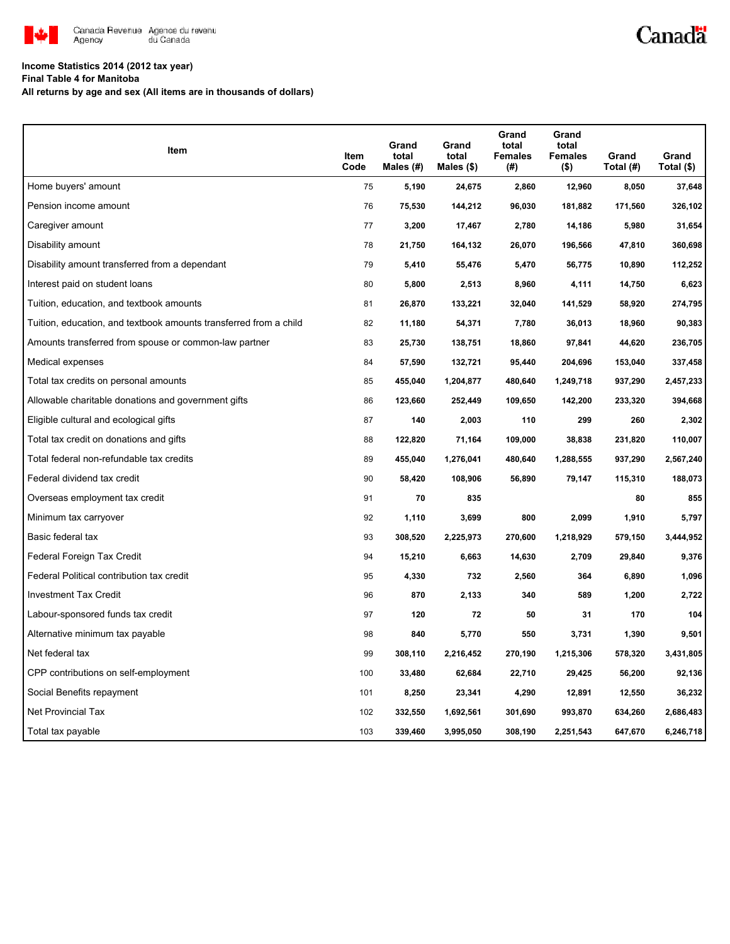

# Canadä

## **Income Statistics 2014 (2012 tax year)**

**Final Table 4 for Manitoba**

**All returns by age and sex (All items are in thousands of dollars)**

| Item                                                              | Item<br>Code | Grand<br>total<br>Males $(H)$ | Grand<br>total<br>Males (\$) | Grand<br>total<br><b>Females</b><br>(#) | Grand<br>total<br><b>Females</b><br>$($ \$) | Grand<br>Total (#) | Grand<br>Total (\$) |
|-------------------------------------------------------------------|--------------|-------------------------------|------------------------------|-----------------------------------------|---------------------------------------------|--------------------|---------------------|
| Home buyers' amount                                               | 75           | 5,190                         | 24,675                       | 2,860                                   | 12,960                                      | 8,050              | 37,648              |
| Pension income amount                                             | 76           | 75,530                        | 144,212                      | 96,030                                  | 181,882                                     | 171,560            | 326,102             |
| Caregiver amount                                                  | 77           | 3,200                         | 17,467                       | 2,780                                   | 14,186                                      | 5,980              | 31,654              |
| Disability amount                                                 | 78           | 21,750                        | 164,132                      | 26,070                                  | 196,566                                     | 47,810             | 360,698             |
| Disability amount transferred from a dependant                    | 79           | 5,410                         | 55,476                       | 5,470                                   | 56,775                                      | 10,890             | 112,252             |
| Interest paid on student loans                                    | 80           | 5,800                         | 2,513                        | 8,960                                   | 4,111                                       | 14,750             | 6,623               |
| Tuition, education, and textbook amounts                          | 81           | 26,870                        | 133,221                      | 32,040                                  | 141,529                                     | 58,920             | 274,795             |
| Tuition, education, and textbook amounts transferred from a child | 82           | 11,180                        | 54,371                       | 7,780                                   | 36,013                                      | 18,960             | 90,383              |
| Amounts transferred from spouse or common-law partner             | 83           | 25,730                        | 138,751                      | 18,860                                  | 97,841                                      | 44,620             | 236,705             |
| Medical expenses                                                  | 84           | 57,590                        | 132,721                      | 95,440                                  | 204,696                                     | 153,040            | 337,458             |
| Total tax credits on personal amounts                             | 85           | 455,040                       | 1,204,877                    | 480,640                                 | 1,249,718                                   | 937,290            | 2,457,233           |
| Allowable charitable donations and government gifts               | 86           | 123,660                       | 252,449                      | 109,650                                 | 142,200                                     | 233,320            | 394,668             |
| Eligible cultural and ecological gifts                            | 87           | 140                           | 2,003                        | 110                                     | 299                                         | 260                | 2,302               |
| Total tax credit on donations and gifts                           | 88           | 122,820                       | 71,164                       | 109,000                                 | 38,838                                      | 231,820            | 110,007             |
| Total federal non-refundable tax credits                          | 89           | 455,040                       | 1,276,041                    | 480,640                                 | 1,288,555                                   | 937,290            | 2,567,240           |
| Federal dividend tax credit                                       | 90           | 58,420                        | 108,906                      | 56,890                                  | 79,147                                      | 115,310            | 188,073             |
| Overseas employment tax credit                                    | 91           | 70                            | 835                          |                                         |                                             | 80                 | 855                 |
| Minimum tax carryover                                             | 92           | 1,110                         | 3,699                        | 800                                     | 2,099                                       | 1,910              | 5,797               |
| Basic federal tax                                                 | 93           | 308,520                       | 2,225,973                    | 270,600                                 | 1,218,929                                   | 579,150            | 3,444,952           |
| Federal Foreign Tax Credit                                        | 94           | 15,210                        | 6,663                        | 14,630                                  | 2,709                                       | 29,840             | 9,376               |
| Federal Political contribution tax credit                         | 95           | 4,330                         | 732                          | 2,560                                   | 364                                         | 6,890              | 1,096               |
| <b>Investment Tax Credit</b>                                      | 96           | 870                           | 2,133                        | 340                                     | 589                                         | 1,200              | 2,722               |
| Labour-sponsored funds tax credit                                 | 97           | 120                           | 72                           | 50                                      | 31                                          | 170                | 104                 |
| Alternative minimum tax payable                                   | 98           | 840                           | 5,770                        | 550                                     | 3,731                                       | 1,390              | 9,501               |
| Net federal tax                                                   | 99           | 308,110                       | 2,216,452                    | 270,190                                 | 1,215,306                                   | 578,320            | 3,431,805           |
| CPP contributions on self-employment                              | 100          | 33,480                        | 62,684                       | 22,710                                  | 29,425                                      | 56,200             | 92,136              |
| Social Benefits repayment                                         | 101          | 8,250                         | 23,341                       | 4,290                                   | 12,891                                      | 12,550             | 36,232              |
| Net Provincial Tax                                                | 102          | 332,550                       | 1,692,561                    | 301,690                                 | 993,870                                     | 634,260            | 2,686,483           |
| Total tax payable                                                 | 103          | 339,460                       | 3,995,050                    | 308,190                                 | 2,251,543                                   | 647,670            | 6,246,718           |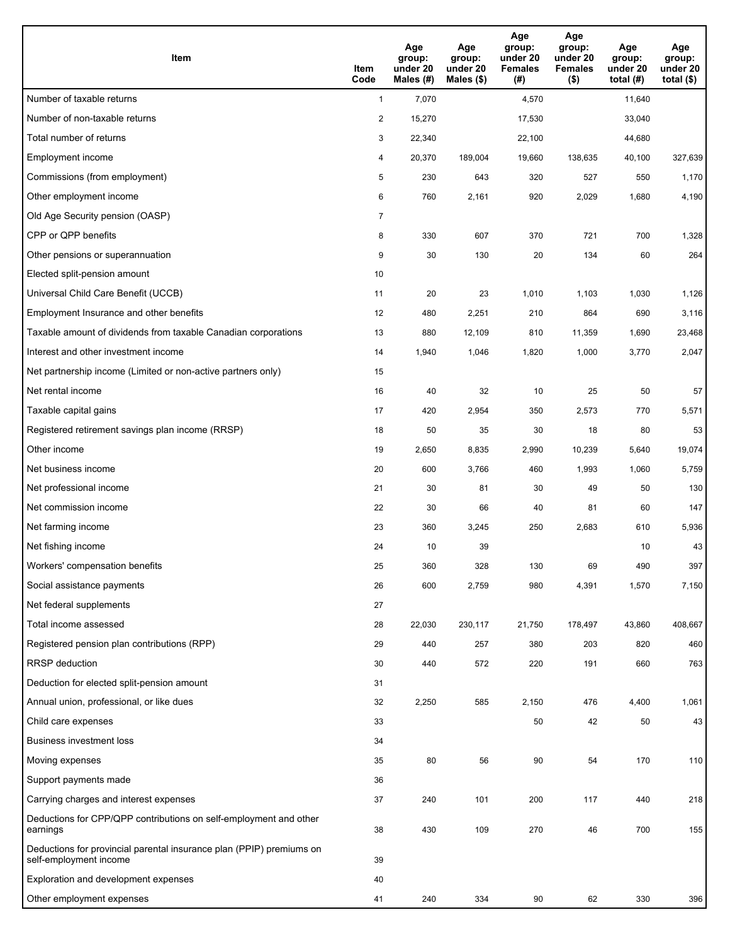| <b>Item</b>                                                                                    | Item<br>Code            | Age<br>group:<br>under 20<br>Males (#) | Age<br>group:<br>under 20<br>Males (\$) | Age<br>group:<br>under 20<br><b>Females</b><br>(#) | Age<br>group:<br>under 20<br><b>Females</b><br>$($ \$) | Age<br>group:<br>under 20<br>total $(H)$ | Age<br>group:<br>under 20<br>total $($)$ |
|------------------------------------------------------------------------------------------------|-------------------------|----------------------------------------|-----------------------------------------|----------------------------------------------------|--------------------------------------------------------|------------------------------------------|------------------------------------------|
| Number of taxable returns                                                                      | $\mathbf{1}$            | 7,070                                  |                                         | 4,570                                              |                                                        | 11,640                                   |                                          |
| Number of non-taxable returns                                                                  | $\overline{\mathbf{c}}$ | 15,270                                 |                                         | 17,530                                             |                                                        | 33,040                                   |                                          |
| Total number of returns                                                                        | 3                       | 22,340                                 |                                         | 22,100                                             |                                                        | 44,680                                   |                                          |
| Employment income                                                                              | 4                       | 20,370                                 | 189,004                                 | 19,660                                             | 138,635                                                | 40,100                                   | 327,639                                  |
| Commissions (from employment)                                                                  | 5                       | 230                                    | 643                                     | 320                                                | 527                                                    | 550                                      | 1,170                                    |
| Other employment income                                                                        | 6                       | 760                                    | 2,161                                   | 920                                                | 2,029                                                  | 1,680                                    | 4,190                                    |
| Old Age Security pension (OASP)                                                                | $\overline{7}$          |                                        |                                         |                                                    |                                                        |                                          |                                          |
| CPP or QPP benefits                                                                            | 8                       | 330                                    | 607                                     | 370                                                | 721                                                    | 700                                      | 1,328                                    |
| Other pensions or superannuation                                                               | 9                       | 30                                     | 130                                     | 20                                                 | 134                                                    | 60                                       | 264                                      |
| Elected split-pension amount                                                                   | 10                      |                                        |                                         |                                                    |                                                        |                                          |                                          |
| Universal Child Care Benefit (UCCB)                                                            | 11                      | 20                                     | 23                                      | 1,010                                              | 1,103                                                  | 1,030                                    | 1,126                                    |
| Employment Insurance and other benefits                                                        | 12                      | 480                                    | 2,251                                   | 210                                                | 864                                                    | 690                                      | 3,116                                    |
| Taxable amount of dividends from taxable Canadian corporations                                 | 13                      | 880                                    | 12,109                                  | 810                                                | 11,359                                                 | 1,690                                    | 23,468                                   |
| Interest and other investment income                                                           | 14                      | 1,940                                  | 1,046                                   | 1,820                                              | 1,000                                                  | 3,770                                    | 2,047                                    |
| Net partnership income (Limited or non-active partners only)                                   | 15                      |                                        |                                         |                                                    |                                                        |                                          |                                          |
| Net rental income                                                                              | 16                      | 40                                     | 32                                      | 10                                                 | 25                                                     | 50                                       | 57                                       |
| Taxable capital gains                                                                          | 17                      | 420                                    | 2,954                                   | 350                                                | 2,573                                                  | 770                                      | 5,571                                    |
| Registered retirement savings plan income (RRSP)                                               | 18                      | 50                                     | 35                                      | 30                                                 | 18                                                     | 80                                       | 53                                       |
| Other income                                                                                   | 19                      | 2,650                                  | 8,835                                   | 2,990                                              | 10,239                                                 | 5,640                                    | 19,074                                   |
| Net business income                                                                            | 20                      | 600                                    | 3,766                                   | 460                                                | 1,993                                                  | 1,060                                    | 5,759                                    |
| Net professional income                                                                        | 21                      | 30                                     | 81                                      | 30                                                 | 49                                                     | 50                                       | 130                                      |
| Net commission income                                                                          | 22                      | 30                                     | 66                                      | 40                                                 | 81                                                     | 60                                       | 147                                      |
| Net farming income                                                                             | 23                      | 360                                    | 3,245                                   | 250                                                | 2,683                                                  | 610                                      | 5,936                                    |
| Net fishing income                                                                             | 24                      | 10                                     | 39                                      |                                                    |                                                        | 10                                       | 43                                       |
| Workers' compensation benefits                                                                 | 25                      | 360                                    | 328                                     | 130                                                | 69                                                     | 490                                      | 397                                      |
| Social assistance payments                                                                     | 26                      | 600                                    | 2,759                                   | 980                                                | 4,391                                                  | 1,570                                    | 7,150                                    |
| Net federal supplements                                                                        | 27                      |                                        |                                         |                                                    |                                                        |                                          |                                          |
| Total income assessed                                                                          | 28                      | 22,030                                 | 230,117                                 | 21,750                                             | 178,497                                                | 43,860                                   | 408,667                                  |
| Registered pension plan contributions (RPP)                                                    | 29                      | 440                                    | 257                                     | 380                                                | 203                                                    | 820                                      | 460                                      |
| RRSP deduction                                                                                 | 30                      | 440                                    | 572                                     | 220                                                | 191                                                    | 660                                      | 763                                      |
| Deduction for elected split-pension amount                                                     | 31                      |                                        |                                         |                                                    |                                                        |                                          |                                          |
| Annual union, professional, or like dues                                                       | 32                      | 2,250                                  | 585                                     | 2,150                                              | 476                                                    | 4,400                                    | 1,061                                    |
| Child care expenses                                                                            | 33                      |                                        |                                         | 50                                                 | 42                                                     | 50                                       | 43                                       |
| <b>Business investment loss</b>                                                                | 34                      |                                        |                                         |                                                    |                                                        |                                          |                                          |
| Moving expenses                                                                                | 35                      | 80                                     | 56                                      | 90                                                 | 54                                                     | 170                                      | 110                                      |
| Support payments made                                                                          | 36                      |                                        |                                         |                                                    |                                                        |                                          |                                          |
| Carrying charges and interest expenses                                                         | 37                      | 240                                    | 101                                     | 200                                                | 117                                                    | 440                                      | 218                                      |
| Deductions for CPP/QPP contributions on self-employment and other<br>earnings                  | 38                      | 430                                    | 109                                     | 270                                                | 46                                                     | 700                                      | 155                                      |
| Deductions for provincial parental insurance plan (PPIP) premiums on<br>self-employment income | 39                      |                                        |                                         |                                                    |                                                        |                                          |                                          |
| Exploration and development expenses                                                           | 40                      |                                        |                                         |                                                    |                                                        |                                          |                                          |
| Other employment expenses                                                                      | 41                      | 240                                    | 334                                     | 90                                                 | 62                                                     | 330                                      | 396                                      |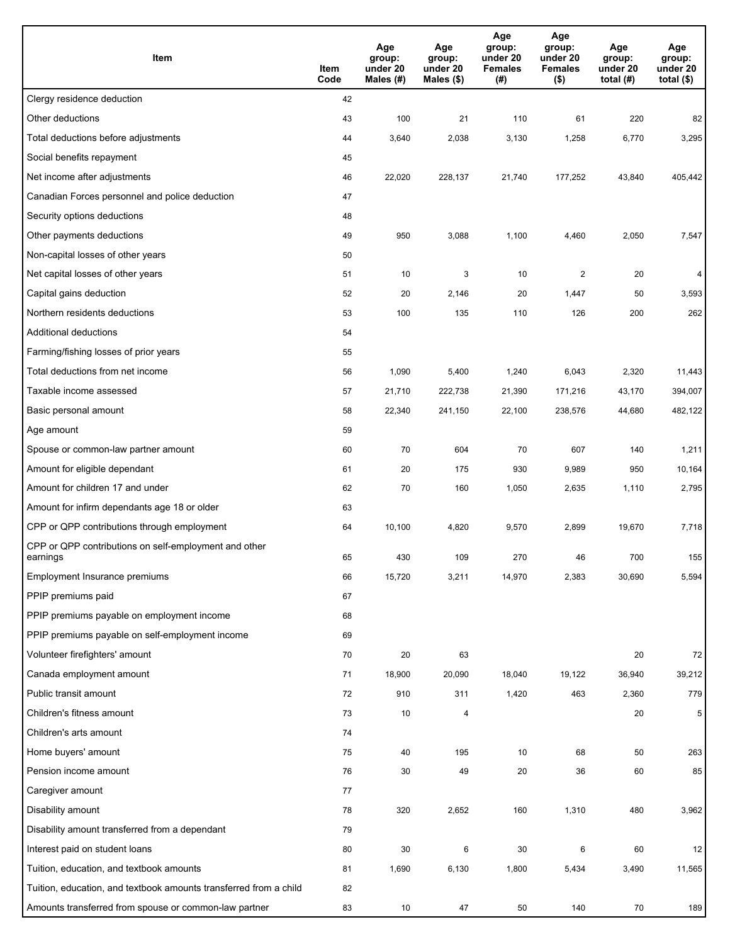| Item                                                              | Item<br>Code | Age<br>group:<br>under 20<br>Males $(H)$ | Age<br>group:<br>under 20<br>Males (\$) | Age<br>group:<br>under 20<br><b>Females</b><br>(#) | Age<br>group:<br>under 20<br><b>Females</b><br>$($ \$) | Age<br>group:<br>under 20<br>total $(H)$ | Age<br>group:<br>under 20<br>total $($)$ |
|-------------------------------------------------------------------|--------------|------------------------------------------|-----------------------------------------|----------------------------------------------------|--------------------------------------------------------|------------------------------------------|------------------------------------------|
| Clergy residence deduction                                        | 42           |                                          |                                         |                                                    |                                                        |                                          |                                          |
| Other deductions                                                  | 43           | 100                                      | 21                                      | 110                                                | 61                                                     | 220                                      | 82                                       |
| Total deductions before adjustments                               | 44           | 3,640                                    | 2,038                                   | 3,130                                              | 1,258                                                  | 6,770                                    | 3,295                                    |
| Social benefits repayment                                         | 45           |                                          |                                         |                                                    |                                                        |                                          |                                          |
| Net income after adjustments                                      | 46           | 22,020                                   | 228,137                                 | 21,740                                             | 177,252                                                | 43,840                                   | 405,442                                  |
| Canadian Forces personnel and police deduction                    | 47           |                                          |                                         |                                                    |                                                        |                                          |                                          |
| Security options deductions                                       | 48           |                                          |                                         |                                                    |                                                        |                                          |                                          |
| Other payments deductions                                         | 49           | 950                                      | 3,088                                   | 1,100                                              | 4,460                                                  | 2,050                                    | 7,547                                    |
| Non-capital losses of other years                                 | 50           |                                          |                                         |                                                    |                                                        |                                          |                                          |
| Net capital losses of other years                                 | 51           | 10                                       | 3                                       | 10                                                 | $\overline{2}$                                         | 20                                       | 4                                        |
| Capital gains deduction                                           | 52           | 20                                       | 2,146                                   | 20                                                 | 1,447                                                  | 50                                       | 3,593                                    |
| Northern residents deductions                                     | 53           | 100                                      | 135                                     | 110                                                | 126                                                    | 200                                      | 262                                      |
| Additional deductions                                             | 54           |                                          |                                         |                                                    |                                                        |                                          |                                          |
| Farming/fishing losses of prior years                             | 55           |                                          |                                         |                                                    |                                                        |                                          |                                          |
| Total deductions from net income                                  | 56           | 1,090                                    | 5,400                                   | 1,240                                              | 6,043                                                  | 2,320                                    | 11,443                                   |
| Taxable income assessed                                           | 57           | 21,710                                   | 222,738                                 | 21,390                                             | 171,216                                                | 43,170                                   | 394,007                                  |
| Basic personal amount                                             | 58           | 22,340                                   | 241,150                                 | 22,100                                             | 238,576                                                | 44,680                                   | 482,122                                  |
| Age amount                                                        | 59           |                                          |                                         |                                                    |                                                        |                                          |                                          |
| Spouse or common-law partner amount                               | 60           | 70                                       | 604                                     | 70                                                 | 607                                                    | 140                                      | 1,211                                    |
| Amount for eligible dependant                                     | 61           | 20                                       | 175                                     | 930                                                | 9,989                                                  | 950                                      | 10,164                                   |
| Amount for children 17 and under                                  | 62           | 70                                       | 160                                     | 1,050                                              | 2,635                                                  | 1,110                                    | 2,795                                    |
| Amount for infirm dependants age 18 or older                      | 63           |                                          |                                         |                                                    |                                                        |                                          |                                          |
| CPP or QPP contributions through employment                       | 64           | 10,100                                   | 4,820                                   | 9,570                                              | 2,899                                                  | 19,670                                   | 7,718                                    |
| CPP or QPP contributions on self-employment and other<br>earnings | 65           | 430                                      | 109                                     | 270                                                | 46                                                     | 700                                      | 155                                      |
| Employment Insurance premiums                                     | 66           | 15,720                                   | 3,211                                   | 14,970                                             | 2,383                                                  | 30,690                                   | 5,594                                    |
| PPIP premiums paid                                                | 67           |                                          |                                         |                                                    |                                                        |                                          |                                          |
| PPIP premiums payable on employment income                        | 68           |                                          |                                         |                                                    |                                                        |                                          |                                          |
| PPIP premiums payable on self-employment income                   | 69           |                                          |                                         |                                                    |                                                        |                                          |                                          |
| Volunteer firefighters' amount                                    | 70           | 20                                       | 63                                      |                                                    |                                                        | 20                                       | 72                                       |
| Canada employment amount                                          | 71           | 18,900                                   | 20,090                                  | 18,040                                             | 19,122                                                 | 36,940                                   | 39,212                                   |
| Public transit amount                                             | 72           | 910                                      | 311                                     | 1,420                                              | 463                                                    | 2,360                                    | 779                                      |
| Children's fitness amount                                         | 73           | 10                                       | 4                                       |                                                    |                                                        | 20                                       | 5                                        |
| Children's arts amount                                            | 74           |                                          |                                         |                                                    |                                                        |                                          |                                          |
| Home buyers' amount                                               | 75           | 40                                       | 195                                     | 10                                                 | 68                                                     | 50                                       | 263                                      |
| Pension income amount                                             | 76           | 30                                       | 49                                      | 20                                                 | 36                                                     | 60                                       | 85                                       |
| Caregiver amount                                                  | 77           |                                          |                                         |                                                    |                                                        |                                          |                                          |
| Disability amount                                                 | 78           | 320                                      | 2,652                                   | 160                                                | 1,310                                                  | 480                                      | 3,962                                    |
| Disability amount transferred from a dependant                    | 79           |                                          |                                         |                                                    |                                                        |                                          |                                          |
| Interest paid on student loans                                    | 80           | 30                                       | 6                                       | 30                                                 | 6                                                      | 60                                       | 12                                       |
| Tuition, education, and textbook amounts                          | 81           | 1,690                                    | 6,130                                   | 1,800                                              | 5,434                                                  | 3,490                                    | 11,565                                   |
| Tuition, education, and textbook amounts transferred from a child | 82           |                                          |                                         |                                                    |                                                        |                                          |                                          |
| Amounts transferred from spouse or common-law partner             | 83           | 10                                       | 47                                      | 50                                                 | 140                                                    | 70                                       | 189                                      |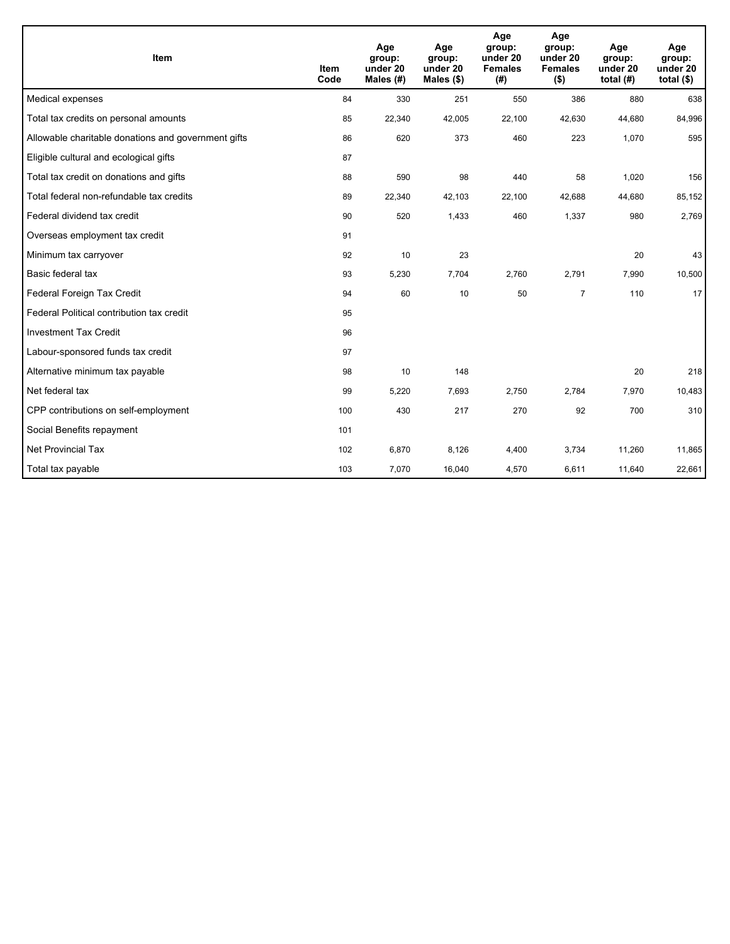| Item                                                | <b>Item</b><br>Code | Age<br>group:<br>under 20<br>Males (#) | Age<br>group:<br>under 20<br>Males (\$) | Age<br>group:<br>under 20<br><b>Females</b><br>(# ) | Age<br>group:<br>under 20<br><b>Females</b><br>$($ \$) | Age<br>group:<br>under 20<br>total $(H)$ | Age<br>group:<br>under 20<br>total $(§)$ |
|-----------------------------------------------------|---------------------|----------------------------------------|-----------------------------------------|-----------------------------------------------------|--------------------------------------------------------|------------------------------------------|------------------------------------------|
| Medical expenses                                    | 84                  | 330                                    | 251                                     | 550                                                 | 386                                                    | 880                                      | 638                                      |
| Total tax credits on personal amounts               | 85                  | 22,340                                 | 42,005                                  | 22,100                                              | 42,630                                                 | 44,680                                   | 84,996                                   |
| Allowable charitable donations and government gifts | 86                  | 620                                    | 373                                     | 460                                                 | 223                                                    | 1,070                                    | 595                                      |
| Eligible cultural and ecological gifts              | 87                  |                                        |                                         |                                                     |                                                        |                                          |                                          |
| Total tax credit on donations and gifts             | 88                  | 590                                    | 98                                      | 440                                                 | 58                                                     | 1,020                                    | 156                                      |
| Total federal non-refundable tax credits            | 89                  | 22,340                                 | 42,103                                  | 22,100                                              | 42,688                                                 | 44,680                                   | 85,152                                   |
| Federal dividend tax credit                         | 90                  | 520                                    | 1,433                                   | 460                                                 | 1,337                                                  | 980                                      | 2,769                                    |
| Overseas employment tax credit                      | 91                  |                                        |                                         |                                                     |                                                        |                                          |                                          |
| Minimum tax carryover                               | 92                  | 10                                     | 23                                      |                                                     |                                                        | 20                                       | 43                                       |
| Basic federal tax                                   | 93                  | 5,230                                  | 7,704                                   | 2,760                                               | 2,791                                                  | 7,990                                    | 10,500                                   |
| Federal Foreign Tax Credit                          | 94                  | 60                                     | 10                                      | 50                                                  | $\overline{7}$                                         | 110                                      | 17                                       |
| Federal Political contribution tax credit           | 95                  |                                        |                                         |                                                     |                                                        |                                          |                                          |
| <b>Investment Tax Credit</b>                        | 96                  |                                        |                                         |                                                     |                                                        |                                          |                                          |
| Labour-sponsored funds tax credit                   | 97                  |                                        |                                         |                                                     |                                                        |                                          |                                          |
| Alternative minimum tax payable                     | 98                  | 10                                     | 148                                     |                                                     |                                                        | 20                                       | 218                                      |
| Net federal tax                                     | 99                  | 5,220                                  | 7,693                                   | 2,750                                               | 2,784                                                  | 7,970                                    | 10,483                                   |
| CPP contributions on self-employment                | 100                 | 430                                    | 217                                     | 270                                                 | 92                                                     | 700                                      | 310                                      |
| Social Benefits repayment                           | 101                 |                                        |                                         |                                                     |                                                        |                                          |                                          |
| Net Provincial Tax                                  | 102                 | 6,870                                  | 8,126                                   | 4,400                                               | 3,734                                                  | 11,260                                   | 11,865                                   |
| Total tax payable                                   | 103                 | 7,070                                  | 16,040                                  | 4,570                                               | 6,611                                                  | 11,640                                   | 22,661                                   |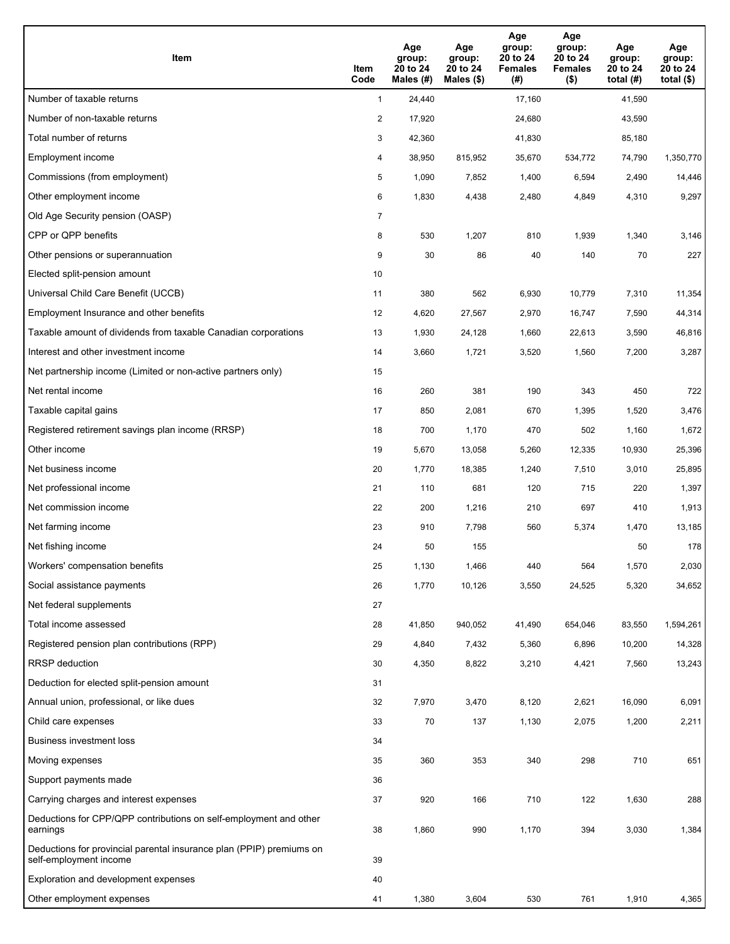| Item                                                                                           | Item<br>Code   | Age<br>group:<br>20 to 24<br>Males (#) | Age<br>group:<br>20 to 24<br>Males (\$) | Age<br>group:<br>20 to 24<br><b>Females</b><br>(# ) | Age<br>group:<br>20 to 24<br><b>Females</b><br>$($ \$) | Age<br>group:<br>20 to 24<br>total $(H)$ | Age<br>group:<br>20 to 24<br>total $($)$ |
|------------------------------------------------------------------------------------------------|----------------|----------------------------------------|-----------------------------------------|-----------------------------------------------------|--------------------------------------------------------|------------------------------------------|------------------------------------------|
| Number of taxable returns                                                                      | $\mathbf{1}$   | 24,440                                 |                                         | 17,160                                              |                                                        | 41,590                                   |                                          |
| Number of non-taxable returns                                                                  | $\overline{a}$ | 17,920                                 |                                         | 24,680                                              |                                                        | 43,590                                   |                                          |
| Total number of returns                                                                        | 3              | 42,360                                 |                                         | 41,830                                              |                                                        | 85,180                                   |                                          |
| Employment income                                                                              | 4              | 38,950                                 | 815,952                                 | 35,670                                              | 534,772                                                | 74,790                                   | 1,350,770                                |
| Commissions (from employment)                                                                  | 5              | 1,090                                  | 7,852                                   | 1,400                                               | 6,594                                                  | 2,490                                    | 14,446                                   |
| Other employment income                                                                        | 6              | 1,830                                  | 4,438                                   | 2,480                                               | 4,849                                                  | 4,310                                    | 9,297                                    |
| Old Age Security pension (OASP)                                                                | $\overline{7}$ |                                        |                                         |                                                     |                                                        |                                          |                                          |
| CPP or QPP benefits                                                                            | 8              | 530                                    | 1,207                                   | 810                                                 | 1,939                                                  | 1,340                                    | 3,146                                    |
| Other pensions or superannuation                                                               | 9              | 30                                     | 86                                      | 40                                                  | 140                                                    | 70                                       | 227                                      |
| Elected split-pension amount                                                                   | 10             |                                        |                                         |                                                     |                                                        |                                          |                                          |
| Universal Child Care Benefit (UCCB)                                                            | 11             | 380                                    | 562                                     | 6,930                                               | 10,779                                                 | 7,310                                    | 11,354                                   |
| Employment Insurance and other benefits                                                        | 12             | 4,620                                  | 27,567                                  | 2,970                                               | 16,747                                                 | 7,590                                    | 44,314                                   |
| Taxable amount of dividends from taxable Canadian corporations                                 | 13             | 1,930                                  | 24,128                                  | 1,660                                               | 22,613                                                 | 3,590                                    | 46,816                                   |
| Interest and other investment income                                                           | 14             | 3,660                                  | 1,721                                   | 3,520                                               | 1,560                                                  | 7,200                                    | 3,287                                    |
| Net partnership income (Limited or non-active partners only)                                   | 15             |                                        |                                         |                                                     |                                                        |                                          |                                          |
| Net rental income                                                                              | 16             | 260                                    | 381                                     | 190                                                 | 343                                                    | 450                                      | 722                                      |
| Taxable capital gains                                                                          | 17             | 850                                    | 2,081                                   | 670                                                 | 1,395                                                  | 1,520                                    | 3,476                                    |
| Registered retirement savings plan income (RRSP)                                               | 18             | 700                                    | 1,170                                   | 470                                                 | 502                                                    | 1,160                                    | 1,672                                    |
| Other income                                                                                   | 19             | 5,670                                  | 13,058                                  | 5,260                                               | 12,335                                                 | 10,930                                   | 25,396                                   |
| Net business income                                                                            | 20             | 1,770                                  | 18,385                                  | 1,240                                               | 7,510                                                  | 3,010                                    | 25,895                                   |
| Net professional income                                                                        | 21             | 110                                    | 681                                     | 120                                                 | 715                                                    | 220                                      | 1,397                                    |
| Net commission income                                                                          | 22             | 200                                    | 1,216                                   | 210                                                 | 697                                                    | 410                                      | 1,913                                    |
| Net farming income                                                                             | 23             | 910                                    | 7,798                                   | 560                                                 | 5,374                                                  | 1,470                                    | 13,185                                   |
| Net fishing income                                                                             | 24             | 50                                     | 155                                     |                                                     |                                                        | 50                                       | 178                                      |
| Workers' compensation benefits                                                                 | 25             | 1,130                                  | 1,466                                   | 440                                                 | 564                                                    | 1,570                                    | 2,030                                    |
| Social assistance payments                                                                     | 26             | 1,770                                  | 10,126                                  | 3,550                                               | 24,525                                                 | 5,320                                    | 34,652                                   |
| Net federal supplements                                                                        | 27             |                                        |                                         |                                                     |                                                        |                                          |                                          |
| Total income assessed                                                                          | 28             | 41,850                                 | 940,052                                 | 41,490                                              | 654,046                                                | 83,550                                   | 1,594,261                                |
| Registered pension plan contributions (RPP)                                                    | 29             | 4,840                                  | 7,432                                   | 5,360                                               | 6,896                                                  | 10,200                                   | 14,328                                   |
| <b>RRSP</b> deduction                                                                          | 30             | 4,350                                  | 8,822                                   | 3,210                                               | 4,421                                                  | 7,560                                    | 13,243                                   |
| Deduction for elected split-pension amount                                                     | 31             |                                        |                                         |                                                     |                                                        |                                          |                                          |
| Annual union, professional, or like dues                                                       | 32             | 7,970                                  | 3,470                                   | 8,120                                               | 2,621                                                  | 16,090                                   | 6,091                                    |
| Child care expenses                                                                            | 33             | 70                                     | 137                                     | 1,130                                               | 2,075                                                  | 1,200                                    | 2,211                                    |
| Business investment loss                                                                       | 34             |                                        |                                         |                                                     |                                                        |                                          |                                          |
| Moving expenses                                                                                | 35             | 360                                    | 353                                     | 340                                                 | 298                                                    | 710                                      | 651                                      |
| Support payments made                                                                          | 36             |                                        |                                         |                                                     |                                                        |                                          |                                          |
| Carrying charges and interest expenses                                                         | 37             | 920                                    | 166                                     | 710                                                 | 122                                                    | 1,630                                    | 288                                      |
| Deductions for CPP/QPP contributions on self-employment and other<br>earnings                  | 38             | 1,860                                  | 990                                     | 1,170                                               | 394                                                    | 3,030                                    | 1,384                                    |
| Deductions for provincial parental insurance plan (PPIP) premiums on<br>self-employment income | 39             |                                        |                                         |                                                     |                                                        |                                          |                                          |
| Exploration and development expenses                                                           | 40             |                                        |                                         |                                                     |                                                        |                                          |                                          |
| Other employment expenses                                                                      | 41             | 1,380                                  | 3,604                                   | 530                                                 | 761                                                    | 1,910                                    | 4,365                                    |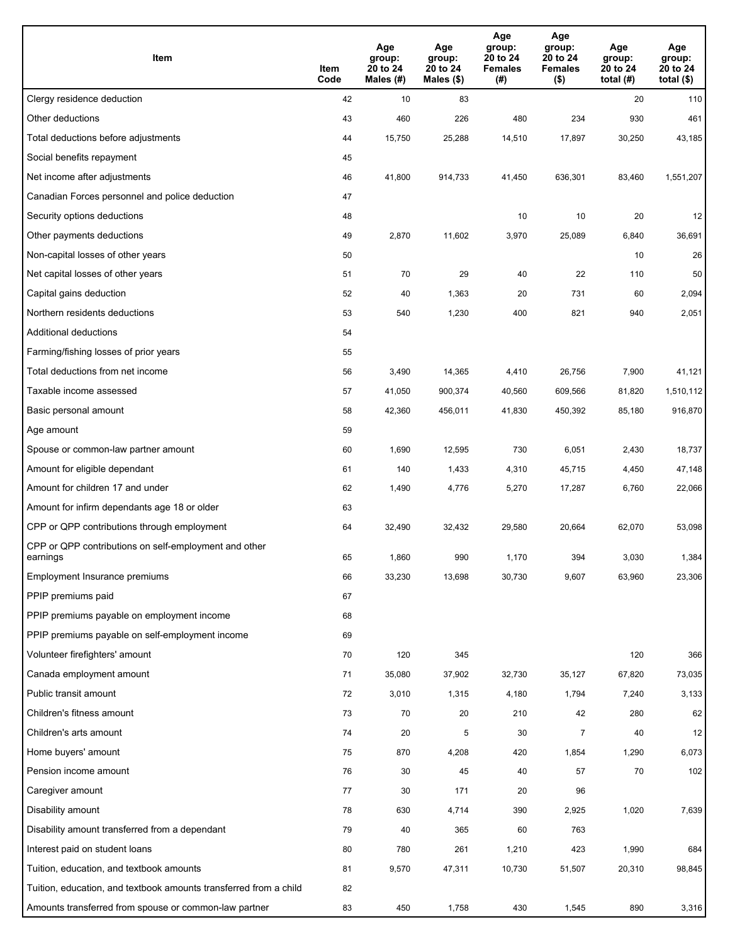| Item                                                              | Item<br>Code | Age<br>group:<br>20 to 24<br>Males (#) | Age<br>group:<br>20 to 24<br>Males (\$) | Age<br>group:<br>20 to 24<br><b>Females</b><br>(# ) | Age<br>group:<br>20 to 24<br><b>Females</b><br>$($ \$) | Age<br>group:<br>20 to 24<br>total $(H)$ | Age<br>group:<br>20 to 24<br>total $($)$ |
|-------------------------------------------------------------------|--------------|----------------------------------------|-----------------------------------------|-----------------------------------------------------|--------------------------------------------------------|------------------------------------------|------------------------------------------|
| Clergy residence deduction                                        | 42           | 10                                     | 83                                      |                                                     |                                                        | 20                                       | 110                                      |
| Other deductions                                                  | 43           | 460                                    | 226                                     | 480                                                 | 234                                                    | 930                                      | 461                                      |
| Total deductions before adjustments                               | 44           | 15,750                                 | 25,288                                  | 14,510                                              | 17,897                                                 | 30,250                                   | 43,185                                   |
| Social benefits repayment                                         | 45           |                                        |                                         |                                                     |                                                        |                                          |                                          |
| Net income after adjustments                                      | 46           | 41,800                                 | 914,733                                 | 41,450                                              | 636,301                                                | 83,460                                   | 1,551,207                                |
| Canadian Forces personnel and police deduction                    | 47           |                                        |                                         |                                                     |                                                        |                                          |                                          |
| Security options deductions                                       | 48           |                                        |                                         | 10                                                  | 10                                                     | 20                                       | 12                                       |
| Other payments deductions                                         | 49           | 2,870                                  | 11,602                                  | 3,970                                               | 25,089                                                 | 6,840                                    | 36,691                                   |
| Non-capital losses of other years                                 | 50           |                                        |                                         |                                                     |                                                        | 10                                       | 26                                       |
| Net capital losses of other years                                 | 51           | 70                                     | 29                                      | 40                                                  | 22                                                     | 110                                      | 50                                       |
| Capital gains deduction                                           | 52           | 40                                     | 1,363                                   | 20                                                  | 731                                                    | 60                                       | 2,094                                    |
| Northern residents deductions                                     | 53           | 540                                    | 1,230                                   | 400                                                 | 821                                                    | 940                                      | 2,051                                    |
| Additional deductions                                             | 54           |                                        |                                         |                                                     |                                                        |                                          |                                          |
| Farming/fishing losses of prior years                             | 55           |                                        |                                         |                                                     |                                                        |                                          |                                          |
| Total deductions from net income                                  | 56           | 3,490                                  | 14,365                                  | 4,410                                               | 26,756                                                 | 7,900                                    | 41,121                                   |
| Taxable income assessed                                           | 57           | 41,050                                 | 900,374                                 | 40,560                                              | 609,566                                                | 81,820                                   | 1,510,112                                |
| Basic personal amount                                             | 58           | 42,360                                 | 456,011                                 | 41,830                                              | 450,392                                                | 85,180                                   | 916,870                                  |
| Age amount                                                        | 59           |                                        |                                         |                                                     |                                                        |                                          |                                          |
| Spouse or common-law partner amount                               | 60           | 1,690                                  | 12,595                                  | 730                                                 | 6,051                                                  | 2,430                                    | 18,737                                   |
| Amount for eligible dependant                                     | 61           | 140                                    | 1,433                                   | 4,310                                               | 45,715                                                 | 4,450                                    | 47,148                                   |
| Amount for children 17 and under                                  | 62           | 1,490                                  | 4,776                                   | 5,270                                               | 17,287                                                 | 6,760                                    | 22,066                                   |
| Amount for infirm dependants age 18 or older                      | 63           |                                        |                                         |                                                     |                                                        |                                          |                                          |
| CPP or QPP contributions through employment                       | 64           | 32,490                                 | 32,432                                  | 29,580                                              | 20,664                                                 | 62,070                                   | 53,098                                   |
| CPP or QPP contributions on self-employment and other<br>earnings | 65           | 1,860                                  | 990                                     | 1.170                                               | 394                                                    | 3,030                                    | 1,384                                    |
| Employment Insurance premiums                                     | 66           | 33,230                                 | 13,698                                  | 30,730                                              | 9,607                                                  | 63,960                                   | 23,306                                   |
| PPIP premiums paid                                                | 67           |                                        |                                         |                                                     |                                                        |                                          |                                          |
| PPIP premiums payable on employment income                        | 68           |                                        |                                         |                                                     |                                                        |                                          |                                          |
| PPIP premiums payable on self-employment income                   | 69           |                                        |                                         |                                                     |                                                        |                                          |                                          |
| Volunteer firefighters' amount                                    | 70           | 120                                    | 345                                     |                                                     |                                                        | 120                                      | 366                                      |
| Canada employment amount                                          | 71           | 35,080                                 | 37,902                                  | 32,730                                              | 35,127                                                 | 67,820                                   | 73,035                                   |
| Public transit amount                                             | 72           | 3,010                                  | 1,315                                   | 4,180                                               | 1,794                                                  | 7,240                                    | 3,133                                    |
| Children's fitness amount                                         | 73           | 70                                     | 20                                      | 210                                                 | 42                                                     | 280                                      | 62                                       |
| Children's arts amount                                            | 74           | 20                                     | 5                                       | 30                                                  | $\overline{7}$                                         | 40                                       | 12                                       |
| Home buyers' amount                                               | 75           | 870                                    | 4,208                                   | 420                                                 | 1,854                                                  | 1,290                                    | 6,073                                    |
| Pension income amount                                             | 76           | 30                                     | 45                                      | 40                                                  | 57                                                     | 70                                       | 102                                      |
| Caregiver amount                                                  | 77           | 30                                     | 171                                     | 20                                                  | 96                                                     |                                          |                                          |
| Disability amount                                                 | 78           | 630                                    | 4,714                                   | 390                                                 | 2,925                                                  | 1,020                                    | 7,639                                    |
| Disability amount transferred from a dependant                    | 79           | 40                                     | 365                                     | 60                                                  | 763                                                    |                                          |                                          |
| Interest paid on student loans                                    | 80           | 780                                    | 261                                     | 1,210                                               | 423                                                    | 1,990                                    | 684                                      |
| Tuition, education, and textbook amounts                          | 81           | 9,570                                  | 47,311                                  | 10,730                                              | 51,507                                                 | 20,310                                   | 98,845                                   |
| Tuition, education, and textbook amounts transferred from a child | 82           |                                        |                                         |                                                     |                                                        |                                          |                                          |
| Amounts transferred from spouse or common-law partner             | 83           | 450                                    | 1,758                                   | 430                                                 | 1,545                                                  | 890                                      | 3,316                                    |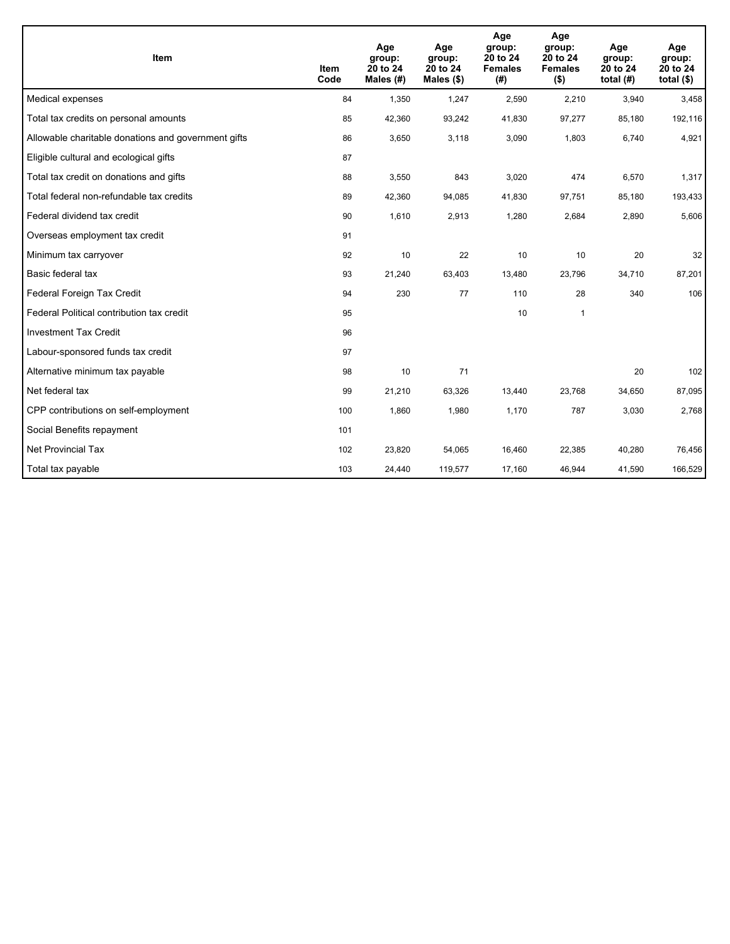| <b>Item</b>                                         | <b>Item</b><br>Code | Age<br>group:<br>20 to 24<br>Males $(H)$ | Age<br>group:<br>20 to 24<br>Males (\$) | Age<br>group:<br>20 to 24<br><b>Females</b><br>(#) | Age<br>group:<br>20 to 24<br><b>Females</b><br>$($ \$) | Age<br>group:<br>20 to 24<br>total $(H)$ | Age<br>group:<br>20 to 24<br>total $($)$ |
|-----------------------------------------------------|---------------------|------------------------------------------|-----------------------------------------|----------------------------------------------------|--------------------------------------------------------|------------------------------------------|------------------------------------------|
| Medical expenses                                    | 84                  | 1,350                                    | 1,247                                   | 2,590                                              | 2,210                                                  | 3,940                                    | 3,458                                    |
| Total tax credits on personal amounts               | 85                  | 42,360                                   | 93,242                                  | 41,830                                             | 97,277                                                 | 85,180                                   | 192,116                                  |
| Allowable charitable donations and government gifts | 86                  | 3,650                                    | 3,118                                   | 3,090                                              | 1,803                                                  | 6,740                                    | 4,921                                    |
| Eligible cultural and ecological gifts              | 87                  |                                          |                                         |                                                    |                                                        |                                          |                                          |
| Total tax credit on donations and gifts             | 88                  | 3,550                                    | 843                                     | 3,020                                              | 474                                                    | 6,570                                    | 1,317                                    |
| Total federal non-refundable tax credits            | 89                  | 42,360                                   | 94,085                                  | 41,830                                             | 97,751                                                 | 85,180                                   | 193,433                                  |
| Federal dividend tax credit                         | 90                  | 1,610                                    | 2,913                                   | 1,280                                              | 2,684                                                  | 2,890                                    | 5,606                                    |
| Overseas employment tax credit                      | 91                  |                                          |                                         |                                                    |                                                        |                                          |                                          |
| Minimum tax carryover                               | 92                  | 10                                       | 22                                      | 10                                                 | 10                                                     | 20                                       | 32                                       |
| Basic federal tax                                   | 93                  | 21,240                                   | 63,403                                  | 13,480                                             | 23,796                                                 | 34,710                                   | 87,201                                   |
| Federal Foreign Tax Credit                          | 94                  | 230                                      | 77                                      | 110                                                | 28                                                     | 340                                      | 106                                      |
| Federal Political contribution tax credit           | 95                  |                                          |                                         | 10                                                 | $\mathbf{1}$                                           |                                          |                                          |
| <b>Investment Tax Credit</b>                        | 96                  |                                          |                                         |                                                    |                                                        |                                          |                                          |
| Labour-sponsored funds tax credit                   | 97                  |                                          |                                         |                                                    |                                                        |                                          |                                          |
| Alternative minimum tax payable                     | 98                  | 10                                       | 71                                      |                                                    |                                                        | 20                                       | 102                                      |
| Net federal tax                                     | 99                  | 21,210                                   | 63,326                                  | 13,440                                             | 23,768                                                 | 34,650                                   | 87,095                                   |
| CPP contributions on self-employment                | 100                 | 1,860                                    | 1,980                                   | 1,170                                              | 787                                                    | 3,030                                    | 2,768                                    |
| Social Benefits repayment                           | 101                 |                                          |                                         |                                                    |                                                        |                                          |                                          |
| Net Provincial Tax                                  | 102                 | 23,820                                   | 54,065                                  | 16,460                                             | 22,385                                                 | 40,280                                   | 76,456                                   |
| Total tax payable                                   | 103                 | 24,440                                   | 119,577                                 | 17,160                                             | 46,944                                                 | 41,590                                   | 166,529                                  |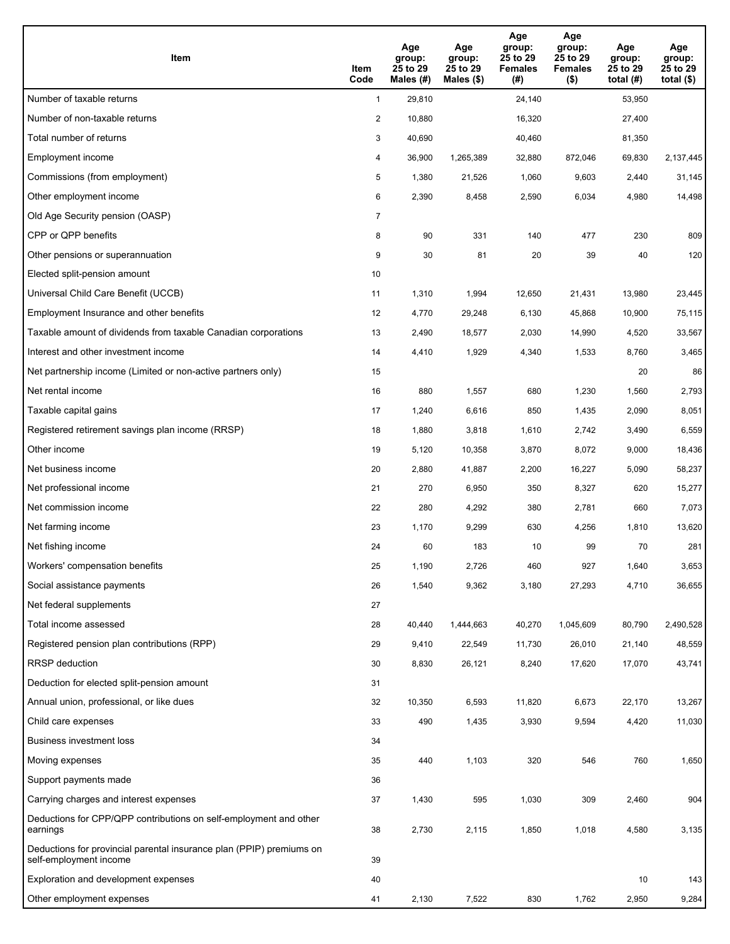| Item                                                                                           | Item<br>Code   | Age<br>group:<br>25 to 29<br>Males (#) | Age<br>group:<br>25 to 29<br>Males $(\$)$ | Age<br>group:<br>25 to 29<br><b>Females</b><br>(#) | Age<br>group:<br>25 to 29<br><b>Females</b><br>$($ \$) | Age<br>group:<br>25 to 29<br>total $(H)$ | Age<br>group:<br>25 to 29<br>total $($ |
|------------------------------------------------------------------------------------------------|----------------|----------------------------------------|-------------------------------------------|----------------------------------------------------|--------------------------------------------------------|------------------------------------------|----------------------------------------|
| Number of taxable returns                                                                      | $\mathbf{1}$   | 29,810                                 |                                           | 24,140                                             |                                                        | 53,950                                   |                                        |
| Number of non-taxable returns                                                                  | $\overline{a}$ | 10,880                                 |                                           | 16,320                                             |                                                        | 27,400                                   |                                        |
| Total number of returns                                                                        | 3              | 40,690                                 |                                           | 40,460                                             |                                                        | 81,350                                   |                                        |
| Employment income                                                                              | 4              | 36,900                                 | 1,265,389                                 | 32,880                                             | 872,046                                                | 69,830                                   | 2,137,445                              |
| Commissions (from employment)                                                                  | 5              | 1,380                                  | 21,526                                    | 1,060                                              | 9,603                                                  | 2,440                                    | 31,145                                 |
| Other employment income                                                                        | 6              | 2,390                                  | 8,458                                     | 2,590                                              | 6,034                                                  | 4,980                                    | 14,498                                 |
| Old Age Security pension (OASP)                                                                | 7              |                                        |                                           |                                                    |                                                        |                                          |                                        |
| CPP or QPP benefits                                                                            | 8              | 90                                     | 331                                       | 140                                                | 477                                                    | 230                                      | 809                                    |
| Other pensions or superannuation                                                               | 9              | 30                                     | 81                                        | 20                                                 | 39                                                     | 40                                       | 120                                    |
| Elected split-pension amount                                                                   | 10             |                                        |                                           |                                                    |                                                        |                                          |                                        |
| Universal Child Care Benefit (UCCB)                                                            | 11             | 1,310                                  | 1,994                                     | 12,650                                             | 21,431                                                 | 13,980                                   | 23,445                                 |
| Employment Insurance and other benefits                                                        | 12             | 4,770                                  | 29,248                                    | 6,130                                              | 45,868                                                 | 10,900                                   | 75,115                                 |
| Taxable amount of dividends from taxable Canadian corporations                                 | 13             | 2,490                                  | 18,577                                    | 2,030                                              | 14,990                                                 | 4,520                                    | 33,567                                 |
| Interest and other investment income                                                           | 14             | 4,410                                  | 1,929                                     | 4,340                                              | 1,533                                                  | 8,760                                    | 3,465                                  |
| Net partnership income (Limited or non-active partners only)                                   | 15             |                                        |                                           |                                                    |                                                        | 20                                       | 86                                     |
| Net rental income                                                                              | 16             | 880                                    | 1,557                                     | 680                                                | 1,230                                                  | 1,560                                    | 2,793                                  |
| Taxable capital gains                                                                          | 17             | 1,240                                  | 6,616                                     | 850                                                | 1,435                                                  | 2,090                                    | 8,051                                  |
| Registered retirement savings plan income (RRSP)                                               | 18             | 1,880                                  | 3,818                                     | 1,610                                              | 2,742                                                  | 3,490                                    | 6,559                                  |
| Other income                                                                                   | 19             | 5,120                                  | 10,358                                    | 3,870                                              | 8,072                                                  | 9,000                                    | 18,436                                 |
| Net business income                                                                            | 20             | 2,880                                  | 41,887                                    | 2,200                                              | 16,227                                                 | 5,090                                    | 58,237                                 |
| Net professional income                                                                        | 21             | 270                                    | 6,950                                     | 350                                                | 8,327                                                  | 620                                      | 15,277                                 |
| Net commission income                                                                          | 22             | 280                                    | 4,292                                     | 380                                                | 2,781                                                  | 660                                      | 7,073                                  |
| Net farming income                                                                             | 23             | 1,170                                  | 9,299                                     | 630                                                | 4,256                                                  | 1,810                                    | 13,620                                 |
| Net fishing income                                                                             | 24             | 60                                     | 183                                       | 10                                                 | 99                                                     | 70                                       | 281                                    |
| Workers' compensation benefits                                                                 | 25             | 1,190                                  | 2,726                                     | 460                                                | 927                                                    | 1,640                                    | 3,653                                  |
| Social assistance payments                                                                     | 26             | 1,540                                  | 9,362                                     | 3,180                                              | 27,293                                                 | 4,710                                    | 36,655                                 |
| Net federal supplements                                                                        | 27             |                                        |                                           |                                                    |                                                        |                                          |                                        |
| Total income assessed                                                                          | 28             | 40,440                                 | 1,444,663                                 | 40,270                                             | 1,045,609                                              | 80,790                                   | 2,490,528                              |
| Registered pension plan contributions (RPP)                                                    | 29             | 9,410                                  | 22,549                                    | 11,730                                             | 26,010                                                 | 21,140                                   | 48,559                                 |
| <b>RRSP</b> deduction                                                                          | 30             | 8,830                                  | 26,121                                    | 8,240                                              | 17,620                                                 | 17,070                                   | 43,741                                 |
| Deduction for elected split-pension amount                                                     | 31             |                                        |                                           |                                                    |                                                        |                                          |                                        |
| Annual union, professional, or like dues                                                       | 32             | 10,350                                 | 6,593                                     | 11,820                                             | 6,673                                                  | 22,170                                   | 13,267                                 |
| Child care expenses                                                                            | 33             | 490                                    | 1,435                                     | 3,930                                              | 9,594                                                  | 4,420                                    | 11,030                                 |
| Business investment loss                                                                       | 34             |                                        |                                           |                                                    |                                                        |                                          |                                        |
| Moving expenses                                                                                | 35             | 440                                    | 1,103                                     | 320                                                | 546                                                    | 760                                      | 1,650                                  |
| Support payments made                                                                          | 36             |                                        |                                           |                                                    |                                                        |                                          |                                        |
| Carrying charges and interest expenses                                                         | 37             | 1,430                                  | 595                                       | 1,030                                              | 309                                                    | 2,460                                    | 904                                    |
| Deductions for CPP/QPP contributions on self-employment and other<br>earnings                  | 38             | 2,730                                  | 2,115                                     | 1,850                                              | 1,018                                                  | 4,580                                    | 3,135                                  |
| Deductions for provincial parental insurance plan (PPIP) premiums on<br>self-employment income | 39             |                                        |                                           |                                                    |                                                        |                                          |                                        |
| Exploration and development expenses                                                           | 40             |                                        |                                           |                                                    |                                                        | 10                                       | 143                                    |
| Other employment expenses                                                                      | 41             | 2,130                                  | 7,522                                     | 830                                                | 1,762                                                  | 2,950                                    | 9,284                                  |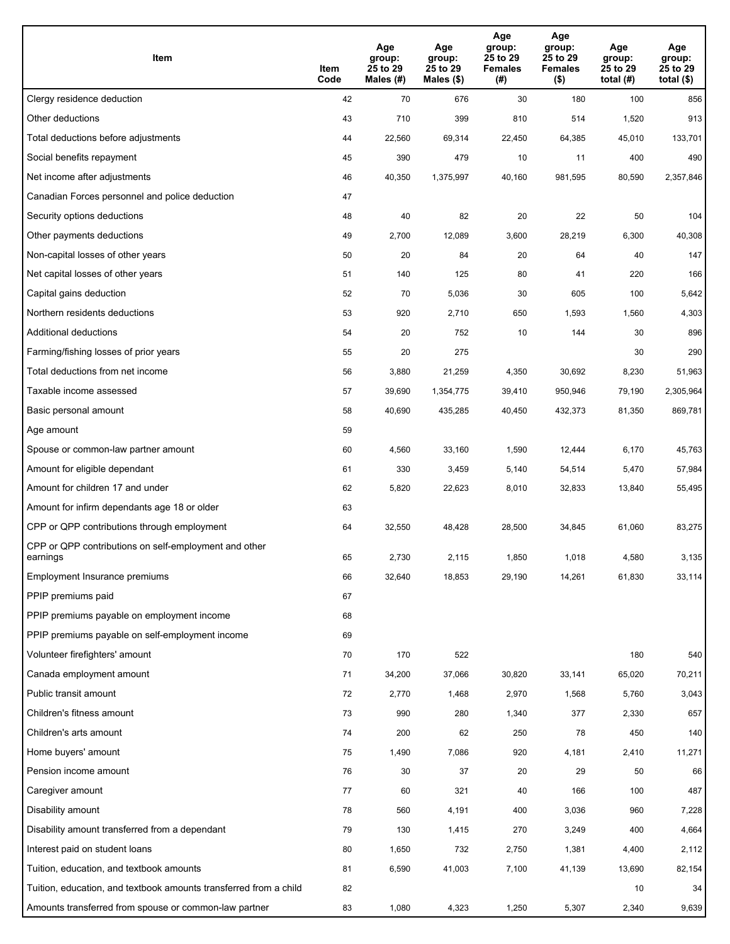| Item                                                              | Item<br>Code | Age<br>group:<br>25 to 29<br>Males (#) | Age<br>group:<br>25 to 29<br>Males (\$) | Age<br>group:<br>25 to 29<br><b>Females</b><br>(#) | Age<br>group:<br>25 to 29<br><b>Females</b><br>$($ \$) | Age<br>group:<br>25 to 29<br>total $(H)$ | Age<br>group:<br>25 to 29<br>total $($)$ |
|-------------------------------------------------------------------|--------------|----------------------------------------|-----------------------------------------|----------------------------------------------------|--------------------------------------------------------|------------------------------------------|------------------------------------------|
| Clergy residence deduction                                        | 42           | 70                                     | 676                                     | 30                                                 | 180                                                    | 100                                      | 856                                      |
| Other deductions                                                  | 43           | 710                                    | 399                                     | 810                                                | 514                                                    | 1,520                                    | 913                                      |
| Total deductions before adjustments                               | 44           | 22,560                                 | 69,314                                  | 22,450                                             | 64,385                                                 | 45,010                                   | 133,701                                  |
| Social benefits repayment                                         | 45           | 390                                    | 479                                     | 10                                                 | 11                                                     | 400                                      | 490                                      |
| Net income after adjustments                                      | 46           | 40,350                                 | 1,375,997                               | 40,160                                             | 981,595                                                | 80,590                                   | 2,357,846                                |
| Canadian Forces personnel and police deduction                    | 47           |                                        |                                         |                                                    |                                                        |                                          |                                          |
| Security options deductions                                       | 48           | 40                                     | 82                                      | 20                                                 | 22                                                     | 50                                       | 104                                      |
| Other payments deductions                                         | 49           | 2,700                                  | 12,089                                  | 3,600                                              | 28,219                                                 | 6,300                                    | 40,308                                   |
| Non-capital losses of other years                                 | 50           | 20                                     | 84                                      | 20                                                 | 64                                                     | 40                                       | 147                                      |
| Net capital losses of other years                                 | 51           | 140                                    | 125                                     | 80                                                 | 41                                                     | 220                                      | 166                                      |
| Capital gains deduction                                           | 52           | 70                                     | 5,036                                   | 30                                                 | 605                                                    | 100                                      | 5,642                                    |
| Northern residents deductions                                     | 53           | 920                                    | 2,710                                   | 650                                                | 1,593                                                  | 1,560                                    | 4,303                                    |
| Additional deductions                                             | 54           | 20                                     | 752                                     | 10                                                 | 144                                                    | 30                                       | 896                                      |
| Farming/fishing losses of prior years                             | 55           | 20                                     | 275                                     |                                                    |                                                        | 30                                       | 290                                      |
| Total deductions from net income                                  | 56           | 3,880                                  | 21,259                                  | 4,350                                              | 30,692                                                 | 8,230                                    | 51,963                                   |
| Taxable income assessed                                           | 57           | 39,690                                 | 1,354,775                               | 39,410                                             | 950,946                                                | 79,190                                   | 2,305,964                                |
| Basic personal amount                                             | 58           | 40,690                                 | 435,285                                 | 40,450                                             | 432,373                                                | 81,350                                   | 869,781                                  |
| Age amount                                                        | 59           |                                        |                                         |                                                    |                                                        |                                          |                                          |
| Spouse or common-law partner amount                               | 60           | 4,560                                  | 33,160                                  | 1,590                                              | 12,444                                                 | 6,170                                    | 45,763                                   |
| Amount for eligible dependant                                     | 61           | 330                                    | 3,459                                   | 5,140                                              | 54,514                                                 | 5,470                                    | 57,984                                   |
| Amount for children 17 and under                                  | 62           | 5,820                                  | 22,623                                  | 8,010                                              | 32,833                                                 | 13,840                                   | 55,495                                   |
| Amount for infirm dependants age 18 or older                      | 63           |                                        |                                         |                                                    |                                                        |                                          |                                          |
| CPP or QPP contributions through employment                       | 64           | 32,550                                 | 48,428                                  | 28,500                                             | 34,845                                                 | 61,060                                   | 83,275                                   |
| CPP or QPP contributions on self-employment and other<br>earnings | 65           | 2,730                                  | 2,115                                   | 1,850                                              | 1,018                                                  | 4,580                                    | 3,135                                    |
| Employment Insurance premiums                                     | 66           | 32,640                                 | 18,853                                  | 29,190                                             | 14,261                                                 | 61,830                                   | 33,114                                   |
| PPIP premiums paid                                                | 67           |                                        |                                         |                                                    |                                                        |                                          |                                          |
| PPIP premiums payable on employment income                        | 68           |                                        |                                         |                                                    |                                                        |                                          |                                          |
| PPIP premiums payable on self-employment income                   | 69           |                                        |                                         |                                                    |                                                        |                                          |                                          |
| Volunteer firefighters' amount                                    | 70           | 170                                    | 522                                     |                                                    |                                                        | 180                                      | 540                                      |
| Canada employment amount                                          | 71           | 34,200                                 | 37,066                                  | 30,820                                             | 33,141                                                 | 65,020                                   | 70,211                                   |
| Public transit amount                                             | 72           | 2,770                                  | 1,468                                   | 2,970                                              | 1,568                                                  | 5,760                                    | 3,043                                    |
| Children's fitness amount                                         | 73           | 990                                    | 280                                     | 1,340                                              | 377                                                    | 2,330                                    | 657                                      |
| Children's arts amount                                            | 74           | 200                                    | 62                                      | 250                                                | 78                                                     | 450                                      | 140                                      |
| Home buyers' amount                                               | 75           | 1,490                                  | 7,086                                   | 920                                                | 4,181                                                  | 2,410                                    | 11,271                                   |
| Pension income amount                                             | 76           | 30                                     | 37                                      | 20                                                 | 29                                                     | 50                                       | 66                                       |
| Caregiver amount                                                  | 77           | 60                                     | 321                                     | 40                                                 | 166                                                    | 100                                      | 487                                      |
| Disability amount                                                 | 78           | 560                                    | 4,191                                   | 400                                                | 3,036                                                  | 960                                      | 7,228                                    |
| Disability amount transferred from a dependant                    | 79           | 130                                    | 1,415                                   | 270                                                | 3,249                                                  | 400                                      | 4,664                                    |
| Interest paid on student loans                                    | 80           | 1,650                                  | 732                                     | 2,750                                              | 1,381                                                  | 4,400                                    | 2,112                                    |
| Tuition, education, and textbook amounts                          | 81           | 6,590                                  | 41,003                                  | 7,100                                              | 41,139                                                 | 13,690                                   | 82,154                                   |
| Tuition, education, and textbook amounts transferred from a child | 82           |                                        |                                         |                                                    |                                                        | 10                                       | 34                                       |
| Amounts transferred from spouse or common-law partner             | 83           | 1,080                                  | 4,323                                   | 1,250                                              | 5,307                                                  | 2,340                                    | 9,639                                    |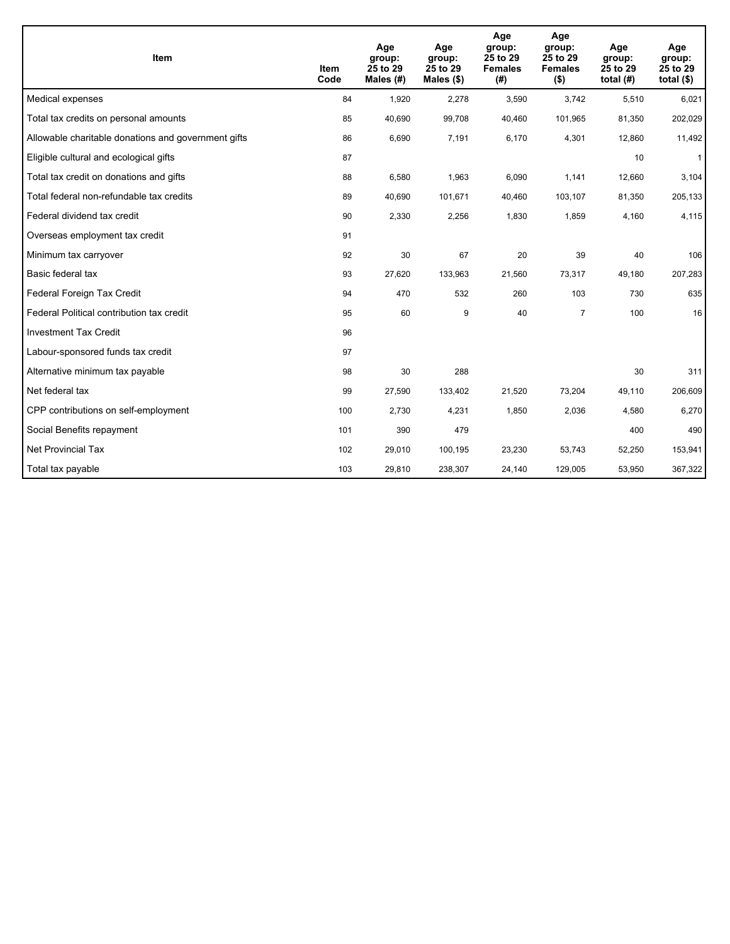| <b>Item</b>                                         | <b>Item</b><br>Code | Age<br>group:<br>25 to 29<br>Males (#) | Age<br>group:<br>25 to 29<br>Males $(\$)$ | Age<br>group:<br>25 to 29<br><b>Females</b><br>(#) | Age<br>group:<br>25 to 29<br><b>Females</b><br>$($ \$) | Age<br>group:<br>25 to 29<br>total $(H)$ | Age<br>group:<br>25 to 29<br>total $($)$ |
|-----------------------------------------------------|---------------------|----------------------------------------|-------------------------------------------|----------------------------------------------------|--------------------------------------------------------|------------------------------------------|------------------------------------------|
| Medical expenses                                    | 84                  | 1,920                                  | 2,278                                     | 3,590                                              | 3,742                                                  | 5,510                                    | 6,021                                    |
| Total tax credits on personal amounts               | 85                  | 40,690                                 | 99,708                                    | 40,460                                             | 101,965                                                | 81,350                                   | 202,029                                  |
| Allowable charitable donations and government gifts | 86                  | 6,690                                  | 7,191                                     | 6,170                                              | 4,301                                                  | 12,860                                   | 11,492                                   |
| Eligible cultural and ecological gifts              | 87                  |                                        |                                           |                                                    |                                                        | 10                                       | $\mathbf{1}$                             |
| Total tax credit on donations and gifts             | 88                  | 6,580                                  | 1,963                                     | 6,090                                              | 1,141                                                  | 12,660                                   | 3,104                                    |
| Total federal non-refundable tax credits            | 89                  | 40,690                                 | 101,671                                   | 40,460                                             | 103,107                                                | 81,350                                   | 205,133                                  |
| Federal dividend tax credit                         | 90                  | 2,330                                  | 2,256                                     | 1,830                                              | 1,859                                                  | 4,160                                    | 4,115                                    |
| Overseas employment tax credit                      | 91                  |                                        |                                           |                                                    |                                                        |                                          |                                          |
| Minimum tax carryover                               | 92                  | 30                                     | 67                                        | 20                                                 | 39                                                     | 40                                       | 106                                      |
| Basic federal tax                                   | 93                  | 27,620                                 | 133,963                                   | 21,560                                             | 73,317                                                 | 49,180                                   | 207,283                                  |
| Federal Foreign Tax Credit                          | 94                  | 470                                    | 532                                       | 260                                                | 103                                                    | 730                                      | 635                                      |
| Federal Political contribution tax credit           | 95                  | 60                                     | 9                                         | 40                                                 | $\overline{7}$                                         | 100                                      | 16                                       |
| <b>Investment Tax Credit</b>                        | 96                  |                                        |                                           |                                                    |                                                        |                                          |                                          |
| Labour-sponsored funds tax credit                   | 97                  |                                        |                                           |                                                    |                                                        |                                          |                                          |
| Alternative minimum tax payable                     | 98                  | 30                                     | 288                                       |                                                    |                                                        | 30                                       | 311                                      |
| Net federal tax                                     | 99                  | 27,590                                 | 133,402                                   | 21,520                                             | 73,204                                                 | 49,110                                   | 206,609                                  |
| CPP contributions on self-employment                | 100                 | 2,730                                  | 4,231                                     | 1,850                                              | 2,036                                                  | 4,580                                    | 6,270                                    |
| Social Benefits repayment                           | 101                 | 390                                    | 479                                       |                                                    |                                                        | 400                                      | 490                                      |
| Net Provincial Tax                                  | 102                 | 29,010                                 | 100,195                                   | 23,230                                             | 53,743                                                 | 52,250                                   | 153,941                                  |
| Total tax payable                                   | 103                 | 29,810                                 | 238,307                                   | 24,140                                             | 129,005                                                | 53,950                                   | 367,322                                  |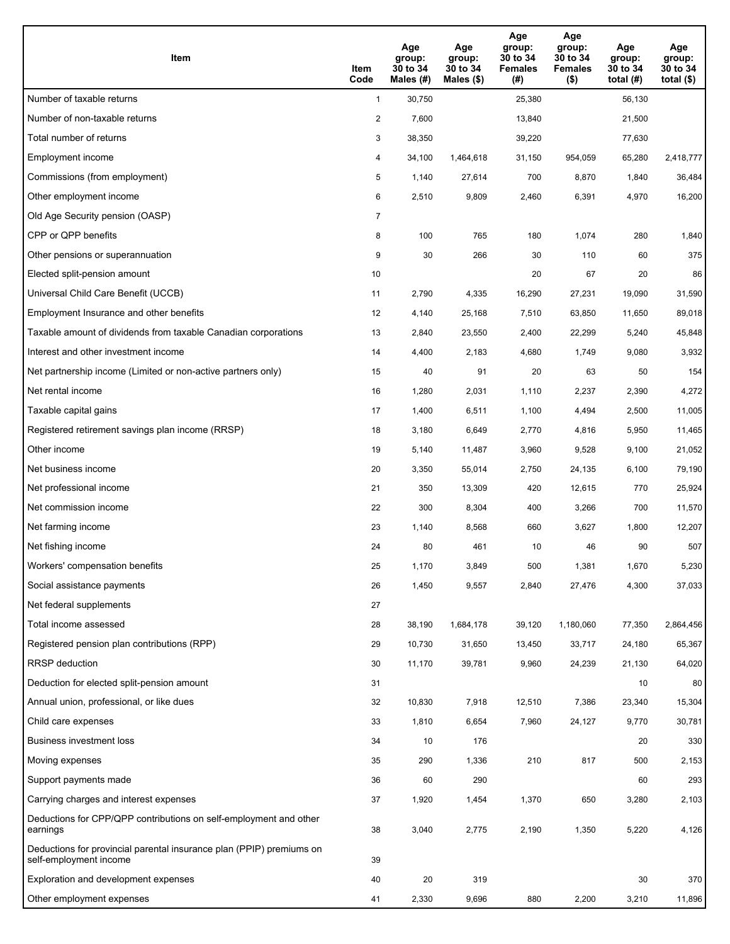| Item                                                                                           | Item<br>Code   | Age<br>group:<br>30 to 34<br>Males (#) | Age<br>group:<br>30 to 34<br>Males $(\$)$ | Age<br>group:<br>30 to 34<br><b>Females</b><br>(#) | Age<br>group:<br>30 to 34<br><b>Females</b><br>$($ \$) | Age<br>group:<br>30 to 34<br>total $(H)$ | Age<br>group:<br>30 to 34<br>total $($)$ |
|------------------------------------------------------------------------------------------------|----------------|----------------------------------------|-------------------------------------------|----------------------------------------------------|--------------------------------------------------------|------------------------------------------|------------------------------------------|
| Number of taxable returns                                                                      | $\mathbf{1}$   | 30,750                                 |                                           | 25,380                                             |                                                        | 56,130                                   |                                          |
| Number of non-taxable returns                                                                  | $\overline{c}$ | 7,600                                  |                                           | 13,840                                             |                                                        | 21,500                                   |                                          |
| Total number of returns                                                                        | 3              | 38,350                                 |                                           | 39,220                                             |                                                        | 77,630                                   |                                          |
| Employment income                                                                              | 4              | 34,100                                 | 1,464,618                                 | 31,150                                             | 954,059                                                | 65,280                                   | 2,418,777                                |
| Commissions (from employment)                                                                  | 5              | 1,140                                  | 27,614                                    | 700                                                | 8,870                                                  | 1,840                                    | 36,484                                   |
| Other employment income                                                                        | 6              | 2,510                                  | 9,809                                     | 2,460                                              | 6,391                                                  | 4,970                                    | 16,200                                   |
| Old Age Security pension (OASP)                                                                | $\overline{7}$ |                                        |                                           |                                                    |                                                        |                                          |                                          |
| CPP or QPP benefits                                                                            | 8              | 100                                    | 765                                       | 180                                                | 1,074                                                  | 280                                      | 1,840                                    |
| Other pensions or superannuation                                                               | 9              | 30                                     | 266                                       | 30                                                 | 110                                                    | 60                                       | 375                                      |
| Elected split-pension amount                                                                   | 10             |                                        |                                           | 20                                                 | 67                                                     | 20                                       | 86                                       |
| Universal Child Care Benefit (UCCB)                                                            | 11             | 2,790                                  | 4,335                                     | 16,290                                             | 27,231                                                 | 19,090                                   | 31,590                                   |
| Employment Insurance and other benefits                                                        | 12             | 4,140                                  | 25,168                                    | 7,510                                              | 63,850                                                 | 11,650                                   | 89,018                                   |
| Taxable amount of dividends from taxable Canadian corporations                                 | 13             | 2,840                                  | 23,550                                    | 2,400                                              | 22,299                                                 | 5,240                                    | 45,848                                   |
| Interest and other investment income                                                           | 14             | 4,400                                  | 2,183                                     | 4,680                                              | 1,749                                                  | 9,080                                    | 3,932                                    |
| Net partnership income (Limited or non-active partners only)                                   | 15             | 40                                     | 91                                        | 20                                                 | 63                                                     | 50                                       | 154                                      |
| Net rental income                                                                              | 16             | 1,280                                  | 2,031                                     | 1,110                                              | 2,237                                                  | 2,390                                    | 4,272                                    |
| Taxable capital gains                                                                          | 17             | 1,400                                  | 6,511                                     | 1,100                                              | 4,494                                                  | 2,500                                    | 11,005                                   |
| Registered retirement savings plan income (RRSP)                                               | 18             | 3,180                                  | 6,649                                     | 2,770                                              | 4,816                                                  | 5,950                                    | 11,465                                   |
| Other income                                                                                   | 19             | 5,140                                  | 11,487                                    | 3,960                                              | 9,528                                                  | 9,100                                    | 21,052                                   |
| Net business income                                                                            | 20             | 3,350                                  | 55,014                                    | 2,750                                              | 24,135                                                 | 6,100                                    | 79,190                                   |
| Net professional income                                                                        | 21             | 350                                    | 13,309                                    | 420                                                | 12,615                                                 | 770                                      | 25,924                                   |
| Net commission income                                                                          | 22             | 300                                    | 8,304                                     | 400                                                | 3,266                                                  | 700                                      | 11,570                                   |
| Net farming income                                                                             | 23             | 1,140                                  | 8,568                                     | 660                                                | 3,627                                                  | 1,800                                    | 12,207                                   |
| Net fishing income                                                                             | 24             | 80                                     | 461                                       | 10                                                 | 46                                                     | 90                                       | 507                                      |
| Workers' compensation benefits                                                                 | 25             | 1,170                                  | 3,849                                     | 500                                                | 1,381                                                  | 1,670                                    | 5,230                                    |
| Social assistance payments                                                                     | 26             | 1,450                                  | 9,557                                     | 2,840                                              | 27,476                                                 | 4,300                                    | 37,033                                   |
| Net federal supplements                                                                        | 27             |                                        |                                           |                                                    |                                                        |                                          |                                          |
| Total income assessed                                                                          | 28             | 38,190                                 | 1,684,178                                 | 39,120                                             | 1,180,060                                              | 77,350                                   | 2,864,456                                |
| Registered pension plan contributions (RPP)                                                    | 29             | 10,730                                 | 31,650                                    | 13,450                                             | 33,717                                                 | 24,180                                   | 65,367                                   |
| RRSP deduction                                                                                 | 30             | 11,170                                 | 39,781                                    | 9,960                                              | 24,239                                                 | 21,130                                   | 64,020                                   |
| Deduction for elected split-pension amount                                                     | 31             |                                        |                                           |                                                    |                                                        | 10                                       | 80                                       |
| Annual union, professional, or like dues                                                       | 32             | 10,830                                 | 7,918                                     | 12,510                                             | 7,386                                                  | 23,340                                   | 15,304                                   |
| Child care expenses                                                                            | 33             | 1,810                                  | 6,654                                     | 7,960                                              | 24,127                                                 | 9,770                                    | 30,781                                   |
| <b>Business investment loss</b>                                                                | 34             | 10                                     | 176                                       |                                                    |                                                        | 20                                       | 330                                      |
| Moving expenses                                                                                | 35             | 290                                    | 1,336                                     | 210                                                | 817                                                    | 500                                      | 2,153                                    |
| Support payments made                                                                          | 36             | 60                                     | 290                                       |                                                    |                                                        | 60                                       | 293                                      |
| Carrying charges and interest expenses                                                         | 37             | 1,920                                  | 1,454                                     | 1,370                                              | 650                                                    | 3,280                                    | 2,103                                    |
| Deductions for CPP/QPP contributions on self-employment and other<br>earnings                  | 38             | 3,040                                  | 2,775                                     | 2,190                                              | 1,350                                                  | 5,220                                    | 4,126                                    |
| Deductions for provincial parental insurance plan (PPIP) premiums on<br>self-employment income | 39             |                                        |                                           |                                                    |                                                        |                                          |                                          |
| Exploration and development expenses                                                           | 40             | 20                                     | 319                                       |                                                    |                                                        | 30                                       | 370                                      |
| Other employment expenses                                                                      | 41             | 2,330                                  | 9,696                                     | 880                                                | 2,200                                                  | 3,210                                    | 11,896                                   |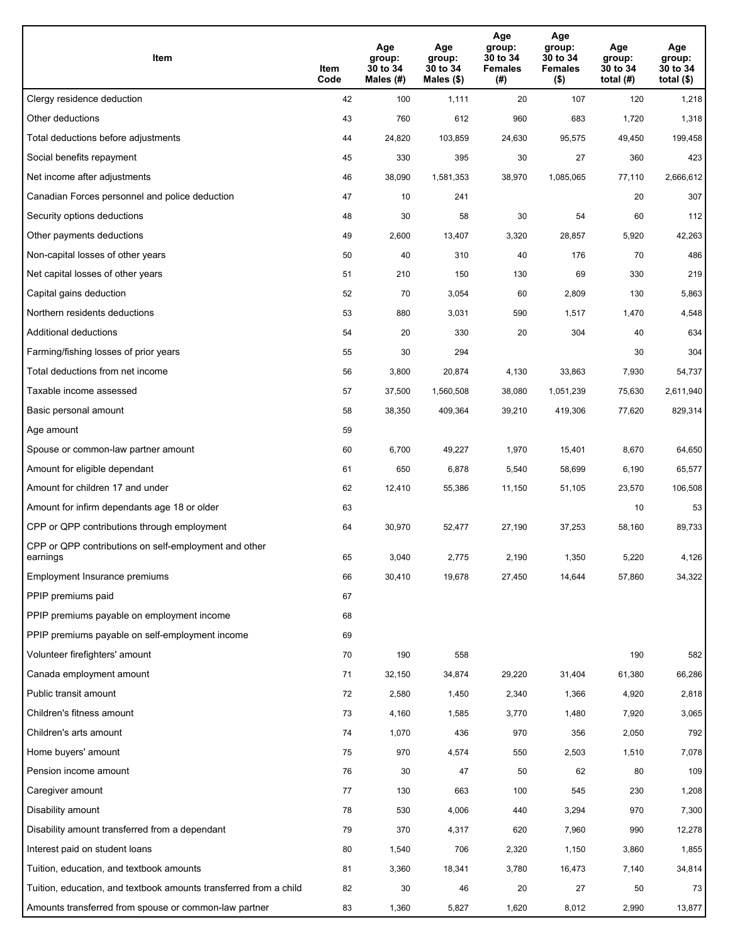| Item                                                              | Item<br>Code | Age<br>group:<br>30 to 34<br>Males (#) | Age<br>group:<br>30 to 34<br>Males (\$) | Age<br>group:<br>30 to 34<br><b>Females</b><br>(# ) | Age<br>group:<br>30 to 34<br><b>Females</b><br>$($ \$) | Age<br>group:<br>30 to 34<br>total $(H)$ | Age<br>group:<br>30 to 34<br>total $($)$ |
|-------------------------------------------------------------------|--------------|----------------------------------------|-----------------------------------------|-----------------------------------------------------|--------------------------------------------------------|------------------------------------------|------------------------------------------|
| Clergy residence deduction                                        | 42           | 100                                    | 1,111                                   | 20                                                  | 107                                                    | 120                                      | 1,218                                    |
| Other deductions                                                  | 43           | 760                                    | 612                                     | 960                                                 | 683                                                    | 1,720                                    | 1,318                                    |
| Total deductions before adjustments                               | 44           | 24,820                                 | 103,859                                 | 24,630                                              | 95,575                                                 | 49,450                                   | 199,458                                  |
| Social benefits repayment                                         | 45           | 330                                    | 395                                     | 30                                                  | 27                                                     | 360                                      | 423                                      |
| Net income after adjustments                                      | 46           | 38,090                                 | 1,581,353                               | 38,970                                              | 1,085,065                                              | 77,110                                   | 2,666,612                                |
| Canadian Forces personnel and police deduction                    | 47           | 10                                     | 241                                     |                                                     |                                                        | 20                                       | 307                                      |
| Security options deductions                                       | 48           | 30                                     | 58                                      | 30                                                  | 54                                                     | 60                                       | 112                                      |
| Other payments deductions                                         | 49           | 2,600                                  | 13,407                                  | 3,320                                               | 28,857                                                 | 5,920                                    | 42,263                                   |
| Non-capital losses of other years                                 | 50           | 40                                     | 310                                     | 40                                                  | 176                                                    | 70                                       | 486                                      |
| Net capital losses of other years                                 | 51           | 210                                    | 150                                     | 130                                                 | 69                                                     | 330                                      | 219                                      |
| Capital gains deduction                                           | 52           | 70                                     | 3,054                                   | 60                                                  | 2,809                                                  | 130                                      | 5,863                                    |
| Northern residents deductions                                     | 53           | 880                                    | 3,031                                   | 590                                                 | 1,517                                                  | 1,470                                    | 4,548                                    |
| Additional deductions                                             | 54           | 20                                     | 330                                     | 20                                                  | 304                                                    | 40                                       | 634                                      |
| Farming/fishing losses of prior years                             | 55           | 30                                     | 294                                     |                                                     |                                                        | 30                                       | 304                                      |
| Total deductions from net income                                  | 56           | 3,800                                  | 20,874                                  | 4,130                                               | 33,863                                                 | 7,930                                    | 54,737                                   |
| Taxable income assessed                                           | 57           | 37,500                                 | 1,560,508                               | 38,080                                              | 1,051,239                                              | 75,630                                   | 2,611,940                                |
| Basic personal amount                                             | 58           | 38,350                                 | 409,364                                 | 39,210                                              | 419,306                                                | 77,620                                   | 829,314                                  |
| Age amount                                                        | 59           |                                        |                                         |                                                     |                                                        |                                          |                                          |
| Spouse or common-law partner amount                               | 60           | 6,700                                  | 49,227                                  | 1,970                                               | 15,401                                                 | 8,670                                    | 64,650                                   |
| Amount for eligible dependant                                     | 61           | 650                                    | 6,878                                   | 5,540                                               | 58,699                                                 | 6,190                                    | 65,577                                   |
| Amount for children 17 and under                                  | 62           | 12,410                                 | 55,386                                  | 11,150                                              | 51,105                                                 | 23,570                                   | 106,508                                  |
| Amount for infirm dependants age 18 or older                      | 63           |                                        |                                         |                                                     |                                                        | 10                                       | 53                                       |
| CPP or QPP contributions through employment                       | 64           | 30,970                                 | 52,477                                  | 27,190                                              | 37,253                                                 | 58,160                                   | 89,733                                   |
| CPP or QPP contributions on self-employment and other<br>earnings | 65           | 3,040                                  | 2,775                                   | 2.190                                               | 1,350                                                  | 5,220                                    | 4,126                                    |
| Employment Insurance premiums                                     | 66           | 30,410                                 | 19,678                                  | 27,450                                              | 14,644                                                 | 57,860                                   | 34,322                                   |
| PPIP premiums paid                                                | 67           |                                        |                                         |                                                     |                                                        |                                          |                                          |
| PPIP premiums payable on employment income                        | 68           |                                        |                                         |                                                     |                                                        |                                          |                                          |
| PPIP premiums payable on self-employment income                   | 69           |                                        |                                         |                                                     |                                                        |                                          |                                          |
| Volunteer firefighters' amount                                    | 70           | 190                                    | 558                                     |                                                     |                                                        | 190                                      | 582                                      |
| Canada employment amount                                          | 71           | 32,150                                 | 34,874                                  | 29,220                                              | 31,404                                                 | 61,380                                   | 66,286                                   |
| Public transit amount                                             | 72           | 2,580                                  | 1,450                                   | 2,340                                               | 1,366                                                  | 4,920                                    | 2,818                                    |
| Children's fitness amount                                         | 73           | 4,160                                  | 1,585                                   | 3,770                                               | 1,480                                                  | 7,920                                    | 3,065                                    |
| Children's arts amount                                            | 74           | 1,070                                  | 436                                     | 970                                                 | 356                                                    | 2,050                                    | 792                                      |
| Home buyers' amount                                               | 75           | 970                                    | 4,574                                   | 550                                                 | 2,503                                                  | 1,510                                    | 7,078                                    |
| Pension income amount                                             | 76           | 30                                     | 47                                      | 50                                                  | 62                                                     | 80                                       | 109                                      |
| Caregiver amount                                                  | 77           | 130                                    | 663                                     | 100                                                 | 545                                                    | 230                                      | 1,208                                    |
| Disability amount                                                 | 78           | 530                                    | 4,006                                   | 440                                                 | 3,294                                                  | 970                                      | 7,300                                    |
| Disability amount transferred from a dependant                    | 79           | 370                                    | 4,317                                   | 620                                                 | 7,960                                                  | 990                                      | 12,278                                   |
| Interest paid on student loans                                    | 80           | 1,540                                  | 706                                     | 2,320                                               | 1,150                                                  | 3,860                                    | 1,855                                    |
| Tuition, education, and textbook amounts                          | 81           | 3,360                                  | 18,341                                  | 3,780                                               | 16,473                                                 | 7,140                                    | 34,814                                   |
| Tuition, education, and textbook amounts transferred from a child | 82           | 30                                     | 46                                      | 20                                                  | 27                                                     | 50                                       | 73                                       |
| Amounts transferred from spouse or common-law partner             | 83           | 1,360                                  | 5,827                                   | 1,620                                               | 8,012                                                  | 2,990                                    | 13,877                                   |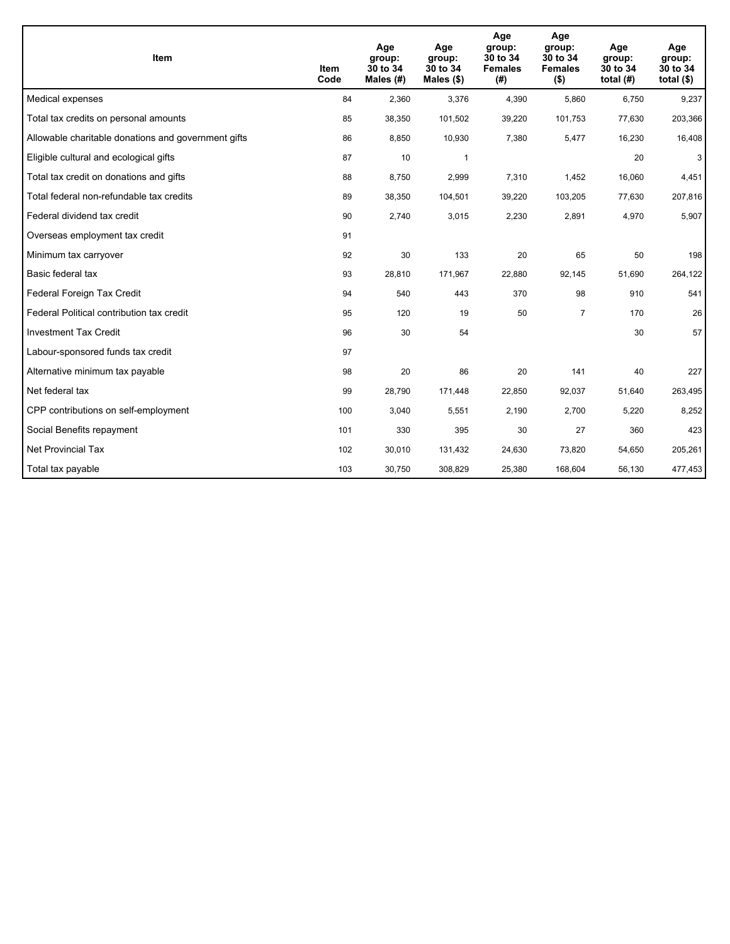| Item                                                | <b>Item</b><br>Code | Age<br>group:<br>30 to 34<br>Males (#) | Age<br>group:<br>30 to 34<br>Males $(\$)$ | Age<br>group:<br>30 to 34<br><b>Females</b><br>(#) | Age<br>group:<br>30 to 34<br><b>Females</b><br>$($ \$) | Age<br>group:<br>30 to 34<br>total $(H)$ | Age<br>group:<br>30 to 34<br>total $($)$ |
|-----------------------------------------------------|---------------------|----------------------------------------|-------------------------------------------|----------------------------------------------------|--------------------------------------------------------|------------------------------------------|------------------------------------------|
| Medical expenses                                    | 84                  | 2,360                                  | 3,376                                     | 4,390                                              | 5,860                                                  | 6,750                                    | 9,237                                    |
| Total tax credits on personal amounts               | 85                  | 38,350                                 | 101,502                                   | 39,220                                             | 101,753                                                | 77,630                                   | 203,366                                  |
| Allowable charitable donations and government gifts | 86                  | 8,850                                  | 10,930                                    | 7,380                                              | 5,477                                                  | 16,230                                   | 16,408                                   |
| Eligible cultural and ecological gifts              | 87                  | 10                                     | 1                                         |                                                    |                                                        | 20                                       | 3                                        |
| Total tax credit on donations and gifts             | 88                  | 8,750                                  | 2,999                                     | 7,310                                              | 1,452                                                  | 16,060                                   | 4,451                                    |
| Total federal non-refundable tax credits            | 89                  | 38,350                                 | 104,501                                   | 39,220                                             | 103,205                                                | 77,630                                   | 207,816                                  |
| Federal dividend tax credit                         | 90                  | 2,740                                  | 3,015                                     | 2,230                                              | 2,891                                                  | 4,970                                    | 5,907                                    |
| Overseas employment tax credit                      | 91                  |                                        |                                           |                                                    |                                                        |                                          |                                          |
| Minimum tax carryover                               | 92                  | 30                                     | 133                                       | 20                                                 | 65                                                     | 50                                       | 198                                      |
| Basic federal tax                                   | 93                  | 28,810                                 | 171,967                                   | 22,880                                             | 92,145                                                 | 51,690                                   | 264,122                                  |
| Federal Foreign Tax Credit                          | 94                  | 540                                    | 443                                       | 370                                                | 98                                                     | 910                                      | 541                                      |
| Federal Political contribution tax credit           | 95                  | 120                                    | 19                                        | 50                                                 | $\overline{7}$                                         | 170                                      | 26                                       |
| <b>Investment Tax Credit</b>                        | 96                  | 30                                     | 54                                        |                                                    |                                                        | 30                                       | 57                                       |
| Labour-sponsored funds tax credit                   | 97                  |                                        |                                           |                                                    |                                                        |                                          |                                          |
| Alternative minimum tax payable                     | 98                  | 20                                     | 86                                        | 20                                                 | 141                                                    | 40                                       | 227                                      |
| Net federal tax                                     | 99                  | 28,790                                 | 171,448                                   | 22,850                                             | 92,037                                                 | 51,640                                   | 263,495                                  |
| CPP contributions on self-employment                | 100                 | 3,040                                  | 5,551                                     | 2,190                                              | 2,700                                                  | 5,220                                    | 8,252                                    |
| Social Benefits repayment                           | 101                 | 330                                    | 395                                       | 30                                                 | 27                                                     | 360                                      | 423                                      |
| Net Provincial Tax                                  | 102                 | 30,010                                 | 131,432                                   | 24,630                                             | 73,820                                                 | 54,650                                   | 205,261                                  |
| Total tax payable                                   | 103                 | 30,750                                 | 308,829                                   | 25,380                                             | 168,604                                                | 56,130                                   | 477,453                                  |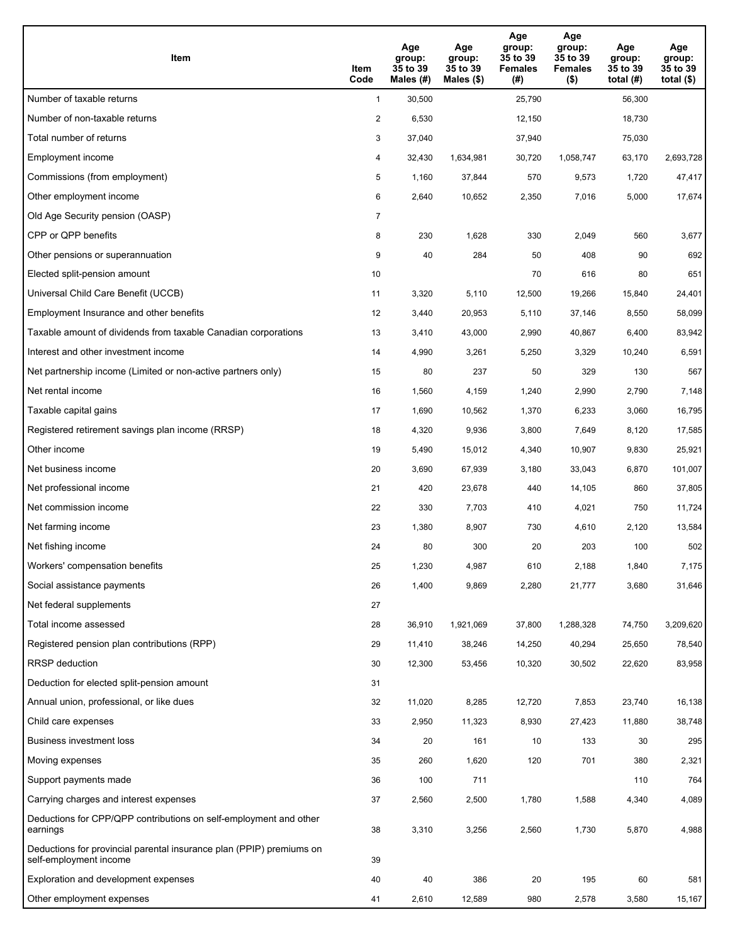| Item                                                                                           | Item<br>Code   | Age<br>group:<br>35 to 39<br>Males (#) | Age<br>group:<br>35 to 39<br>Males $(\$)$ | Age<br>group:<br>35 to 39<br><b>Females</b><br>(#) | Age<br>group:<br>35 to 39<br><b>Females</b><br>$($ \$) | Age<br>group:<br>35 to 39<br>total (#) | Age<br>group:<br>35 to 39<br>total $($ |
|------------------------------------------------------------------------------------------------|----------------|----------------------------------------|-------------------------------------------|----------------------------------------------------|--------------------------------------------------------|----------------------------------------|----------------------------------------|
| Number of taxable returns                                                                      | $\mathbf{1}$   | 30,500                                 |                                           | 25,790                                             |                                                        | 56,300                                 |                                        |
| Number of non-taxable returns                                                                  | $\overline{a}$ | 6,530                                  |                                           | 12,150                                             |                                                        | 18,730                                 |                                        |
| Total number of returns                                                                        | 3              | 37,040                                 |                                           | 37,940                                             |                                                        | 75,030                                 |                                        |
| Employment income                                                                              | 4              | 32,430                                 | 1,634,981                                 | 30,720                                             | 1,058,747                                              | 63,170                                 | 2,693,728                              |
| Commissions (from employment)                                                                  | 5              | 1,160                                  | 37,844                                    | 570                                                | 9,573                                                  | 1,720                                  | 47,417                                 |
| Other employment income                                                                        | 6              | 2,640                                  | 10,652                                    | 2,350                                              | 7,016                                                  | 5,000                                  | 17,674                                 |
| Old Age Security pension (OASP)                                                                | 7              |                                        |                                           |                                                    |                                                        |                                        |                                        |
| CPP or QPP benefits                                                                            | 8              | 230                                    | 1,628                                     | 330                                                | 2,049                                                  | 560                                    | 3,677                                  |
| Other pensions or superannuation                                                               | 9              | 40                                     | 284                                       | 50                                                 | 408                                                    | 90                                     | 692                                    |
| Elected split-pension amount                                                                   | 10             |                                        |                                           | 70                                                 | 616                                                    | 80                                     | 651                                    |
| Universal Child Care Benefit (UCCB)                                                            | 11             | 3,320                                  | 5,110                                     | 12,500                                             | 19,266                                                 | 15.840                                 | 24,401                                 |
| Employment Insurance and other benefits                                                        | 12             | 3,440                                  | 20,953                                    | 5,110                                              | 37,146                                                 | 8,550                                  | 58,099                                 |
| Taxable amount of dividends from taxable Canadian corporations                                 | 13             | 3,410                                  | 43,000                                    | 2,990                                              | 40,867                                                 | 6,400                                  | 83,942                                 |
| Interest and other investment income                                                           | 14             | 4,990                                  | 3,261                                     | 5,250                                              | 3,329                                                  | 10,240                                 | 6,591                                  |
| Net partnership income (Limited or non-active partners only)                                   | 15             | 80                                     | 237                                       | 50                                                 | 329                                                    | 130                                    | 567                                    |
| Net rental income                                                                              | 16             | 1,560                                  | 4,159                                     | 1,240                                              | 2,990                                                  | 2,790                                  | 7,148                                  |
| Taxable capital gains                                                                          | 17             | 1,690                                  | 10,562                                    | 1,370                                              | 6,233                                                  | 3,060                                  | 16,795                                 |
| Registered retirement savings plan income (RRSP)                                               | 18             | 4,320                                  | 9,936                                     | 3,800                                              | 7,649                                                  | 8,120                                  | 17,585                                 |
| Other income                                                                                   | 19             | 5,490                                  | 15,012                                    | 4,340                                              | 10,907                                                 | 9,830                                  | 25,921                                 |
| Net business income                                                                            | 20             | 3,690                                  | 67,939                                    | 3,180                                              | 33,043                                                 | 6,870                                  | 101,007                                |
| Net professional income                                                                        | 21             | 420                                    | 23,678                                    | 440                                                | 14,105                                                 | 860                                    | 37,805                                 |
| Net commission income                                                                          | 22             | 330                                    | 7,703                                     | 410                                                | 4,021                                                  | 750                                    | 11,724                                 |
| Net farming income                                                                             | 23             | 1,380                                  | 8,907                                     | 730                                                | 4,610                                                  | 2,120                                  | 13,584                                 |
| Net fishing income                                                                             | 24             | 80                                     | 300                                       | 20                                                 | 203                                                    | 100                                    | 502                                    |
| Workers' compensation benefits                                                                 | 25             | 1,230                                  | 4,987                                     | 610                                                | 2,188                                                  | 1,840                                  | 7,175                                  |
| Social assistance payments                                                                     | 26             | 1,400                                  | 9,869                                     | 2,280                                              | 21,777                                                 | 3,680                                  | 31,646                                 |
| Net federal supplements                                                                        | 27             |                                        |                                           |                                                    |                                                        |                                        |                                        |
| Total income assessed                                                                          | 28             | 36,910                                 | 1,921,069                                 | 37,800                                             | 1,288,328                                              | 74,750                                 | 3,209,620                              |
| Registered pension plan contributions (RPP)                                                    | 29             | 11,410                                 | 38,246                                    | 14,250                                             | 40,294                                                 | 25,650                                 | 78,540                                 |
| RRSP deduction                                                                                 | 30             | 12,300                                 | 53,456                                    | 10,320                                             | 30,502                                                 | 22,620                                 | 83,958                                 |
| Deduction for elected split-pension amount                                                     | 31             |                                        |                                           |                                                    |                                                        |                                        |                                        |
| Annual union, professional, or like dues                                                       | 32             | 11,020                                 | 8,285                                     | 12,720                                             | 7,853                                                  | 23,740                                 | 16,138                                 |
| Child care expenses                                                                            | 33             | 2,950                                  | 11,323                                    | 8,930                                              | 27,423                                                 | 11,880                                 | 38,748                                 |
| Business investment loss                                                                       | 34             | 20                                     | 161                                       | 10                                                 | 133                                                    | 30                                     | 295                                    |
| Moving expenses                                                                                | 35             | 260                                    | 1,620                                     | 120                                                | 701                                                    | 380                                    | 2,321                                  |
| Support payments made                                                                          | 36             | 100                                    | 711                                       |                                                    |                                                        | 110                                    | 764                                    |
| Carrying charges and interest expenses                                                         | 37             | 2,560                                  | 2,500                                     | 1,780                                              | 1,588                                                  | 4,340                                  | 4,089                                  |
| Deductions for CPP/QPP contributions on self-employment and other<br>earnings                  | 38             | 3,310                                  | 3,256                                     | 2,560                                              | 1,730                                                  | 5,870                                  | 4,988                                  |
| Deductions for provincial parental insurance plan (PPIP) premiums on<br>self-employment income | 39             |                                        |                                           |                                                    |                                                        |                                        |                                        |
| Exploration and development expenses                                                           | 40             | 40                                     | 386                                       | 20                                                 | 195                                                    | 60                                     | 581                                    |
| Other employment expenses                                                                      | 41             | 2,610                                  | 12,589                                    | 980                                                | 2,578                                                  | 3,580                                  | 15,167                                 |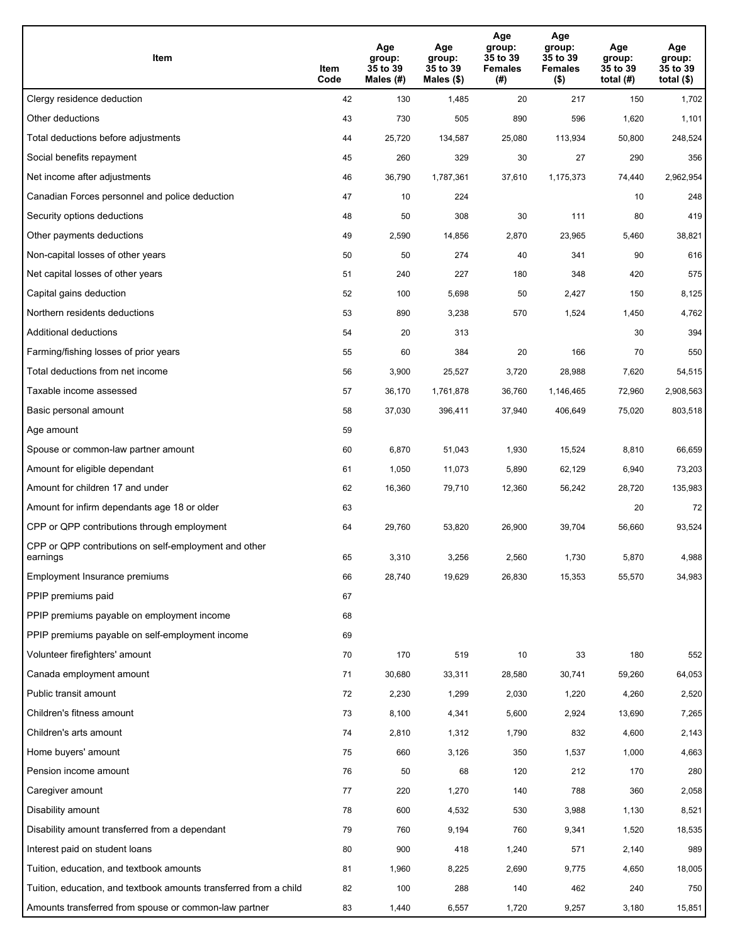| Item                                                              | Item<br>Code | Age<br>group:<br>35 to 39<br>Males (#) | Age<br>group:<br>35 to 39<br>Males (\$) | Age<br>group:<br>35 to 39<br><b>Females</b><br>(# ) | Age<br>group:<br>35 to 39<br><b>Females</b><br>$($ \$) | Age<br>group:<br>35 to 39<br>total $(H)$ | Age<br>group:<br>35 to 39<br>total $($)$ |
|-------------------------------------------------------------------|--------------|----------------------------------------|-----------------------------------------|-----------------------------------------------------|--------------------------------------------------------|------------------------------------------|------------------------------------------|
| Clergy residence deduction                                        | 42           | 130                                    | 1,485                                   | 20                                                  | 217                                                    | 150                                      | 1,702                                    |
| Other deductions                                                  | 43           | 730                                    | 505                                     | 890                                                 | 596                                                    | 1,620                                    | 1,101                                    |
| Total deductions before adjustments                               | 44           | 25,720                                 | 134,587                                 | 25,080                                              | 113,934                                                | 50,800                                   | 248,524                                  |
| Social benefits repayment                                         | 45           | 260                                    | 329                                     | 30                                                  | 27                                                     | 290                                      | 356                                      |
| Net income after adjustments                                      | 46           | 36,790                                 | 1,787,361                               | 37,610                                              | 1,175,373                                              | 74,440                                   | 2,962,954                                |
| Canadian Forces personnel and police deduction                    | 47           | 10                                     | 224                                     |                                                     |                                                        | 10                                       | 248                                      |
| Security options deductions                                       | 48           | 50                                     | 308                                     | 30                                                  | 111                                                    | 80                                       | 419                                      |
| Other payments deductions                                         | 49           | 2,590                                  | 14,856                                  | 2,870                                               | 23,965                                                 | 5,460                                    | 38,821                                   |
| Non-capital losses of other years                                 | 50           | 50                                     | 274                                     | 40                                                  | 341                                                    | 90                                       | 616                                      |
| Net capital losses of other years                                 | 51           | 240                                    | 227                                     | 180                                                 | 348                                                    | 420                                      | 575                                      |
| Capital gains deduction                                           | 52           | 100                                    | 5,698                                   | 50                                                  | 2,427                                                  | 150                                      | 8,125                                    |
| Northern residents deductions                                     | 53           | 890                                    | 3,238                                   | 570                                                 | 1,524                                                  | 1,450                                    | 4,762                                    |
| Additional deductions                                             | 54           | 20                                     | 313                                     |                                                     |                                                        | 30                                       | 394                                      |
| Farming/fishing losses of prior years                             | 55           | 60                                     | 384                                     | 20                                                  | 166                                                    | 70                                       | 550                                      |
| Total deductions from net income                                  | 56           | 3,900                                  | 25,527                                  | 3,720                                               | 28,988                                                 | 7,620                                    | 54,515                                   |
| Taxable income assessed                                           | 57           | 36,170                                 | 1,761,878                               | 36,760                                              | 1,146,465                                              | 72,960                                   | 2,908,563                                |
| Basic personal amount                                             | 58           | 37,030                                 | 396,411                                 | 37,940                                              | 406,649                                                | 75,020                                   | 803,518                                  |
| Age amount                                                        | 59           |                                        |                                         |                                                     |                                                        |                                          |                                          |
| Spouse or common-law partner amount                               | 60           | 6,870                                  | 51,043                                  | 1,930                                               | 15,524                                                 | 8,810                                    | 66,659                                   |
| Amount for eligible dependant                                     | 61           | 1,050                                  | 11,073                                  | 5,890                                               | 62,129                                                 | 6,940                                    | 73,203                                   |
| Amount for children 17 and under                                  | 62           | 16,360                                 | 79,710                                  | 12,360                                              | 56,242                                                 | 28,720                                   | 135,983                                  |
| Amount for infirm dependants age 18 or older                      | 63           |                                        |                                         |                                                     |                                                        | 20                                       | 72                                       |
| CPP or QPP contributions through employment                       | 64           | 29,760                                 | 53,820                                  | 26,900                                              | 39,704                                                 | 56,660                                   | 93,524                                   |
| CPP or QPP contributions on self-employment and other<br>earnings | 65           | 3,310                                  | 3,256                                   | 2,560                                               | 1,730                                                  | 5,870                                    | 4,988                                    |
| Employment Insurance premiums                                     | 66           | 28,740                                 | 19,629                                  | 26,830                                              | 15,353                                                 | 55,570                                   | 34,983                                   |
| PPIP premiums paid                                                | 67           |                                        |                                         |                                                     |                                                        |                                          |                                          |
| PPIP premiums payable on employment income                        | 68           |                                        |                                         |                                                     |                                                        |                                          |                                          |
| PPIP premiums payable on self-employment income                   | 69           |                                        |                                         |                                                     |                                                        |                                          |                                          |
| Volunteer firefighters' amount                                    | 70           | 170                                    | 519                                     | 10                                                  | 33                                                     | 180                                      | 552                                      |
| Canada employment amount                                          | 71           | 30,680                                 | 33,311                                  | 28,580                                              | 30,741                                                 | 59,260                                   | 64,053                                   |
| Public transit amount                                             | 72           | 2,230                                  | 1,299                                   | 2,030                                               | 1,220                                                  | 4,260                                    | 2,520                                    |
| Children's fitness amount                                         | 73           | 8,100                                  | 4,341                                   | 5,600                                               | 2,924                                                  | 13,690                                   | 7,265                                    |
| Children's arts amount                                            | 74           | 2,810                                  | 1,312                                   | 1,790                                               | 832                                                    | 4,600                                    | 2,143                                    |
| Home buyers' amount                                               | 75           | 660                                    | 3,126                                   | 350                                                 | 1,537                                                  | 1,000                                    | 4,663                                    |
| Pension income amount                                             | 76           | 50                                     | 68                                      | 120                                                 | 212                                                    | 170                                      | 280                                      |
| Caregiver amount                                                  | $77\,$       | 220                                    | 1,270                                   | 140                                                 | 788                                                    | 360                                      | 2,058                                    |
| Disability amount                                                 | 78           | 600                                    | 4,532                                   | 530                                                 | 3,988                                                  | 1,130                                    | 8,521                                    |
| Disability amount transferred from a dependant                    | 79           | 760                                    | 9,194                                   | 760                                                 | 9,341                                                  | 1,520                                    | 18,535                                   |
| Interest paid on student loans                                    | 80           | 900                                    | 418                                     | 1,240                                               | 571                                                    | 2,140                                    | 989                                      |
| Tuition, education, and textbook amounts                          | 81           | 1,960                                  | 8,225                                   | 2,690                                               | 9,775                                                  | 4,650                                    | 18,005                                   |
| Tuition, education, and textbook amounts transferred from a child | 82           | 100                                    | 288                                     | 140                                                 | 462                                                    | 240                                      | 750                                      |
| Amounts transferred from spouse or common-law partner             | 83           | 1,440                                  | 6,557                                   | 1,720                                               | 9,257                                                  | 3,180                                    | 15,851                                   |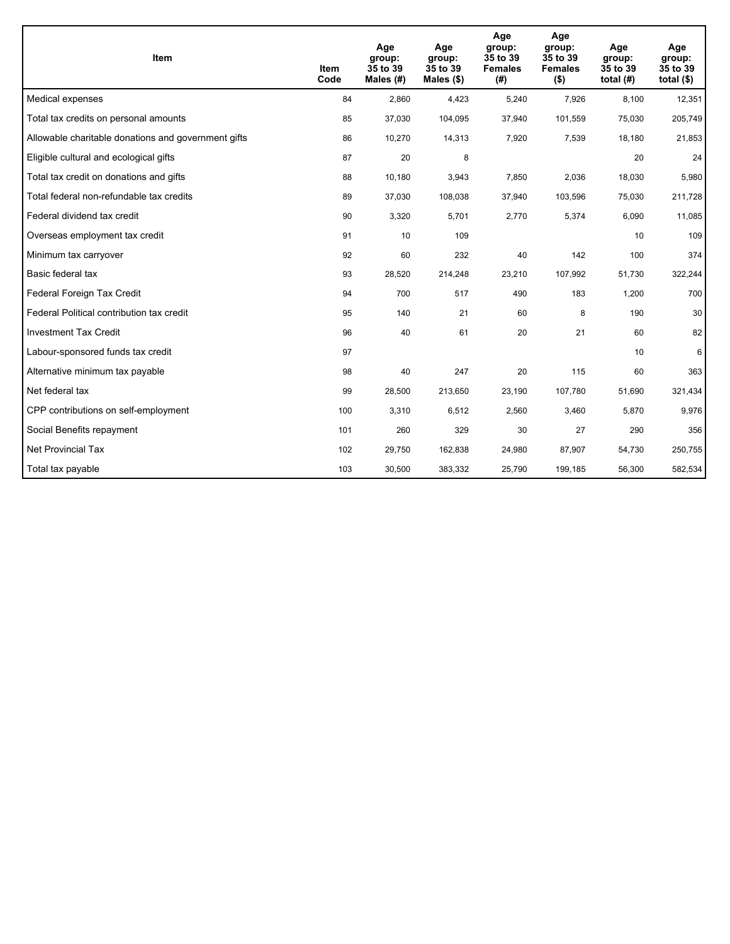| <b>Item</b>                                         | Item<br>Code | Age<br>group:<br>35 to 39<br>Males (#) | Age<br>group:<br>35 to 39<br>Males $(\$)$ | Age<br>group:<br>35 to 39<br><b>Females</b><br>(#) | Age<br>group:<br>35 to 39<br><b>Females</b><br>$($ \$) | Age<br>group:<br>35 to 39<br>total $(H)$ | Age<br>group:<br>35 to 39<br>total $($)$ |
|-----------------------------------------------------|--------------|----------------------------------------|-------------------------------------------|----------------------------------------------------|--------------------------------------------------------|------------------------------------------|------------------------------------------|
| Medical expenses                                    | 84           | 2,860                                  | 4,423                                     | 5,240                                              | 7,926                                                  | 8,100                                    | 12,351                                   |
| Total tax credits on personal amounts               | 85           | 37,030                                 | 104,095                                   | 37,940                                             | 101,559                                                | 75,030                                   | 205,749                                  |
| Allowable charitable donations and government gifts | 86           | 10,270                                 | 14,313                                    | 7,920                                              | 7,539                                                  | 18,180                                   | 21,853                                   |
| Eligible cultural and ecological gifts              | 87           | 20                                     | 8                                         |                                                    |                                                        | 20                                       | 24                                       |
| Total tax credit on donations and gifts             | 88           | 10,180                                 | 3,943                                     | 7,850                                              | 2,036                                                  | 18,030                                   | 5,980                                    |
| Total federal non-refundable tax credits            | 89           | 37,030                                 | 108,038                                   | 37,940                                             | 103,596                                                | 75,030                                   | 211,728                                  |
| Federal dividend tax credit                         | 90           | 3,320                                  | 5,701                                     | 2,770                                              | 5,374                                                  | 6,090                                    | 11,085                                   |
| Overseas employment tax credit                      | 91           | 10                                     | 109                                       |                                                    |                                                        | 10                                       | 109                                      |
| Minimum tax carryover                               | 92           | 60                                     | 232                                       | 40                                                 | 142                                                    | 100                                      | 374                                      |
| Basic federal tax                                   | 93           | 28,520                                 | 214,248                                   | 23,210                                             | 107,992                                                | 51,730                                   | 322,244                                  |
| Federal Foreign Tax Credit                          | 94           | 700                                    | 517                                       | 490                                                | 183                                                    | 1,200                                    | 700                                      |
| Federal Political contribution tax credit           | 95           | 140                                    | 21                                        | 60                                                 | 8                                                      | 190                                      | 30                                       |
| <b>Investment Tax Credit</b>                        | 96           | 40                                     | 61                                        | 20                                                 | 21                                                     | 60                                       | 82                                       |
| Labour-sponsored funds tax credit                   | 97           |                                        |                                           |                                                    |                                                        | 10                                       | 6                                        |
| Alternative minimum tax payable                     | 98           | 40                                     | 247                                       | 20                                                 | 115                                                    | 60                                       | 363                                      |
| Net federal tax                                     | 99           | 28,500                                 | 213,650                                   | 23,190                                             | 107,780                                                | 51,690                                   | 321,434                                  |
| CPP contributions on self-employment                | 100          | 3,310                                  | 6,512                                     | 2,560                                              | 3,460                                                  | 5,870                                    | 9,976                                    |
| Social Benefits repayment                           | 101          | 260                                    | 329                                       | 30                                                 | 27                                                     | 290                                      | 356                                      |
| Net Provincial Tax                                  | 102          | 29,750                                 | 162,838                                   | 24,980                                             | 87,907                                                 | 54,730                                   | 250,755                                  |
| Total tax payable                                   | 103          | 30,500                                 | 383,332                                   | 25,790                                             | 199,185                                                | 56,300                                   | 582,534                                  |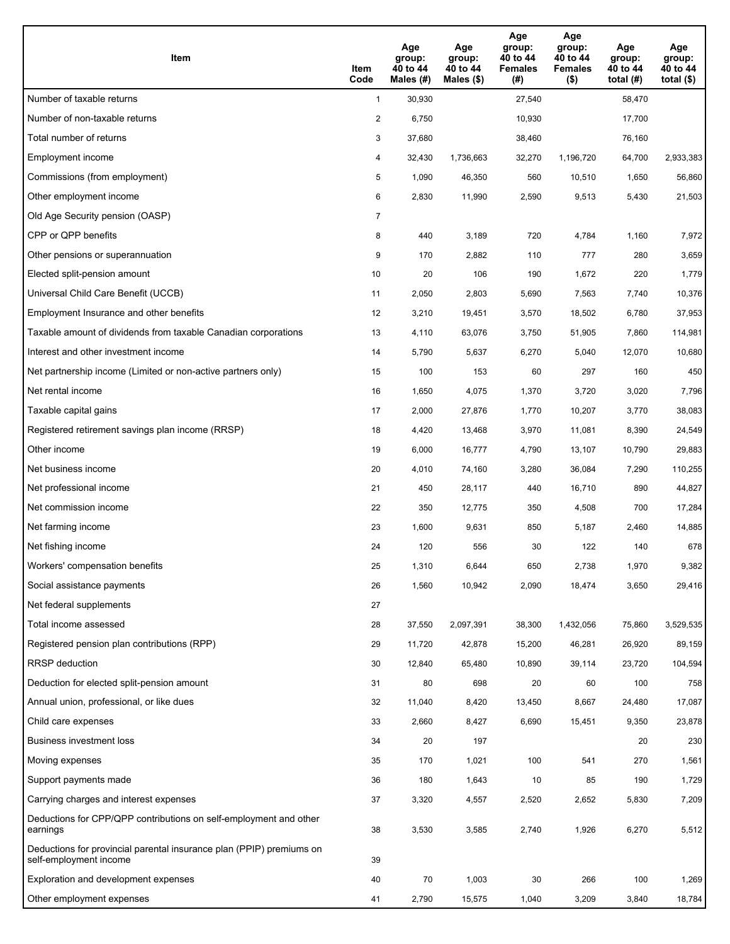| Item                                                                                           | Item<br>Code   | Age<br>group:<br>40 to 44<br>Males (#) | Age<br>group:<br>40 to 44<br>Males $(\$)$ | Age<br>group:<br>40 to 44<br><b>Females</b><br>(#) | Age<br>group:<br>40 to 44<br><b>Females</b><br>$($ \$) | Age<br>group:<br>40 to 44<br>total $(H)$ | Age<br>group:<br>40 to 44<br>total $($ |
|------------------------------------------------------------------------------------------------|----------------|----------------------------------------|-------------------------------------------|----------------------------------------------------|--------------------------------------------------------|------------------------------------------|----------------------------------------|
| Number of taxable returns                                                                      | $\mathbf{1}$   | 30,930                                 |                                           | 27,540                                             |                                                        | 58,470                                   |                                        |
| Number of non-taxable returns                                                                  | $\overline{a}$ | 6,750                                  |                                           | 10,930                                             |                                                        | 17,700                                   |                                        |
| Total number of returns                                                                        | 3              | 37,680                                 |                                           | 38,460                                             |                                                        | 76,160                                   |                                        |
| Employment income                                                                              | 4              | 32,430                                 | 1,736,663                                 | 32,270                                             | 1,196,720                                              | 64,700                                   | 2,933,383                              |
| Commissions (from employment)                                                                  | 5              | 1,090                                  | 46,350                                    | 560                                                | 10,510                                                 | 1,650                                    | 56,860                                 |
| Other employment income                                                                        | 6              | 2,830                                  | 11,990                                    | 2,590                                              | 9,513                                                  | 5,430                                    | 21,503                                 |
| Old Age Security pension (OASP)                                                                | 7              |                                        |                                           |                                                    |                                                        |                                          |                                        |
| CPP or QPP benefits                                                                            | 8              | 440                                    | 3,189                                     | 720                                                | 4,784                                                  | 1,160                                    | 7,972                                  |
| Other pensions or superannuation                                                               | 9              | 170                                    | 2,882                                     | 110                                                | 777                                                    | 280                                      | 3,659                                  |
| Elected split-pension amount                                                                   | 10             | 20                                     | 106                                       | 190                                                | 1,672                                                  | 220                                      | 1,779                                  |
| Universal Child Care Benefit (UCCB)                                                            | 11             | 2,050                                  | 2,803                                     | 5,690                                              | 7,563                                                  | 7,740                                    | 10,376                                 |
| Employment Insurance and other benefits                                                        | 12             | 3,210                                  | 19,451                                    | 3,570                                              | 18,502                                                 | 6,780                                    | 37,953                                 |
| Taxable amount of dividends from taxable Canadian corporations                                 | 13             | 4,110                                  | 63,076                                    | 3,750                                              | 51,905                                                 | 7,860                                    | 114,981                                |
| Interest and other investment income                                                           | 14             | 5,790                                  | 5,637                                     | 6,270                                              | 5,040                                                  | 12,070                                   | 10,680                                 |
| Net partnership income (Limited or non-active partners only)                                   | 15             | 100                                    | 153                                       | 60                                                 | 297                                                    | 160                                      | 450                                    |
| Net rental income                                                                              | 16             | 1,650                                  | 4,075                                     | 1,370                                              | 3,720                                                  | 3,020                                    | 7,796                                  |
| Taxable capital gains                                                                          | 17             | 2,000                                  | 27,876                                    | 1,770                                              | 10,207                                                 | 3,770                                    | 38,083                                 |
| Registered retirement savings plan income (RRSP)                                               | 18             | 4,420                                  | 13,468                                    | 3,970                                              | 11,081                                                 | 8,390                                    | 24,549                                 |
| Other income                                                                                   | 19             | 6,000                                  | 16,777                                    | 4,790                                              | 13,107                                                 | 10,790                                   | 29,883                                 |
| Net business income                                                                            | 20             | 4,010                                  | 74,160                                    | 3,280                                              | 36,084                                                 | 7,290                                    | 110,255                                |
| Net professional income                                                                        | 21             | 450                                    | 28,117                                    | 440                                                | 16,710                                                 | 890                                      | 44,827                                 |
| Net commission income                                                                          | 22             | 350                                    | 12,775                                    | 350                                                | 4,508                                                  | 700                                      | 17,284                                 |
| Net farming income                                                                             | 23             | 1,600                                  | 9,631                                     | 850                                                | 5,187                                                  | 2,460                                    | 14,885                                 |
| Net fishing income                                                                             | 24             | 120                                    | 556                                       | 30                                                 | 122                                                    | 140                                      | 678                                    |
| Workers' compensation benefits                                                                 | 25             | 1,310                                  | 6,644                                     | 650                                                | 2,738                                                  | 1,970                                    | 9,382                                  |
| Social assistance payments                                                                     | 26             | 1,560                                  | 10,942                                    | 2,090                                              | 18,474                                                 | 3,650                                    | 29,416                                 |
| Net federal supplements                                                                        | 27             |                                        |                                           |                                                    |                                                        |                                          |                                        |
| Total income assessed                                                                          | 28             | 37,550                                 | 2,097,391                                 | 38,300                                             | 1,432,056                                              | 75,860                                   | 3,529,535                              |
| Registered pension plan contributions (RPP)                                                    | 29             | 11,720                                 | 42,878                                    | 15,200                                             | 46,281                                                 | 26,920                                   | 89,159                                 |
| RRSP deduction                                                                                 | 30             | 12,840                                 | 65,480                                    | 10,890                                             | 39,114                                                 | 23,720                                   | 104,594                                |
| Deduction for elected split-pension amount                                                     | 31             | 80                                     | 698                                       | 20                                                 | 60                                                     | 100                                      | 758                                    |
| Annual union, professional, or like dues                                                       | 32             | 11,040                                 | 8,420                                     | 13,450                                             | 8,667                                                  | 24,480                                   | 17,087                                 |
| Child care expenses                                                                            | 33             | 2,660                                  | 8,427                                     | 6,690                                              | 15,451                                                 | 9,350                                    | 23,878                                 |
| Business investment loss                                                                       | 34             | 20                                     | 197                                       |                                                    |                                                        | 20                                       | 230                                    |
| Moving expenses                                                                                | 35             | 170                                    | 1,021                                     | 100                                                | 541                                                    | 270                                      | 1,561                                  |
| Support payments made                                                                          | 36             | 180                                    | 1,643                                     | 10                                                 | 85                                                     | 190                                      | 1,729                                  |
| Carrying charges and interest expenses                                                         | 37             | 3,320                                  | 4,557                                     | 2,520                                              | 2,652                                                  | 5,830                                    | 7,209                                  |
| Deductions for CPP/QPP contributions on self-employment and other<br>earnings                  | 38             | 3,530                                  | 3,585                                     | 2,740                                              | 1,926                                                  | 6,270                                    | 5,512                                  |
| Deductions for provincial parental insurance plan (PPIP) premiums on<br>self-employment income | 39             |                                        |                                           |                                                    |                                                        |                                          |                                        |
| Exploration and development expenses                                                           | 40             | 70                                     | 1,003                                     | 30                                                 | 266                                                    | 100                                      | 1,269                                  |
| Other employment expenses                                                                      | 41             | 2,790                                  | 15,575                                    | 1,040                                              | 3,209                                                  | 3,840                                    | 18,784                                 |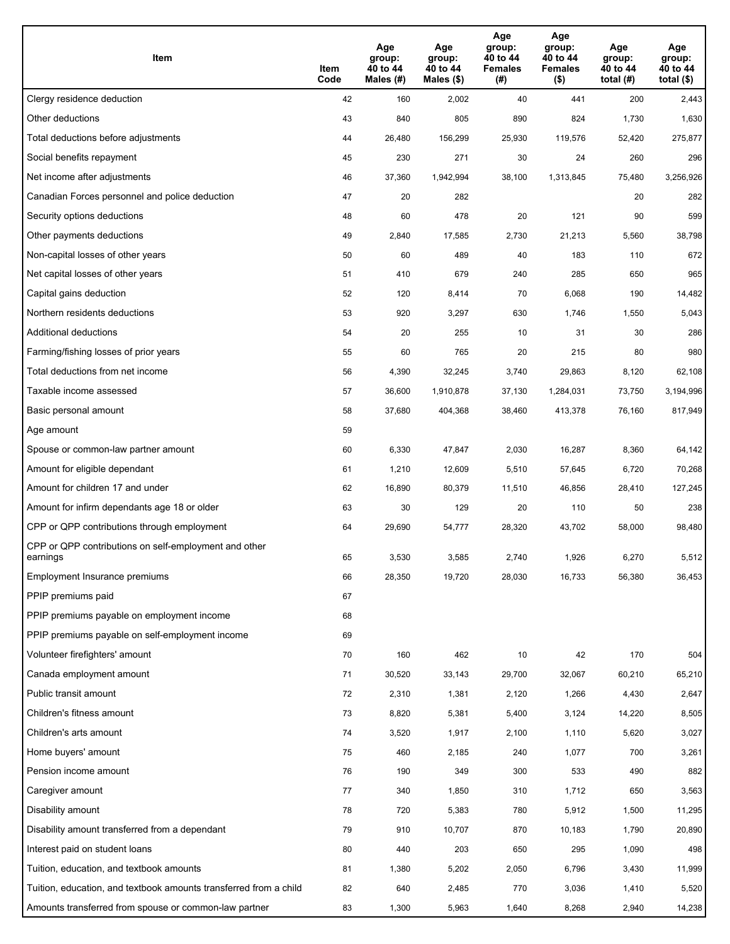| Item                                                              | Item<br>Code | Age<br>group:<br>40 to 44<br>Males (#) | Age<br>group:<br>40 to 44<br>Males (\$) | Age<br>group:<br>40 to 44<br><b>Females</b><br>(# ) | Age<br>group:<br>40 to 44<br>Females<br>$($ \$) | Age<br>group:<br>40 to 44<br>total $(H)$ | Age<br>group:<br>40 to 44<br>total $($)$ |
|-------------------------------------------------------------------|--------------|----------------------------------------|-----------------------------------------|-----------------------------------------------------|-------------------------------------------------|------------------------------------------|------------------------------------------|
| Clergy residence deduction                                        | 42           | 160                                    | 2,002                                   | 40                                                  | 441                                             | 200                                      | 2,443                                    |
| Other deductions                                                  | 43           | 840                                    | 805                                     | 890                                                 | 824                                             | 1,730                                    | 1,630                                    |
| Total deductions before adjustments                               | 44           | 26,480                                 | 156,299                                 | 25,930                                              | 119,576                                         | 52,420                                   | 275,877                                  |
| Social benefits repayment                                         | 45           | 230                                    | 271                                     | 30                                                  | 24                                              | 260                                      | 296                                      |
| Net income after adjustments                                      | 46           | 37,360                                 | 1,942,994                               | 38,100                                              | 1,313,845                                       | 75,480                                   | 3,256,926                                |
| Canadian Forces personnel and police deduction                    | 47           | 20                                     | 282                                     |                                                     |                                                 | 20                                       | 282                                      |
| Security options deductions                                       | 48           | 60                                     | 478                                     | 20                                                  | 121                                             | 90                                       | 599                                      |
| Other payments deductions                                         | 49           | 2,840                                  | 17,585                                  | 2,730                                               | 21,213                                          | 5,560                                    | 38,798                                   |
| Non-capital losses of other years                                 | 50           | 60                                     | 489                                     | 40                                                  | 183                                             | 110                                      | 672                                      |
| Net capital losses of other years                                 | 51           | 410                                    | 679                                     | 240                                                 | 285                                             | 650                                      | 965                                      |
| Capital gains deduction                                           | 52           | 120                                    | 8,414                                   | 70                                                  | 6,068                                           | 190                                      | 14,482                                   |
| Northern residents deductions                                     | 53           | 920                                    | 3,297                                   | 630                                                 | 1,746                                           | 1,550                                    | 5,043                                    |
| Additional deductions                                             | 54           | 20                                     | 255                                     | 10                                                  | 31                                              | 30                                       | 286                                      |
| Farming/fishing losses of prior years                             | 55           | 60                                     | 765                                     | 20                                                  | 215                                             | 80                                       | 980                                      |
| Total deductions from net income                                  | 56           | 4,390                                  | 32,245                                  | 3,740                                               | 29,863                                          | 8,120                                    | 62,108                                   |
| Taxable income assessed                                           | 57           | 36,600                                 | 1,910,878                               | 37,130                                              | 1,284,031                                       | 73,750                                   | 3,194,996                                |
| Basic personal amount                                             | 58           | 37,680                                 | 404,368                                 | 38,460                                              | 413,378                                         | 76,160                                   | 817,949                                  |
| Age amount                                                        | 59           |                                        |                                         |                                                     |                                                 |                                          |                                          |
| Spouse or common-law partner amount                               | 60           | 6,330                                  | 47,847                                  | 2,030                                               | 16,287                                          | 8,360                                    | 64,142                                   |
| Amount for eligible dependant                                     | 61           | 1,210                                  | 12,609                                  | 5,510                                               | 57,645                                          | 6,720                                    | 70,268                                   |
| Amount for children 17 and under                                  | 62           | 16,890                                 | 80,379                                  | 11,510                                              | 46,856                                          | 28,410                                   | 127,245                                  |
| Amount for infirm dependants age 18 or older                      | 63           | 30                                     | 129                                     | 20                                                  | 110                                             | 50                                       | 238                                      |
| CPP or QPP contributions through employment                       | 64           | 29,690                                 | 54,777                                  | 28,320                                              | 43,702                                          | 58,000                                   | 98,480                                   |
| CPP or QPP contributions on self-employment and other<br>earnings | 65           | 3,530                                  | 3,585                                   | 2,740                                               | 1,926                                           | 6,270                                    | 5,512                                    |
| Employment Insurance premiums                                     | 66           | 28,350                                 | 19,720                                  | 28,030                                              | 16,733                                          | 56,380                                   | 36,453                                   |
| PPIP premiums paid                                                | 67           |                                        |                                         |                                                     |                                                 |                                          |                                          |
| PPIP premiums payable on employment income                        | 68           |                                        |                                         |                                                     |                                                 |                                          |                                          |
| PPIP premiums payable on self-employment income                   | 69           |                                        |                                         |                                                     |                                                 |                                          |                                          |
| Volunteer firefighters' amount                                    | 70           | 160                                    | 462                                     | 10                                                  | 42                                              | 170                                      | 504                                      |
| Canada employment amount                                          | 71           | 30,520                                 | 33,143                                  | 29,700                                              | 32,067                                          | 60,210                                   | 65,210                                   |
| Public transit amount                                             | 72           | 2,310                                  | 1,381                                   | 2,120                                               | 1,266                                           | 4,430                                    | 2,647                                    |
| Children's fitness amount                                         | 73           | 8,820                                  | 5,381                                   | 5,400                                               | 3,124                                           | 14,220                                   | 8,505                                    |
| Children's arts amount                                            | 74           | 3,520                                  | 1,917                                   | 2,100                                               | 1,110                                           | 5,620                                    | 3,027                                    |
| Home buyers' amount                                               | 75           | 460                                    | 2,185                                   | 240                                                 | 1,077                                           | 700                                      | 3,261                                    |
| Pension income amount                                             | 76           | 190                                    | 349                                     | 300                                                 | 533                                             | 490                                      | 882                                      |
| Caregiver amount                                                  | 77           | 340                                    | 1,850                                   | 310                                                 | 1,712                                           | 650                                      | 3,563                                    |
| Disability amount                                                 | 78           | 720                                    | 5,383                                   | 780                                                 | 5,912                                           | 1,500                                    | 11,295                                   |
| Disability amount transferred from a dependant                    | 79           | 910                                    | 10,707                                  | 870                                                 | 10,183                                          | 1,790                                    | 20,890                                   |
| Interest paid on student loans                                    | 80           | 440                                    | 203                                     | 650                                                 | 295                                             | 1,090                                    | 498                                      |
| Tuition, education, and textbook amounts                          | 81           | 1,380                                  | 5,202                                   | 2,050                                               | 6,796                                           | 3,430                                    | 11,999                                   |
| Tuition, education, and textbook amounts transferred from a child | 82           | 640                                    | 2,485                                   | 770                                                 | 3,036                                           | 1,410                                    | 5,520                                    |
| Amounts transferred from spouse or common-law partner             | 83           | 1,300                                  | 5,963                                   | 1,640                                               | 8,268                                           | 2,940                                    | 14,238                                   |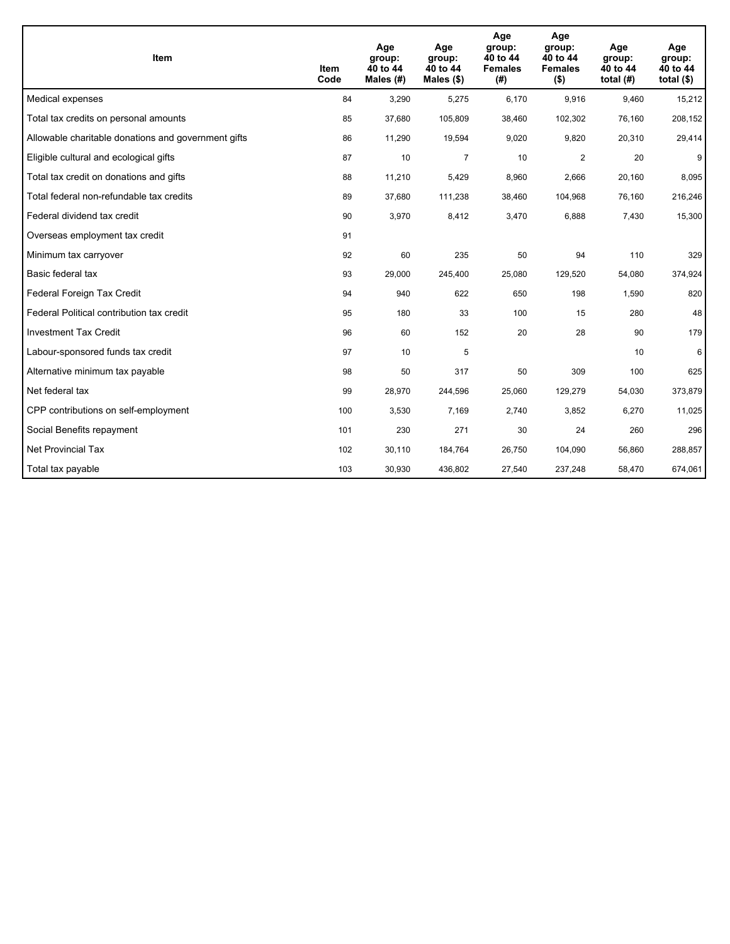| <b>Item</b>                                         | Item<br>Code | Age<br>group:<br>40 to 44<br>Males (#) | Age<br>group:<br>40 to 44<br>Males $(\$)$ | Age<br>group:<br>40 to 44<br><b>Females</b><br>(#) | Age<br>group:<br>40 to 44<br><b>Females</b><br>$($ \$) | Age<br>group:<br>40 to 44<br>total $(H)$ | Age<br>group:<br>40 to 44<br>total $($)$ |
|-----------------------------------------------------|--------------|----------------------------------------|-------------------------------------------|----------------------------------------------------|--------------------------------------------------------|------------------------------------------|------------------------------------------|
| Medical expenses                                    | 84           | 3,290                                  | 5,275                                     | 6,170                                              | 9,916                                                  | 9,460                                    | 15,212                                   |
| Total tax credits on personal amounts               | 85           | 37,680                                 | 105,809                                   | 38,460                                             | 102,302                                                | 76,160                                   | 208,152                                  |
| Allowable charitable donations and government gifts | 86           | 11,290                                 | 19,594                                    | 9,020                                              | 9,820                                                  | 20,310                                   | 29,414                                   |
| Eligible cultural and ecological gifts              | 87           | 10                                     | $\overline{7}$                            | 10                                                 | $\overline{2}$                                         | 20                                       | 9                                        |
| Total tax credit on donations and gifts             | 88           | 11,210                                 | 5,429                                     | 8,960                                              | 2,666                                                  | 20,160                                   | 8,095                                    |
| Total federal non-refundable tax credits            | 89           | 37,680                                 | 111,238                                   | 38,460                                             | 104,968                                                | 76,160                                   | 216,246                                  |
| Federal dividend tax credit                         | 90           | 3,970                                  | 8,412                                     | 3,470                                              | 6,888                                                  | 7,430                                    | 15,300                                   |
| Overseas employment tax credit                      | 91           |                                        |                                           |                                                    |                                                        |                                          |                                          |
| Minimum tax carryover                               | 92           | 60                                     | 235                                       | 50                                                 | 94                                                     | 110                                      | 329                                      |
| Basic federal tax                                   | 93           | 29,000                                 | 245,400                                   | 25,080                                             | 129,520                                                | 54,080                                   | 374,924                                  |
| Federal Foreign Tax Credit                          | 94           | 940                                    | 622                                       | 650                                                | 198                                                    | 1,590                                    | 820                                      |
| Federal Political contribution tax credit           | 95           | 180                                    | 33                                        | 100                                                | 15                                                     | 280                                      | 48                                       |
| <b>Investment Tax Credit</b>                        | 96           | 60                                     | 152                                       | 20                                                 | 28                                                     | 90                                       | 179                                      |
| Labour-sponsored funds tax credit                   | 97           | 10                                     | 5                                         |                                                    |                                                        | 10                                       | 6                                        |
| Alternative minimum tax payable                     | 98           | 50                                     | 317                                       | 50                                                 | 309                                                    | 100                                      | 625                                      |
| Net federal tax                                     | 99           | 28,970                                 | 244,596                                   | 25,060                                             | 129,279                                                | 54,030                                   | 373,879                                  |
| CPP contributions on self-employment                | 100          | 3,530                                  | 7,169                                     | 2,740                                              | 3,852                                                  | 6,270                                    | 11,025                                   |
| Social Benefits repayment                           | 101          | 230                                    | 271                                       | 30                                                 | 24                                                     | 260                                      | 296                                      |
| Net Provincial Tax                                  | 102          | 30,110                                 | 184,764                                   | 26,750                                             | 104,090                                                | 56,860                                   | 288,857                                  |
| Total tax payable                                   | 103          | 30,930                                 | 436,802                                   | 27,540                                             | 237,248                                                | 58,470                                   | 674,061                                  |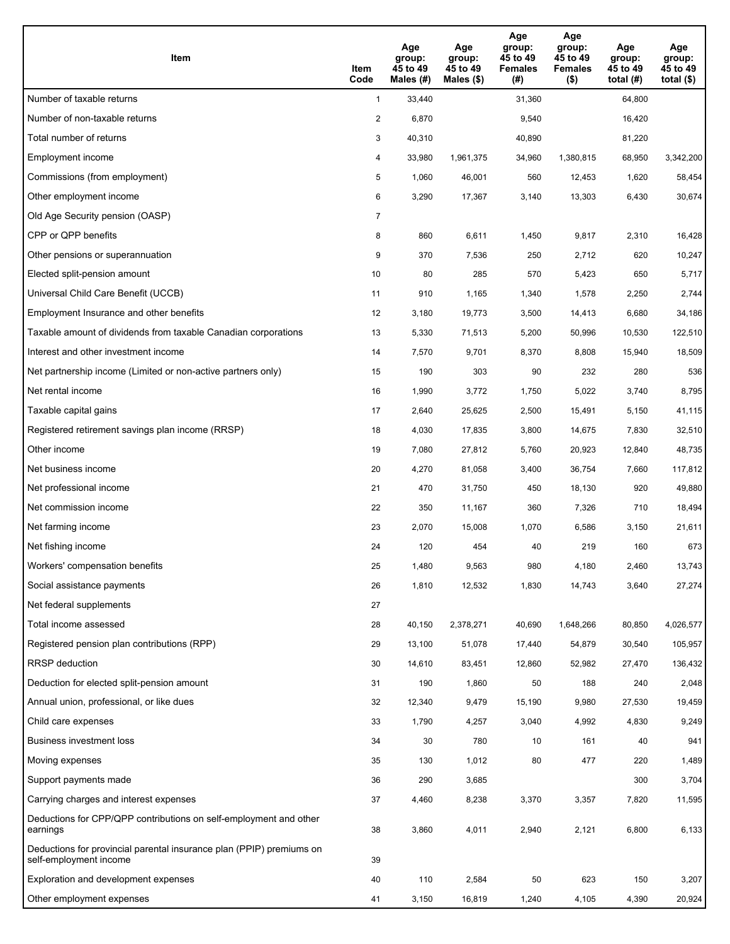| Item                                                                                           | Item<br>Code   | Age<br>group:<br>45 to 49<br>Males (#) | Age<br>group:<br>45 to 49<br>Males $(\$)$ | Age<br>group:<br>45 to 49<br><b>Females</b><br>(#) | Age<br>group:<br>45 to 49<br><b>Females</b><br>$($ \$) | Age<br>group:<br>45 to 49<br>total $(H)$ | Age<br>group:<br>45 to 49<br>total $($ |
|------------------------------------------------------------------------------------------------|----------------|----------------------------------------|-------------------------------------------|----------------------------------------------------|--------------------------------------------------------|------------------------------------------|----------------------------------------|
| Number of taxable returns                                                                      | $\mathbf{1}$   | 33,440                                 |                                           | 31,360                                             |                                                        | 64,800                                   |                                        |
| Number of non-taxable returns                                                                  | $\overline{a}$ | 6,870                                  |                                           | 9,540                                              |                                                        | 16,420                                   |                                        |
| Total number of returns                                                                        | 3              | 40,310                                 |                                           | 40,890                                             |                                                        | 81,220                                   |                                        |
| Employment income                                                                              | 4              | 33,980                                 | 1,961,375                                 | 34,960                                             | 1,380,815                                              | 68,950                                   | 3,342,200                              |
| Commissions (from employment)                                                                  | 5              | 1,060                                  | 46,001                                    | 560                                                | 12,453                                                 | 1,620                                    | 58,454                                 |
| Other employment income                                                                        | 6              | 3,290                                  | 17,367                                    | 3,140                                              | 13,303                                                 | 6,430                                    | 30,674                                 |
| Old Age Security pension (OASP)                                                                | 7              |                                        |                                           |                                                    |                                                        |                                          |                                        |
| CPP or QPP benefits                                                                            | 8              | 860                                    | 6,611                                     | 1,450                                              | 9,817                                                  | 2,310                                    | 16,428                                 |
| Other pensions or superannuation                                                               | 9              | 370                                    | 7,536                                     | 250                                                | 2,712                                                  | 620                                      | 10,247                                 |
| Elected split-pension amount                                                                   | 10             | 80                                     | 285                                       | 570                                                | 5,423                                                  | 650                                      | 5,717                                  |
| Universal Child Care Benefit (UCCB)                                                            | 11             | 910                                    | 1,165                                     | 1,340                                              | 1,578                                                  | 2,250                                    | 2,744                                  |
| Employment Insurance and other benefits                                                        | 12             | 3,180                                  | 19,773                                    | 3,500                                              | 14,413                                                 | 6,680                                    | 34,186                                 |
| Taxable amount of dividends from taxable Canadian corporations                                 | 13             | 5,330                                  | 71,513                                    | 5,200                                              | 50,996                                                 | 10,530                                   | 122,510                                |
| Interest and other investment income                                                           | 14             | 7,570                                  | 9,701                                     | 8,370                                              | 8,808                                                  | 15,940                                   | 18,509                                 |
| Net partnership income (Limited or non-active partners only)                                   | 15             | 190                                    | 303                                       | 90                                                 | 232                                                    | 280                                      | 536                                    |
| Net rental income                                                                              | 16             | 1,990                                  | 3,772                                     | 1,750                                              | 5,022                                                  | 3,740                                    | 8,795                                  |
| Taxable capital gains                                                                          | 17             | 2,640                                  | 25,625                                    | 2,500                                              | 15,491                                                 | 5,150                                    | 41,115                                 |
| Registered retirement savings plan income (RRSP)                                               | 18             | 4,030                                  | 17,835                                    | 3,800                                              | 14,675                                                 | 7,830                                    | 32,510                                 |
| Other income                                                                                   | 19             | 7,080                                  | 27,812                                    | 5,760                                              | 20,923                                                 | 12,840                                   | 48,735                                 |
| Net business income                                                                            | 20             | 4,270                                  | 81,058                                    | 3,400                                              | 36,754                                                 | 7,660                                    | 117,812                                |
| Net professional income                                                                        | 21             | 470                                    | 31,750                                    | 450                                                | 18,130                                                 | 920                                      | 49,880                                 |
| Net commission income                                                                          | 22             | 350                                    | 11,167                                    | 360                                                | 7,326                                                  | 710                                      | 18,494                                 |
| Net farming income                                                                             | 23             | 2,070                                  | 15,008                                    | 1,070                                              | 6,586                                                  | 3,150                                    | 21,611                                 |
| Net fishing income                                                                             | 24             | 120                                    | 454                                       | 40                                                 | 219                                                    | 160                                      | 673                                    |
| Workers' compensation benefits                                                                 | 25             | 1,480                                  | 9,563                                     | 980                                                | 4,180                                                  | 2,460                                    | 13,743                                 |
| Social assistance payments                                                                     | 26             | 1,810                                  | 12,532                                    | 1,830                                              | 14,743                                                 | 3,640                                    | 27,274                                 |
| Net federal supplements                                                                        | 27             |                                        |                                           |                                                    |                                                        |                                          |                                        |
| Total income assessed                                                                          | 28             | 40,150                                 | 2,378,271                                 | 40,690                                             | 1,648,266                                              | 80,850                                   | 4,026,577                              |
| Registered pension plan contributions (RPP)                                                    | 29             | 13,100                                 | 51,078                                    | 17,440                                             | 54,879                                                 | 30,540                                   | 105,957                                |
| RRSP deduction                                                                                 | 30             | 14,610                                 | 83,451                                    | 12,860                                             | 52,982                                                 | 27,470                                   | 136,432                                |
| Deduction for elected split-pension amount                                                     | 31             | 190                                    | 1,860                                     | 50                                                 | 188                                                    | 240                                      | 2,048                                  |
| Annual union, professional, or like dues                                                       | 32             | 12,340                                 | 9,479                                     | 15,190                                             | 9,980                                                  | 27,530                                   | 19,459                                 |
| Child care expenses                                                                            | 33             | 1,790                                  | 4,257                                     | 3,040                                              | 4,992                                                  | 4,830                                    | 9,249                                  |
| Business investment loss                                                                       | 34             | 30                                     | 780                                       | 10                                                 | 161                                                    | 40                                       | 941                                    |
| Moving expenses                                                                                | 35             | 130                                    | 1,012                                     | 80                                                 | 477                                                    | 220                                      | 1,489                                  |
| Support payments made                                                                          | 36             | 290                                    | 3,685                                     |                                                    |                                                        | 300                                      | 3,704                                  |
| Carrying charges and interest expenses                                                         | 37             | 4,460                                  | 8,238                                     | 3,370                                              | 3,357                                                  | 7,820                                    | 11,595                                 |
| Deductions for CPP/QPP contributions on self-employment and other<br>earnings                  | 38             | 3,860                                  | 4,011                                     | 2,940                                              | 2,121                                                  | 6,800                                    | 6,133                                  |
| Deductions for provincial parental insurance plan (PPIP) premiums on<br>self-employment income | 39             |                                        |                                           |                                                    |                                                        |                                          |                                        |
| Exploration and development expenses                                                           | 40             | 110                                    | 2,584                                     | 50                                                 | 623                                                    | 150                                      | 3,207                                  |
| Other employment expenses                                                                      | 41             | 3,150                                  | 16,819                                    | 1,240                                              | 4,105                                                  | 4,390                                    | 20,924                                 |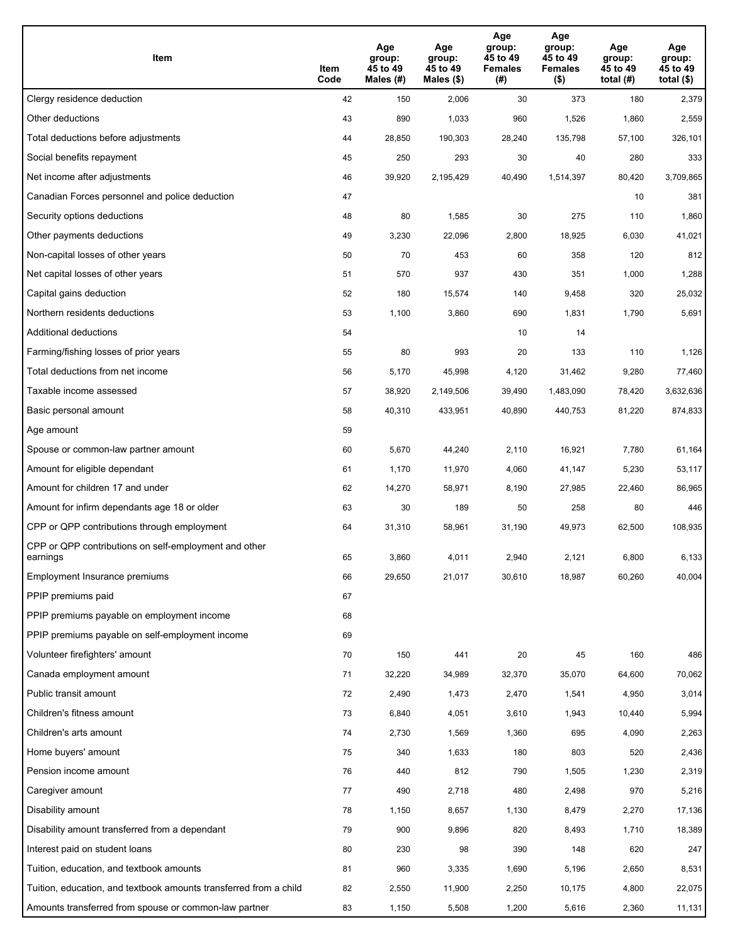| Item                                                              | Item<br>Code | Age<br>group:<br>45 to 49<br>Males (#) | Age<br>group:<br>45 to 49<br>Males (\$) | Age<br>group:<br>45 to 49<br><b>Females</b><br>(# ) | Age<br>group:<br>45 to 49<br><b>Females</b><br>$($ \$) | Age<br>group:<br>45 to 49<br>total $(H)$ | Age<br>group:<br>45 to 49<br>total $($)$ |
|-------------------------------------------------------------------|--------------|----------------------------------------|-----------------------------------------|-----------------------------------------------------|--------------------------------------------------------|------------------------------------------|------------------------------------------|
| Clergy residence deduction                                        | 42           | 150                                    | 2,006                                   | 30                                                  | 373                                                    | 180                                      | 2,379                                    |
| Other deductions                                                  | 43           | 890                                    | 1,033                                   | 960                                                 | 1,526                                                  | 1,860                                    | 2,559                                    |
| Total deductions before adjustments                               | 44           | 28,850                                 | 190,303                                 | 28,240                                              | 135,798                                                | 57,100                                   | 326,101                                  |
| Social benefits repayment                                         | 45           | 250                                    | 293                                     | 30                                                  | 40                                                     | 280                                      | 333                                      |
| Net income after adjustments                                      | 46           | 39,920                                 | 2,195,429                               | 40,490                                              | 1,514,397                                              | 80,420                                   | 3,709,865                                |
| Canadian Forces personnel and police deduction                    | 47           |                                        |                                         |                                                     |                                                        | 10                                       | 381                                      |
| Security options deductions                                       | 48           | 80                                     | 1,585                                   | 30                                                  | 275                                                    | 110                                      | 1,860                                    |
| Other payments deductions                                         | 49           | 3,230                                  | 22,096                                  | 2,800                                               | 18,925                                                 | 6,030                                    | 41,021                                   |
| Non-capital losses of other years                                 | 50           | 70                                     | 453                                     | 60                                                  | 358                                                    | 120                                      | 812                                      |
| Net capital losses of other years                                 | 51           | 570                                    | 937                                     | 430                                                 | 351                                                    | 1,000                                    | 1,288                                    |
| Capital gains deduction                                           | 52           | 180                                    | 15,574                                  | 140                                                 | 9,458                                                  | 320                                      | 25,032                                   |
| Northern residents deductions                                     | 53           | 1,100                                  | 3,860                                   | 690                                                 | 1,831                                                  | 1,790                                    | 5,691                                    |
| Additional deductions                                             | 54           |                                        |                                         | 10                                                  | 14                                                     |                                          |                                          |
| Farming/fishing losses of prior years                             | 55           | 80                                     | 993                                     | 20                                                  | 133                                                    | 110                                      | 1,126                                    |
| Total deductions from net income                                  | 56           | 5,170                                  | 45,998                                  | 4,120                                               | 31,462                                                 | 9,280                                    | 77,460                                   |
| Taxable income assessed                                           | 57           | 38,920                                 | 2,149,506                               | 39,490                                              | 1,483,090                                              | 78,420                                   | 3,632,636                                |
| Basic personal amount                                             | 58           | 40,310                                 | 433,951                                 | 40,890                                              | 440,753                                                | 81,220                                   | 874,833                                  |
| Age amount                                                        | 59           |                                        |                                         |                                                     |                                                        |                                          |                                          |
| Spouse or common-law partner amount                               | 60           | 5,670                                  | 44,240                                  | 2,110                                               | 16,921                                                 | 7,780                                    | 61,164                                   |
| Amount for eligible dependant                                     | 61           | 1,170                                  | 11,970                                  | 4,060                                               | 41,147                                                 | 5,230                                    | 53,117                                   |
| Amount for children 17 and under                                  | 62           | 14,270                                 | 58,971                                  | 8,190                                               | 27,985                                                 | 22,460                                   | 86,965                                   |
| Amount for infirm dependants age 18 or older                      | 63           | 30                                     | 189                                     | 50                                                  | 258                                                    | 80                                       | 446                                      |
| CPP or QPP contributions through employment                       | 64           | 31,310                                 | 58,961                                  | 31,190                                              | 49,973                                                 | 62,500                                   | 108,935                                  |
| CPP or QPP contributions on self-employment and other<br>earnings | 65           | 3,860                                  | 4,011                                   | 2,940                                               | 2,121                                                  | 6,800                                    | 6,133                                    |
| Employment Insurance premiums                                     | 66           | 29,650                                 | 21,017                                  | 30,610                                              | 18,987                                                 | 60,260                                   | 40,004                                   |
| PPIP premiums paid                                                | 67           |                                        |                                         |                                                     |                                                        |                                          |                                          |
| PPIP premiums payable on employment income                        | 68           |                                        |                                         |                                                     |                                                        |                                          |                                          |
| PPIP premiums payable on self-employment income                   | 69           |                                        |                                         |                                                     |                                                        |                                          |                                          |
| Volunteer firefighters' amount                                    | 70           | 150                                    | 441                                     | 20                                                  | 45                                                     | 160                                      | 486                                      |
| Canada employment amount                                          | 71           | 32,220                                 | 34,989                                  | 32,370                                              | 35,070                                                 | 64,600                                   | 70,062                                   |
| Public transit amount                                             | 72           | 2,490                                  | 1,473                                   | 2,470                                               | 1,541                                                  | 4,950                                    | 3,014                                    |
| Children's fitness amount                                         | 73           | 6,840                                  | 4,051                                   | 3,610                                               | 1,943                                                  | 10,440                                   | 5,994                                    |
| Children's arts amount                                            | 74           | 2,730                                  | 1,569                                   | 1,360                                               | 695                                                    | 4,090                                    | 2,263                                    |
| Home buyers' amount                                               | 75           | 340                                    | 1,633                                   | 180                                                 | 803                                                    | 520                                      | 2,436                                    |
| Pension income amount                                             | 76           | 440                                    | 812                                     | 790                                                 | 1,505                                                  | 1,230                                    | 2,319                                    |
| Caregiver amount                                                  | 77           | 490                                    | 2,718                                   | 480                                                 | 2,498                                                  | 970                                      | 5,216                                    |
| Disability amount                                                 | 78           | 1,150                                  | 8,657                                   | 1,130                                               | 8,479                                                  | 2,270                                    | 17,136                                   |
| Disability amount transferred from a dependant                    | 79           | 900                                    | 9,896                                   | 820                                                 | 8,493                                                  | 1,710                                    | 18,389                                   |
| Interest paid on student loans                                    | 80           | 230                                    | 98                                      | 390                                                 | 148                                                    | 620                                      | 247                                      |
| Tuition, education, and textbook amounts                          | 81           | 960                                    | 3,335                                   | 1,690                                               | 5,196                                                  | 2,650                                    | 8,531                                    |
| Tuition, education, and textbook amounts transferred from a child | 82           | 2,550                                  | 11,900                                  | 2,250                                               | 10,175                                                 | 4,800                                    | 22,075                                   |
| Amounts transferred from spouse or common-law partner             | 83           | 1,150                                  | 5,508                                   | 1,200                                               | 5,616                                                  | 2,360                                    | 11,131                                   |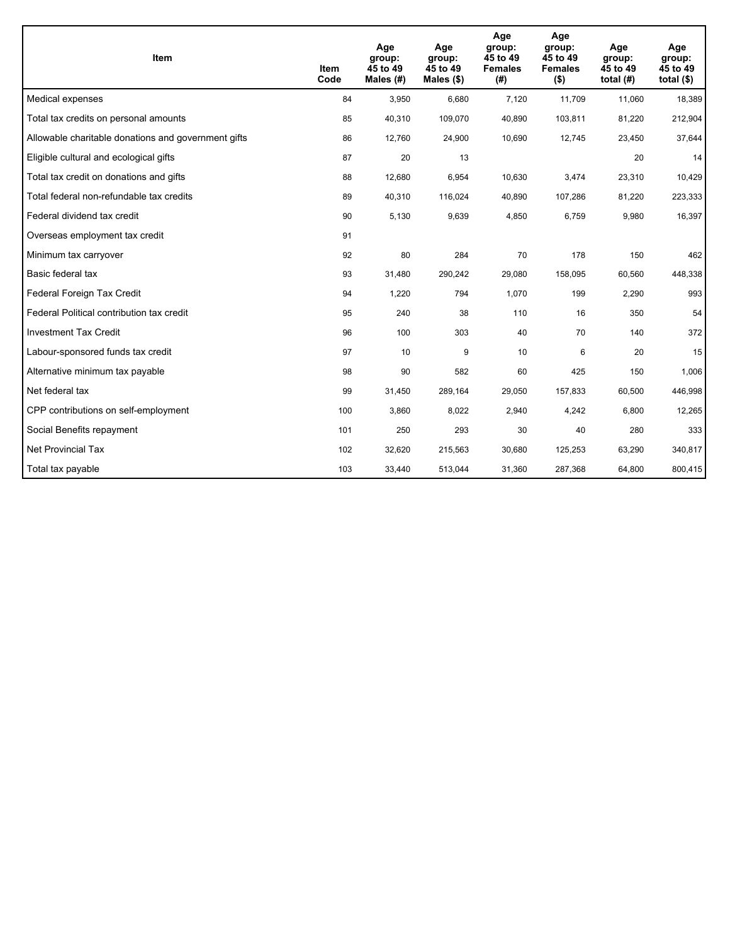| <b>Item</b>                                         | Item<br>Code | Age<br>group:<br>45 to 49<br>Males (#) | Age<br>group:<br>45 to 49<br>Males (\$) | Age<br>group:<br>45 to 49<br><b>Females</b><br>(#) | Age<br>group:<br>45 to 49<br><b>Females</b><br>$($ \$) | Age<br>group:<br>45 to 49<br>total $(H)$ | Age<br>group:<br>45 to 49<br>total $($)$ |
|-----------------------------------------------------|--------------|----------------------------------------|-----------------------------------------|----------------------------------------------------|--------------------------------------------------------|------------------------------------------|------------------------------------------|
| Medical expenses                                    | 84           | 3,950                                  | 6,680                                   | 7,120                                              | 11,709                                                 | 11,060                                   | 18,389                                   |
| Total tax credits on personal amounts               | 85           | 40,310                                 | 109,070                                 | 40,890                                             | 103,811                                                | 81,220                                   | 212,904                                  |
| Allowable charitable donations and government gifts | 86           | 12,760                                 | 24,900                                  | 10,690                                             | 12,745                                                 | 23,450                                   | 37,644                                   |
| Eligible cultural and ecological gifts              | 87           | 20                                     | 13                                      |                                                    |                                                        | 20                                       | 14                                       |
| Total tax credit on donations and gifts             | 88           | 12,680                                 | 6,954                                   | 10,630                                             | 3,474                                                  | 23,310                                   | 10,429                                   |
| Total federal non-refundable tax credits            | 89           | 40,310                                 | 116,024                                 | 40,890                                             | 107,286                                                | 81,220                                   | 223,333                                  |
| Federal dividend tax credit                         | 90           | 5,130                                  | 9,639                                   | 4,850                                              | 6,759                                                  | 9,980                                    | 16,397                                   |
| Overseas employment tax credit                      | 91           |                                        |                                         |                                                    |                                                        |                                          |                                          |
| Minimum tax carryover                               | 92           | 80                                     | 284                                     | 70                                                 | 178                                                    | 150                                      | 462                                      |
| Basic federal tax                                   | 93           | 31,480                                 | 290,242                                 | 29,080                                             | 158,095                                                | 60,560                                   | 448,338                                  |
| Federal Foreign Tax Credit                          | 94           | 1,220                                  | 794                                     | 1,070                                              | 199                                                    | 2,290                                    | 993                                      |
| Federal Political contribution tax credit           | 95           | 240                                    | 38                                      | 110                                                | 16                                                     | 350                                      | 54                                       |
| <b>Investment Tax Credit</b>                        | 96           | 100                                    | 303                                     | 40                                                 | 70                                                     | 140                                      | 372                                      |
| Labour-sponsored funds tax credit                   | 97           | 10                                     | 9                                       | 10                                                 | 6                                                      | 20                                       | 15                                       |
| Alternative minimum tax payable                     | 98           | 90                                     | 582                                     | 60                                                 | 425                                                    | 150                                      | 1,006                                    |
| Net federal tax                                     | 99           | 31,450                                 | 289,164                                 | 29,050                                             | 157,833                                                | 60,500                                   | 446,998                                  |
| CPP contributions on self-employment                | 100          | 3,860                                  | 8,022                                   | 2,940                                              | 4,242                                                  | 6,800                                    | 12,265                                   |
| Social Benefits repayment                           | 101          | 250                                    | 293                                     | 30                                                 | 40                                                     | 280                                      | 333                                      |
| Net Provincial Tax                                  | 102          | 32,620                                 | 215,563                                 | 30,680                                             | 125,253                                                | 63,290                                   | 340,817                                  |
| Total tax payable                                   | 103          | 33,440                                 | 513,044                                 | 31,360                                             | 287,368                                                | 64,800                                   | 800,415                                  |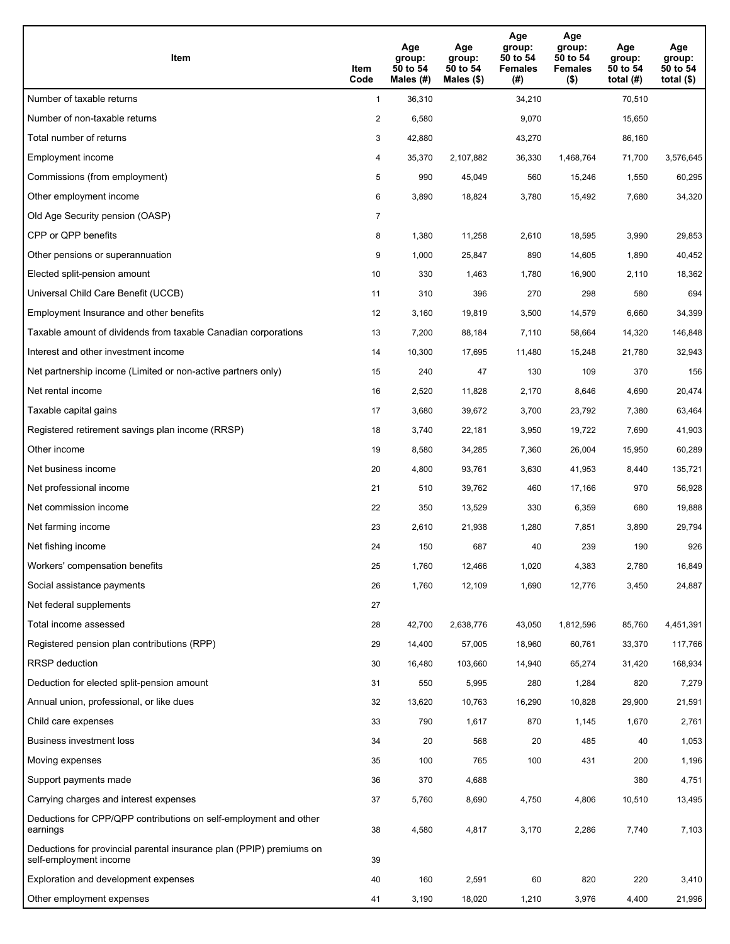| Item                                                                                           | Item<br>Code   | Age<br>group:<br>50 to 54<br>Males (#) | Age<br>group:<br>50 to 54<br>Males (\$) | Age<br>group:<br>50 to 54<br><b>Females</b><br>(#) | Age<br>group:<br>50 to 54<br><b>Females</b><br>$($ \$) | Age<br>group:<br>50 to 54<br>total $(H)$ | Age<br>group:<br>50 to 54<br>total $($ |
|------------------------------------------------------------------------------------------------|----------------|----------------------------------------|-----------------------------------------|----------------------------------------------------|--------------------------------------------------------|------------------------------------------|----------------------------------------|
| Number of taxable returns                                                                      | $\mathbf{1}$   | 36,310                                 |                                         | 34,210                                             |                                                        | 70,510                                   |                                        |
| Number of non-taxable returns                                                                  | $\overline{a}$ | 6,580                                  |                                         | 9,070                                              |                                                        | 15,650                                   |                                        |
| Total number of returns                                                                        | 3              | 42,880                                 |                                         | 43,270                                             |                                                        | 86,160                                   |                                        |
| Employment income                                                                              | 4              | 35,370                                 | 2,107,882                               | 36,330                                             | 1,468,764                                              | 71,700                                   | 3,576,645                              |
| Commissions (from employment)                                                                  | 5              | 990                                    | 45,049                                  | 560                                                | 15,246                                                 | 1,550                                    | 60,295                                 |
| Other employment income                                                                        | 6              | 3,890                                  | 18,824                                  | 3,780                                              | 15,492                                                 | 7,680                                    | 34,320                                 |
| Old Age Security pension (OASP)                                                                | 7              |                                        |                                         |                                                    |                                                        |                                          |                                        |
| CPP or QPP benefits                                                                            | 8              | 1,380                                  | 11,258                                  | 2,610                                              | 18,595                                                 | 3,990                                    | 29,853                                 |
| Other pensions or superannuation                                                               | 9              | 1,000                                  | 25,847                                  | 890                                                | 14,605                                                 | 1,890                                    | 40,452                                 |
| Elected split-pension amount                                                                   | 10             | 330                                    | 1,463                                   | 1,780                                              | 16,900                                                 | 2,110                                    | 18,362                                 |
| Universal Child Care Benefit (UCCB)                                                            | 11             | 310                                    | 396                                     | 270                                                | 298                                                    | 580                                      | 694                                    |
| Employment Insurance and other benefits                                                        | 12             | 3,160                                  | 19,819                                  | 3,500                                              | 14,579                                                 | 6,660                                    | 34,399                                 |
| Taxable amount of dividends from taxable Canadian corporations                                 | 13             | 7,200                                  | 88,184                                  | 7,110                                              | 58,664                                                 | 14,320                                   | 146,848                                |
| Interest and other investment income                                                           | 14             | 10,300                                 | 17,695                                  | 11,480                                             | 15,248                                                 | 21,780                                   | 32,943                                 |
| Net partnership income (Limited or non-active partners only)                                   | 15             | 240                                    | 47                                      | 130                                                | 109                                                    | 370                                      | 156                                    |
| Net rental income                                                                              | 16             | 2,520                                  | 11,828                                  | 2,170                                              | 8,646                                                  | 4,690                                    | 20,474                                 |
| Taxable capital gains                                                                          | 17             | 3,680                                  | 39,672                                  | 3,700                                              | 23,792                                                 | 7,380                                    | 63,464                                 |
| Registered retirement savings plan income (RRSP)                                               | 18             | 3,740                                  | 22,181                                  | 3,950                                              | 19,722                                                 | 7,690                                    | 41,903                                 |
| Other income                                                                                   | 19             | 8,580                                  | 34,285                                  | 7,360                                              | 26,004                                                 | 15,950                                   | 60,289                                 |
| Net business income                                                                            | 20             | 4,800                                  | 93,761                                  | 3,630                                              | 41,953                                                 | 8,440                                    | 135,721                                |
| Net professional income                                                                        | 21             | 510                                    | 39,762                                  | 460                                                | 17,166                                                 | 970                                      | 56,928                                 |
| Net commission income                                                                          | 22             | 350                                    | 13,529                                  | 330                                                | 6,359                                                  | 680                                      | 19,888                                 |
| Net farming income                                                                             | 23             | 2,610                                  | 21,938                                  | 1,280                                              | 7,851                                                  | 3,890                                    | 29,794                                 |
| Net fishing income                                                                             | 24             | 150                                    | 687                                     | 40                                                 | 239                                                    | 190                                      | 926                                    |
| Workers' compensation benefits                                                                 | 25             | 1,760                                  | 12,466                                  | 1,020                                              | 4,383                                                  | 2,780                                    | 16,849                                 |
| Social assistance payments                                                                     | 26             | 1,760                                  | 12,109                                  | 1,690                                              | 12,776                                                 | 3,450                                    | 24,887                                 |
| Net federal supplements                                                                        | 27             |                                        |                                         |                                                    |                                                        |                                          |                                        |
| Total income assessed                                                                          | 28             | 42,700                                 | 2,638,776                               | 43,050                                             | 1,812,596                                              | 85,760                                   | 4,451,391                              |
| Registered pension plan contributions (RPP)                                                    | 29             | 14,400                                 | 57,005                                  | 18,960                                             | 60,761                                                 | 33,370                                   | 117,766                                |
| RRSP deduction                                                                                 | 30             | 16,480                                 | 103,660                                 | 14,940                                             | 65,274                                                 | 31,420                                   | 168,934                                |
| Deduction for elected split-pension amount                                                     | 31             | 550                                    | 5,995                                   | 280                                                | 1,284                                                  | 820                                      | 7,279                                  |
| Annual union, professional, or like dues                                                       | 32             | 13,620                                 | 10,763                                  | 16,290                                             | 10,828                                                 | 29,900                                   | 21,591                                 |
| Child care expenses                                                                            | 33             | 790                                    | 1,617                                   | 870                                                | 1,145                                                  | 1,670                                    | 2,761                                  |
| Business investment loss                                                                       | 34             | 20                                     | 568                                     | 20                                                 | 485                                                    | 40                                       | 1,053                                  |
| Moving expenses                                                                                | 35             | 100                                    | 765                                     | 100                                                | 431                                                    | 200                                      | 1,196                                  |
| Support payments made                                                                          | 36             | 370                                    | 4,688                                   |                                                    |                                                        | 380                                      | 4,751                                  |
| Carrying charges and interest expenses                                                         | 37             | 5,760                                  | 8,690                                   | 4,750                                              | 4,806                                                  | 10,510                                   | 13,495                                 |
| Deductions for CPP/QPP contributions on self-employment and other<br>earnings                  | 38             | 4,580                                  | 4,817                                   | 3,170                                              | 2,286                                                  | 7,740                                    | 7,103                                  |
| Deductions for provincial parental insurance plan (PPIP) premiums on<br>self-employment income | 39             |                                        |                                         |                                                    |                                                        |                                          |                                        |
| Exploration and development expenses                                                           | 40             | 160                                    | 2,591                                   | 60                                                 | 820                                                    | 220                                      | 3,410                                  |
| Other employment expenses                                                                      | 41             | 3,190                                  | 18,020                                  | 1,210                                              | 3,976                                                  | 4,400                                    | 21,996                                 |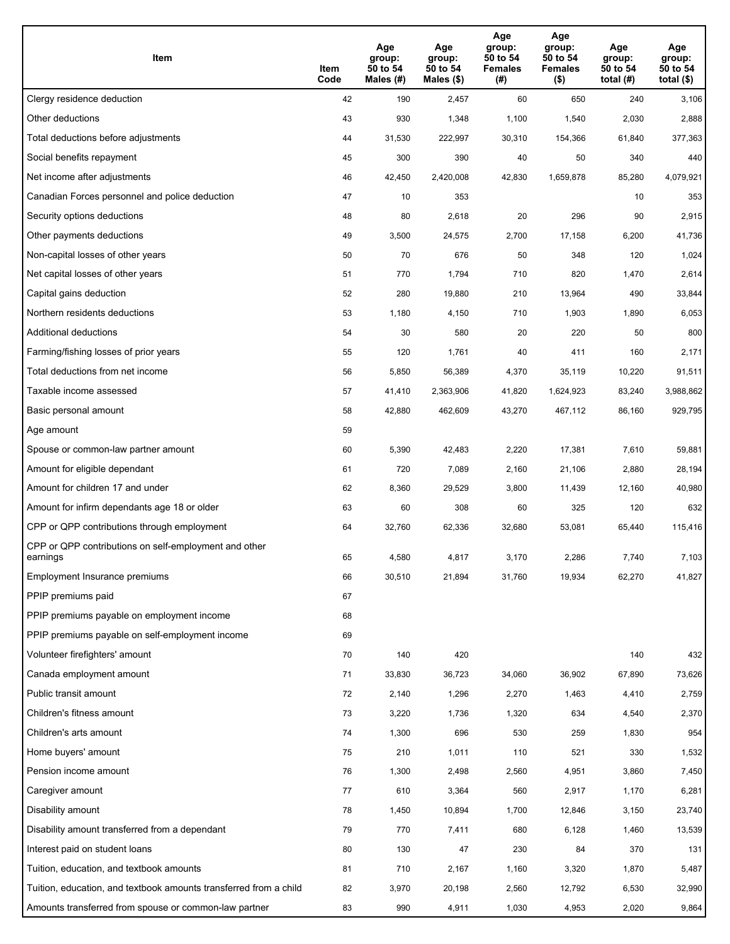| Item                                                              | Item<br>Code | Age<br>group:<br>50 to 54<br>Males (#) | Age<br>group:<br>50 to 54<br>Males (\$) | Age<br>group:<br>50 to 54<br><b>Females</b><br>(# ) | Age<br>group:<br>50 to 54<br><b>Females</b><br>$($ \$) | Age<br>group:<br>50 to 54<br>total $(#)$ | Age<br>group:<br>50 to 54<br>total $($)$ |
|-------------------------------------------------------------------|--------------|----------------------------------------|-----------------------------------------|-----------------------------------------------------|--------------------------------------------------------|------------------------------------------|------------------------------------------|
| Clergy residence deduction                                        | 42           | 190                                    | 2,457                                   | 60                                                  | 650                                                    | 240                                      | 3,106                                    |
| Other deductions                                                  | 43           | 930                                    | 1,348                                   | 1,100                                               | 1,540                                                  | 2,030                                    | 2,888                                    |
| Total deductions before adjustments                               | 44           | 31,530                                 | 222,997                                 | 30,310                                              | 154,366                                                | 61,840                                   | 377,363                                  |
| Social benefits repayment                                         | 45           | 300                                    | 390                                     | 40                                                  | 50                                                     | 340                                      | 440                                      |
| Net income after adjustments                                      | 46           | 42,450                                 | 2,420,008                               | 42,830                                              | 1,659,878                                              | 85,280                                   | 4,079,921                                |
| Canadian Forces personnel and police deduction                    | 47           | 10                                     | 353                                     |                                                     |                                                        | 10                                       | 353                                      |
| Security options deductions                                       | 48           | 80                                     | 2,618                                   | 20                                                  | 296                                                    | 90                                       | 2,915                                    |
| Other payments deductions                                         | 49           | 3,500                                  | 24,575                                  | 2,700                                               | 17,158                                                 | 6,200                                    | 41,736                                   |
| Non-capital losses of other years                                 | 50           | 70                                     | 676                                     | 50                                                  | 348                                                    | 120                                      | 1,024                                    |
| Net capital losses of other years                                 | 51           | 770                                    | 1,794                                   | 710                                                 | 820                                                    | 1,470                                    | 2,614                                    |
| Capital gains deduction                                           | 52           | 280                                    | 19,880                                  | 210                                                 | 13,964                                                 | 490                                      | 33,844                                   |
| Northern residents deductions                                     | 53           | 1,180                                  | 4,150                                   | 710                                                 | 1,903                                                  | 1,890                                    | 6,053                                    |
| Additional deductions                                             | 54           | 30                                     | 580                                     | 20                                                  | 220                                                    | 50                                       | 800                                      |
| Farming/fishing losses of prior years                             | 55           | 120                                    | 1,761                                   | 40                                                  | 411                                                    | 160                                      | 2,171                                    |
| Total deductions from net income                                  | 56           | 5,850                                  | 56,389                                  | 4,370                                               | 35,119                                                 | 10,220                                   | 91,511                                   |
| Taxable income assessed                                           | 57           | 41,410                                 | 2,363,906                               | 41,820                                              | 1,624,923                                              | 83,240                                   | 3,988,862                                |
| Basic personal amount                                             | 58           | 42,880                                 | 462,609                                 | 43,270                                              | 467,112                                                | 86,160                                   | 929,795                                  |
| Age amount                                                        | 59           |                                        |                                         |                                                     |                                                        |                                          |                                          |
| Spouse or common-law partner amount                               | 60           | 5,390                                  | 42,483                                  | 2,220                                               | 17,381                                                 | 7,610                                    | 59,881                                   |
| Amount for eligible dependant                                     | 61           | 720                                    | 7,089                                   | 2,160                                               | 21,106                                                 | 2,880                                    | 28,194                                   |
| Amount for children 17 and under                                  | 62           | 8,360                                  | 29,529                                  | 3,800                                               | 11,439                                                 | 12,160                                   | 40,980                                   |
| Amount for infirm dependants age 18 or older                      | 63           | 60                                     | 308                                     | 60                                                  | 325                                                    | 120                                      | 632                                      |
| CPP or QPP contributions through employment                       | 64           | 32,760                                 | 62,336                                  | 32,680                                              | 53,081                                                 | 65,440                                   | 115,416                                  |
| CPP or QPP contributions on self-employment and other<br>earnings | 65           | 4,580                                  | 4,817                                   | 3,170                                               | 2,286                                                  | 7,740                                    | 7,103                                    |
| Employment Insurance premiums                                     | 66           | 30,510                                 | 21,894                                  | 31,760                                              | 19,934                                                 | 62,270                                   | 41,827                                   |
| PPIP premiums paid                                                | 67           |                                        |                                         |                                                     |                                                        |                                          |                                          |
| PPIP premiums payable on employment income                        | 68           |                                        |                                         |                                                     |                                                        |                                          |                                          |
| PPIP premiums payable on self-employment income                   | 69           |                                        |                                         |                                                     |                                                        |                                          |                                          |
| Volunteer firefighters' amount                                    | 70           | 140                                    | 420                                     |                                                     |                                                        | 140                                      | 432                                      |
| Canada employment amount                                          | 71           | 33,830                                 | 36,723                                  | 34,060                                              | 36,902                                                 | 67,890                                   | 73,626                                   |
| Public transit amount                                             | 72           | 2,140                                  | 1,296                                   | 2,270                                               | 1,463                                                  | 4,410                                    | 2,759                                    |
| Children's fitness amount                                         | 73           | 3,220                                  | 1,736                                   | 1,320                                               | 634                                                    | 4,540                                    | 2,370                                    |
| Children's arts amount                                            | 74           | 1,300                                  | 696                                     | 530                                                 | 259                                                    | 1,830                                    | 954                                      |
| Home buyers' amount                                               | 75           | 210                                    | 1,011                                   | 110                                                 | 521                                                    | 330                                      | 1,532                                    |
| Pension income amount                                             | 76           | 1,300                                  | 2,498                                   | 2,560                                               | 4,951                                                  | 3,860                                    | 7,450                                    |
| Caregiver amount                                                  | 77           | 610                                    | 3,364                                   | 560                                                 | 2,917                                                  | 1,170                                    | 6,281                                    |
| Disability amount                                                 | 78           | 1,450                                  | 10,894                                  | 1,700                                               | 12,846                                                 | 3,150                                    | 23,740                                   |
| Disability amount transferred from a dependant                    | 79           | 770                                    | 7,411                                   | 680                                                 | 6,128                                                  | 1,460                                    | 13,539                                   |
| Interest paid on student loans                                    | 80           | 130                                    | 47                                      | 230                                                 | 84                                                     | 370                                      | 131                                      |
| Tuition, education, and textbook amounts                          | 81           | 710                                    | 2,167                                   | 1,160                                               | 3,320                                                  | 1,870                                    | 5,487                                    |
| Tuition, education, and textbook amounts transferred from a child | 82           | 3,970                                  | 20,198                                  | 2,560                                               | 12,792                                                 | 6,530                                    | 32,990                                   |
| Amounts transferred from spouse or common-law partner             | 83           | 990                                    | 4,911                                   | 1,030                                               | 4,953                                                  | 2,020                                    | 9,864                                    |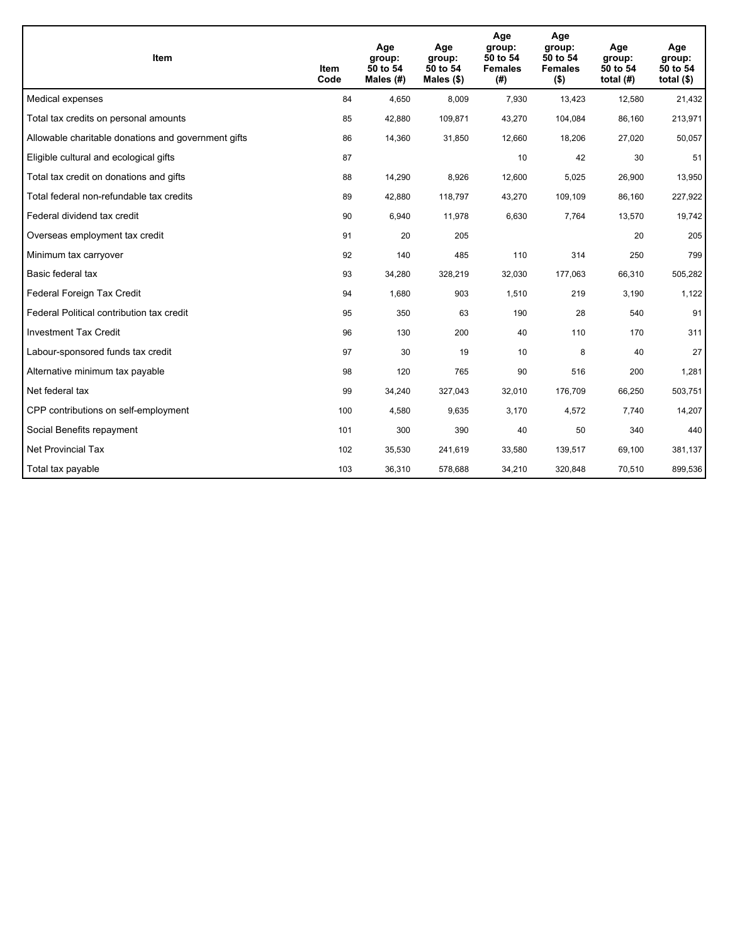| <b>Item</b>                                         | Item<br>Code | Age<br>group:<br>50 to 54<br>Males (#) | Age<br>group:<br>50 to 54<br>Males $(\$)$ | Age<br>group:<br>50 to 54<br><b>Females</b><br>(#) | Age<br>group:<br>50 to 54<br><b>Females</b><br>$($ \$) | Age<br>group:<br>50 to 54<br>total $(H)$ | Age<br>group:<br>50 to 54<br>total $($)$ |
|-----------------------------------------------------|--------------|----------------------------------------|-------------------------------------------|----------------------------------------------------|--------------------------------------------------------|------------------------------------------|------------------------------------------|
| Medical expenses                                    | 84           | 4,650                                  | 8,009                                     | 7,930                                              | 13,423                                                 | 12,580                                   | 21,432                                   |
| Total tax credits on personal amounts               | 85           | 42,880                                 | 109,871                                   | 43,270                                             | 104,084                                                | 86,160                                   | 213,971                                  |
| Allowable charitable donations and government gifts | 86           | 14,360                                 | 31,850                                    | 12,660                                             | 18,206                                                 | 27,020                                   | 50,057                                   |
| Eligible cultural and ecological gifts              | 87           |                                        |                                           | 10                                                 | 42                                                     | 30                                       | 51                                       |
| Total tax credit on donations and gifts             | 88           | 14,290                                 | 8,926                                     | 12,600                                             | 5,025                                                  | 26,900                                   | 13,950                                   |
| Total federal non-refundable tax credits            | 89           | 42,880                                 | 118,797                                   | 43,270                                             | 109,109                                                | 86,160                                   | 227,922                                  |
| Federal dividend tax credit                         | 90           | 6,940                                  | 11,978                                    | 6,630                                              | 7,764                                                  | 13,570                                   | 19,742                                   |
| Overseas employment tax credit                      | 91           | 20                                     | 205                                       |                                                    |                                                        | 20                                       | 205                                      |
| Minimum tax carryover                               | 92           | 140                                    | 485                                       | 110                                                | 314                                                    | 250                                      | 799                                      |
| Basic federal tax                                   | 93           | 34,280                                 | 328,219                                   | 32,030                                             | 177,063                                                | 66,310                                   | 505,282                                  |
| Federal Foreign Tax Credit                          | 94           | 1,680                                  | 903                                       | 1,510                                              | 219                                                    | 3,190                                    | 1,122                                    |
| Federal Political contribution tax credit           | 95           | 350                                    | 63                                        | 190                                                | 28                                                     | 540                                      | 91                                       |
| <b>Investment Tax Credit</b>                        | 96           | 130                                    | 200                                       | 40                                                 | 110                                                    | 170                                      | 311                                      |
| Labour-sponsored funds tax credit                   | 97           | 30                                     | 19                                        | 10                                                 | 8                                                      | 40                                       | 27                                       |
| Alternative minimum tax payable                     | 98           | 120                                    | 765                                       | 90                                                 | 516                                                    | 200                                      | 1,281                                    |
| Net federal tax                                     | 99           | 34,240                                 | 327,043                                   | 32,010                                             | 176,709                                                | 66,250                                   | 503,751                                  |
| CPP contributions on self-employment                | 100          | 4,580                                  | 9,635                                     | 3,170                                              | 4,572                                                  | 7,740                                    | 14,207                                   |
| Social Benefits repayment                           | 101          | 300                                    | 390                                       | 40                                                 | 50                                                     | 340                                      | 440                                      |
| Net Provincial Tax                                  | 102          | 35,530                                 | 241,619                                   | 33,580                                             | 139,517                                                | 69,100                                   | 381,137                                  |
| Total tax payable                                   | 103          | 36,310                                 | 578,688                                   | 34,210                                             | 320,848                                                | 70,510                                   | 899,536                                  |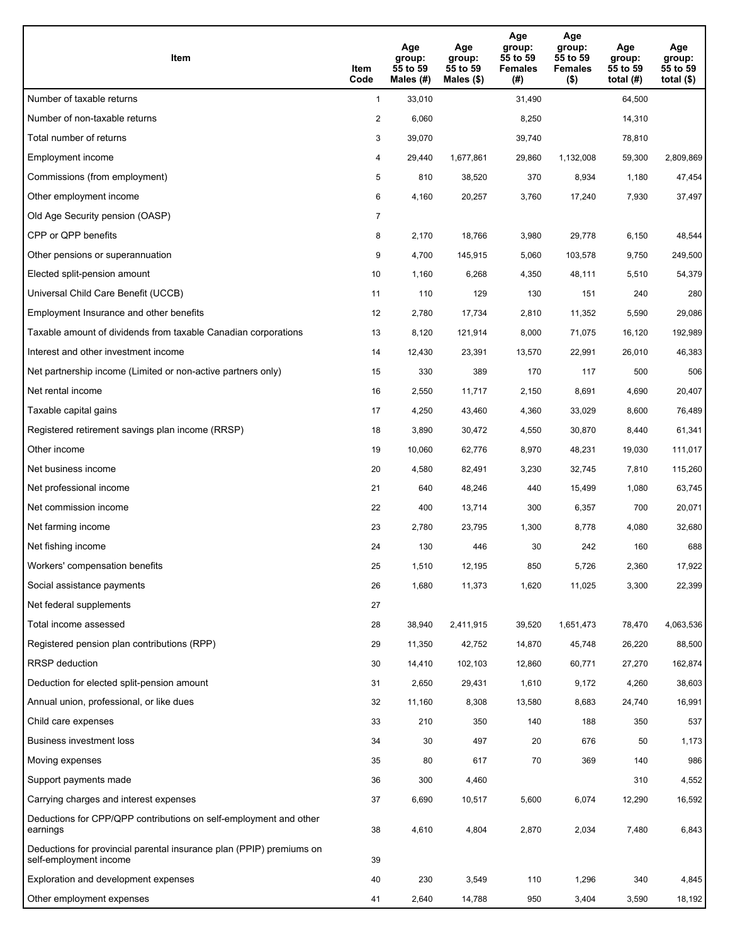| Item                                                                                           | Item<br>Code   | Age<br>group:<br>55 to 59<br>Males (#) | Age<br>group:<br>55 to 59<br>Males $(\$)$ | Age<br>group:<br>55 to 59<br><b>Females</b><br>(#) | Age<br>group:<br>55 to 59<br><b>Females</b><br>$($ \$) | Age<br>group:<br>55 to 59<br>total $(H)$ | Age<br>group:<br>55 to 59<br>total $($ |
|------------------------------------------------------------------------------------------------|----------------|----------------------------------------|-------------------------------------------|----------------------------------------------------|--------------------------------------------------------|------------------------------------------|----------------------------------------|
| Number of taxable returns                                                                      | $\mathbf{1}$   | 33,010                                 |                                           | 31,490                                             |                                                        | 64,500                                   |                                        |
| Number of non-taxable returns                                                                  | $\overline{a}$ | 6,060                                  |                                           | 8,250                                              |                                                        | 14,310                                   |                                        |
| Total number of returns                                                                        | 3              | 39,070                                 |                                           | 39,740                                             |                                                        | 78,810                                   |                                        |
| Employment income                                                                              | 4              | 29,440                                 | 1,677,861                                 | 29,860                                             | 1,132,008                                              | 59,300                                   | 2,809,869                              |
| Commissions (from employment)                                                                  | 5              | 810                                    | 38,520                                    | 370                                                | 8,934                                                  | 1,180                                    | 47,454                                 |
| Other employment income                                                                        | 6              | 4,160                                  | 20,257                                    | 3,760                                              | 17,240                                                 | 7,930                                    | 37,497                                 |
| Old Age Security pension (OASP)                                                                | 7              |                                        |                                           |                                                    |                                                        |                                          |                                        |
| CPP or QPP benefits                                                                            | 8              | 2,170                                  | 18,766                                    | 3,980                                              | 29,778                                                 | 6,150                                    | 48,544                                 |
| Other pensions or superannuation                                                               | 9              | 4,700                                  | 145,915                                   | 5,060                                              | 103,578                                                | 9,750                                    | 249,500                                |
| Elected split-pension amount                                                                   | 10             | 1,160                                  | 6,268                                     | 4,350                                              | 48,111                                                 | 5,510                                    | 54,379                                 |
| Universal Child Care Benefit (UCCB)                                                            | 11             | 110                                    | 129                                       | 130                                                | 151                                                    | 240                                      | 280                                    |
| Employment Insurance and other benefits                                                        | 12             | 2,780                                  | 17,734                                    | 2,810                                              | 11,352                                                 | 5,590                                    | 29,086                                 |
| Taxable amount of dividends from taxable Canadian corporations                                 | 13             | 8,120                                  | 121,914                                   | 8,000                                              | 71,075                                                 | 16,120                                   | 192,989                                |
| Interest and other investment income                                                           | 14             | 12,430                                 | 23,391                                    | 13,570                                             | 22,991                                                 | 26,010                                   | 46,383                                 |
| Net partnership income (Limited or non-active partners only)                                   | 15             | 330                                    | 389                                       | 170                                                | 117                                                    | 500                                      | 506                                    |
| Net rental income                                                                              | 16             | 2,550                                  | 11,717                                    | 2,150                                              | 8,691                                                  | 4,690                                    | 20,407                                 |
| Taxable capital gains                                                                          | 17             | 4,250                                  | 43,460                                    | 4,360                                              | 33,029                                                 | 8,600                                    | 76,489                                 |
| Registered retirement savings plan income (RRSP)                                               | 18             | 3,890                                  | 30,472                                    | 4,550                                              | 30,870                                                 | 8,440                                    | 61,341                                 |
| Other income                                                                                   | 19             | 10,060                                 | 62,776                                    | 8,970                                              | 48,231                                                 | 19,030                                   | 111,017                                |
| Net business income                                                                            | 20             | 4,580                                  | 82,491                                    | 3,230                                              | 32,745                                                 | 7,810                                    | 115,260                                |
| Net professional income                                                                        | 21             | 640                                    | 48,246                                    | 440                                                | 15,499                                                 | 1,080                                    | 63,745                                 |
| Net commission income                                                                          | 22             | 400                                    | 13,714                                    | 300                                                | 6,357                                                  | 700                                      | 20,071                                 |
| Net farming income                                                                             | 23             | 2,780                                  | 23,795                                    | 1,300                                              | 8,778                                                  | 4,080                                    | 32,680                                 |
| Net fishing income                                                                             | 24             | 130                                    | 446                                       | 30                                                 | 242                                                    | 160                                      | 688                                    |
| Workers' compensation benefits                                                                 | 25             | 1,510                                  | 12,195                                    | 850                                                | 5,726                                                  | 2,360                                    | 17,922                                 |
| Social assistance payments                                                                     | 26             | 1,680                                  | 11,373                                    | 1,620                                              | 11,025                                                 | 3,300                                    | 22,399                                 |
| Net federal supplements                                                                        | 27             |                                        |                                           |                                                    |                                                        |                                          |                                        |
| Total income assessed                                                                          | 28             | 38,940                                 | 2,411,915                                 | 39,520                                             | 1,651,473                                              | 78,470                                   | 4,063,536                              |
| Registered pension plan contributions (RPP)                                                    | 29             | 11,350                                 | 42,752                                    | 14,870                                             | 45,748                                                 | 26,220                                   | 88,500                                 |
| RRSP deduction                                                                                 | 30             | 14,410                                 | 102,103                                   | 12,860                                             | 60,771                                                 | 27,270                                   | 162,874                                |
| Deduction for elected split-pension amount                                                     | 31             | 2,650                                  | 29,431                                    | 1,610                                              | 9,172                                                  | 4,260                                    | 38,603                                 |
| Annual union, professional, or like dues                                                       | 32             | 11,160                                 | 8,308                                     | 13,580                                             | 8,683                                                  | 24,740                                   | 16,991                                 |
| Child care expenses                                                                            | 33             | 210                                    | 350                                       | 140                                                | 188                                                    | 350                                      | 537                                    |
| Business investment loss                                                                       | 34             | 30                                     | 497                                       | 20                                                 | 676                                                    | 50                                       | 1,173                                  |
| Moving expenses                                                                                | 35             | 80                                     | 617                                       | 70                                                 | 369                                                    | 140                                      | 986                                    |
| Support payments made                                                                          | 36             | 300                                    | 4,460                                     |                                                    |                                                        | 310                                      | 4,552                                  |
| Carrying charges and interest expenses                                                         | 37             | 6,690                                  | 10,517                                    | 5,600                                              | 6,074                                                  | 12,290                                   | 16,592                                 |
| Deductions for CPP/QPP contributions on self-employment and other<br>earnings                  | 38             | 4,610                                  | 4,804                                     | 2,870                                              | 2,034                                                  | 7,480                                    | 6,843                                  |
| Deductions for provincial parental insurance plan (PPIP) premiums on<br>self-employment income | 39             |                                        |                                           |                                                    |                                                        |                                          |                                        |
| Exploration and development expenses                                                           | 40             | 230                                    | 3,549                                     | 110                                                | 1,296                                                  | 340                                      | 4,845                                  |
| Other employment expenses                                                                      | 41             | 2,640                                  | 14,788                                    | 950                                                | 3,404                                                  | 3,590                                    | 18,192                                 |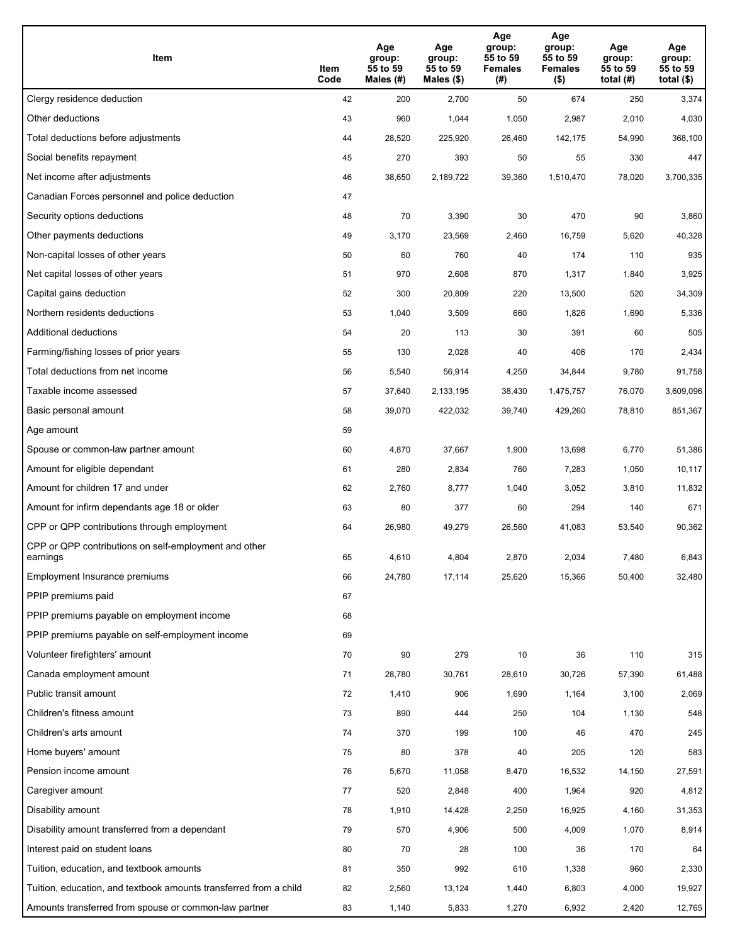| Item                                                              | Item<br>Code | Age<br>group:<br>55 to 59<br>Males (#) | Age<br>group:<br>55 to 59<br>Males (\$) | Age<br>group:<br>55 to 59<br><b>Females</b><br>(# ) | Age<br>group:<br>55 to 59<br><b>Females</b><br>$($ \$) | Age<br>group:<br>55 to 59<br>total $(H)$ | Age<br>group:<br>55 to 59<br>total $($)$ |
|-------------------------------------------------------------------|--------------|----------------------------------------|-----------------------------------------|-----------------------------------------------------|--------------------------------------------------------|------------------------------------------|------------------------------------------|
| Clergy residence deduction                                        | 42           | 200                                    | 2,700                                   | 50                                                  | 674                                                    | 250                                      | 3,374                                    |
| Other deductions                                                  | 43           | 960                                    | 1,044                                   | 1,050                                               | 2,987                                                  | 2,010                                    | 4,030                                    |
| Total deductions before adjustments                               | 44           | 28,520                                 | 225,920                                 | 26,460                                              | 142,175                                                | 54,990                                   | 368,100                                  |
| Social benefits repayment                                         | 45           | 270                                    | 393                                     | 50                                                  | 55                                                     | 330                                      | 447                                      |
| Net income after adjustments                                      | 46           | 38,650                                 | 2,189,722                               | 39,360                                              | 1,510,470                                              | 78,020                                   | 3,700,335                                |
| Canadian Forces personnel and police deduction                    | 47           |                                        |                                         |                                                     |                                                        |                                          |                                          |
| Security options deductions                                       | 48           | 70                                     | 3,390                                   | 30                                                  | 470                                                    | 90                                       | 3,860                                    |
| Other payments deductions                                         | 49           | 3,170                                  | 23,569                                  | 2,460                                               | 16,759                                                 | 5,620                                    | 40,328                                   |
| Non-capital losses of other years                                 | 50           | 60                                     | 760                                     | 40                                                  | 174                                                    | 110                                      | 935                                      |
| Net capital losses of other years                                 | 51           | 970                                    | 2,608                                   | 870                                                 | 1,317                                                  | 1,840                                    | 3,925                                    |
| Capital gains deduction                                           | 52           | 300                                    | 20,809                                  | 220                                                 | 13,500                                                 | 520                                      | 34,309                                   |
| Northern residents deductions                                     | 53           | 1,040                                  | 3,509                                   | 660                                                 | 1,826                                                  | 1,690                                    | 5,336                                    |
| Additional deductions                                             | 54           | 20                                     | 113                                     | 30                                                  | 391                                                    | 60                                       | 505                                      |
| Farming/fishing losses of prior years                             | 55           | 130                                    | 2,028                                   | 40                                                  | 406                                                    | 170                                      | 2,434                                    |
| Total deductions from net income                                  | 56           | 5,540                                  | 56,914                                  | 4,250                                               | 34,844                                                 | 9,780                                    | 91,758                                   |
| Taxable income assessed                                           | 57           | 37,640                                 | 2,133,195                               | 38,430                                              | 1,475,757                                              | 76,070                                   | 3,609,096                                |
| Basic personal amount                                             | 58           | 39,070                                 | 422,032                                 | 39,740                                              | 429,260                                                | 78,810                                   | 851,367                                  |
| Age amount                                                        | 59           |                                        |                                         |                                                     |                                                        |                                          |                                          |
| Spouse or common-law partner amount                               | 60           | 4,870                                  | 37,667                                  | 1,900                                               | 13,698                                                 | 6,770                                    | 51,386                                   |
| Amount for eligible dependant                                     | 61           | 280                                    | 2,834                                   | 760                                                 | 7,283                                                  | 1,050                                    | 10,117                                   |
| Amount for children 17 and under                                  | 62           | 2,760                                  | 8,777                                   | 1,040                                               | 3,052                                                  | 3,810                                    | 11,832                                   |
| Amount for infirm dependants age 18 or older                      | 63           | 80                                     | 377                                     | 60                                                  | 294                                                    | 140                                      | 671                                      |
| CPP or QPP contributions through employment                       | 64           | 26,980                                 | 49,279                                  | 26,560                                              | 41,083                                                 | 53,540                                   | 90,362                                   |
| CPP or QPP contributions on self-employment and other<br>earnings | 65           | 4,610                                  | 4,804                                   | 2,870                                               | 2,034                                                  | 7,480                                    | 6,843                                    |
| Employment Insurance premiums                                     | 66           | 24,780                                 | 17,114                                  | 25,620                                              | 15,366                                                 | 50,400                                   | 32,480                                   |
| PPIP premiums paid                                                | 67           |                                        |                                         |                                                     |                                                        |                                          |                                          |
| PPIP premiums payable on employment income                        | 68           |                                        |                                         |                                                     |                                                        |                                          |                                          |
| PPIP premiums payable on self-employment income                   | 69           |                                        |                                         |                                                     |                                                        |                                          |                                          |
| Volunteer firefighters' amount                                    | $70\,$       | 90                                     | 279                                     | 10                                                  | 36                                                     | 110                                      | 315                                      |
| Canada employment amount                                          | 71           | 28,780                                 | 30,761                                  | 28,610                                              | 30,726                                                 | 57,390                                   | 61,488                                   |
| Public transit amount                                             | 72           | 1,410                                  | 906                                     | 1,690                                               | 1,164                                                  | 3,100                                    | 2,069                                    |
| Children's fitness amount                                         | 73           | 890                                    | 444                                     | 250                                                 | 104                                                    | 1,130                                    | 548                                      |
| Children's arts amount                                            | 74           | 370                                    | 199                                     | 100                                                 | 46                                                     | 470                                      | 245                                      |
| Home buyers' amount                                               | 75           | 80                                     | 378                                     | 40                                                  | 205                                                    | 120                                      | 583                                      |
| Pension income amount                                             | 76           | 5,670                                  | 11,058                                  | 8,470                                               | 16,532                                                 | 14,150                                   | 27,591                                   |
| Caregiver amount                                                  | 77           | 520                                    | 2,848                                   | 400                                                 | 1,964                                                  | 920                                      | 4,812                                    |
| Disability amount                                                 | 78           | 1,910                                  | 14,428                                  | 2,250                                               | 16,925                                                 | 4,160                                    | 31,353                                   |
| Disability amount transferred from a dependant                    | 79           | 570                                    | 4,906                                   | 500                                                 | 4,009                                                  | 1,070                                    | 8,914                                    |
| Interest paid on student loans                                    | 80           | 70                                     | 28                                      | 100                                                 | 36                                                     | 170                                      | 64                                       |
| Tuition, education, and textbook amounts                          | 81           | 350                                    | 992                                     | 610                                                 | 1,338                                                  | 960                                      | 2,330                                    |
| Tuition, education, and textbook amounts transferred from a child | 82           | 2,560                                  | 13,124                                  | 1,440                                               | 6,803                                                  | 4,000                                    | 19,927                                   |
| Amounts transferred from spouse or common-law partner             | 83           | 1,140                                  | 5,833                                   | 1,270                                               | 6,932                                                  | 2,420                                    | 12,765                                   |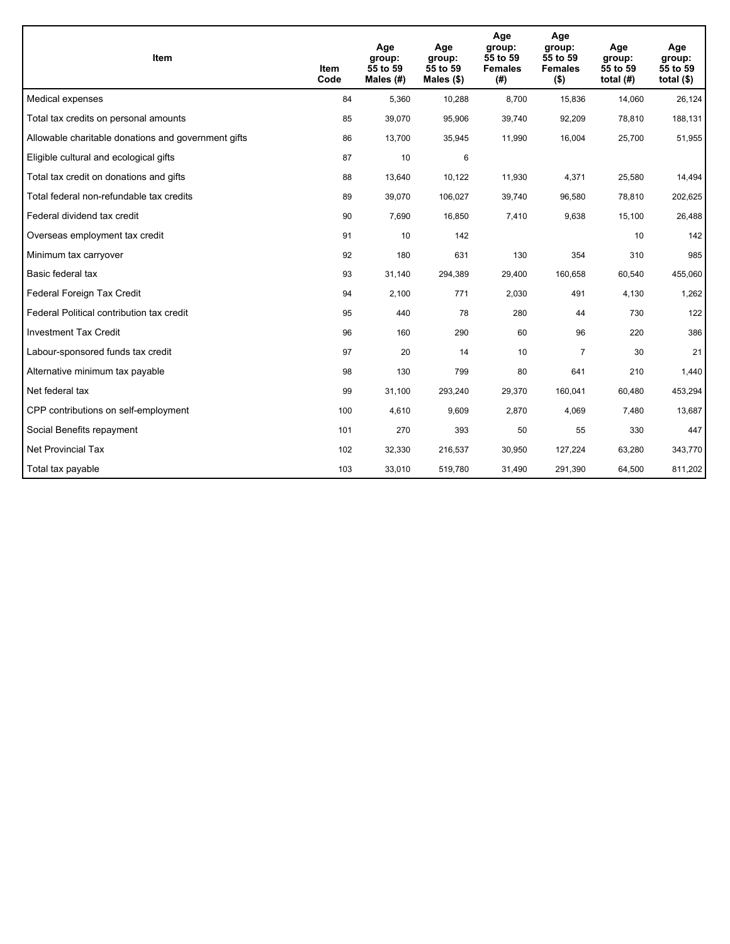| <b>Item</b>                                         | Item<br>Code | Age<br>group:<br>55 to 59<br>Males (#) | Age<br>group:<br>55 to 59<br>Males $(\$)$ | Age<br>group:<br>55 to 59<br><b>Females</b><br>(#) | Age<br>group:<br>55 to 59<br><b>Females</b><br>$($ \$) | Age<br>group:<br>55 to 59<br>total $(H)$ | Age<br>group:<br>55 to 59<br>total $($)$ |
|-----------------------------------------------------|--------------|----------------------------------------|-------------------------------------------|----------------------------------------------------|--------------------------------------------------------|------------------------------------------|------------------------------------------|
| Medical expenses                                    | 84           | 5,360                                  | 10,288                                    | 8,700                                              | 15,836                                                 | 14,060                                   | 26,124                                   |
| Total tax credits on personal amounts               | 85           | 39,070                                 | 95,906                                    | 39,740                                             | 92,209                                                 | 78,810                                   | 188,131                                  |
| Allowable charitable donations and government gifts | 86           | 13,700                                 | 35,945                                    | 11,990                                             | 16,004                                                 | 25,700                                   | 51,955                                   |
| Eligible cultural and ecological gifts              | 87           | 10                                     | 6                                         |                                                    |                                                        |                                          |                                          |
| Total tax credit on donations and gifts             | 88           | 13,640                                 | 10,122                                    | 11,930                                             | 4,371                                                  | 25,580                                   | 14,494                                   |
| Total federal non-refundable tax credits            | 89           | 39,070                                 | 106,027                                   | 39,740                                             | 96,580                                                 | 78,810                                   | 202,625                                  |
| Federal dividend tax credit                         | 90           | 7,690                                  | 16,850                                    | 7,410                                              | 9,638                                                  | 15,100                                   | 26,488                                   |
| Overseas employment tax credit                      | 91           | 10                                     | 142                                       |                                                    |                                                        | 10                                       | 142                                      |
| Minimum tax carryover                               | 92           | 180                                    | 631                                       | 130                                                | 354                                                    | 310                                      | 985                                      |
| Basic federal tax                                   | 93           | 31,140                                 | 294,389                                   | 29,400                                             | 160,658                                                | 60,540                                   | 455,060                                  |
| Federal Foreign Tax Credit                          | 94           | 2,100                                  | 771                                       | 2,030                                              | 491                                                    | 4,130                                    | 1,262                                    |
| Federal Political contribution tax credit           | 95           | 440                                    | 78                                        | 280                                                | 44                                                     | 730                                      | 122                                      |
| <b>Investment Tax Credit</b>                        | 96           | 160                                    | 290                                       | 60                                                 | 96                                                     | 220                                      | 386                                      |
| Labour-sponsored funds tax credit                   | 97           | 20                                     | 14                                        | 10                                                 | $\overline{7}$                                         | 30                                       | 21                                       |
| Alternative minimum tax payable                     | 98           | 130                                    | 799                                       | 80                                                 | 641                                                    | 210                                      | 1,440                                    |
| Net federal tax                                     | 99           | 31,100                                 | 293,240                                   | 29,370                                             | 160,041                                                | 60,480                                   | 453,294                                  |
| CPP contributions on self-employment                | 100          | 4,610                                  | 9,609                                     | 2,870                                              | 4,069                                                  | 7,480                                    | 13,687                                   |
| Social Benefits repayment                           | 101          | 270                                    | 393                                       | 50                                                 | 55                                                     | 330                                      | 447                                      |
| <b>Net Provincial Tax</b>                           | 102          | 32,330                                 | 216,537                                   | 30,950                                             | 127,224                                                | 63,280                                   | 343,770                                  |
| Total tax payable                                   | 103          | 33,010                                 | 519,780                                   | 31,490                                             | 291,390                                                | 64,500                                   | 811,202                                  |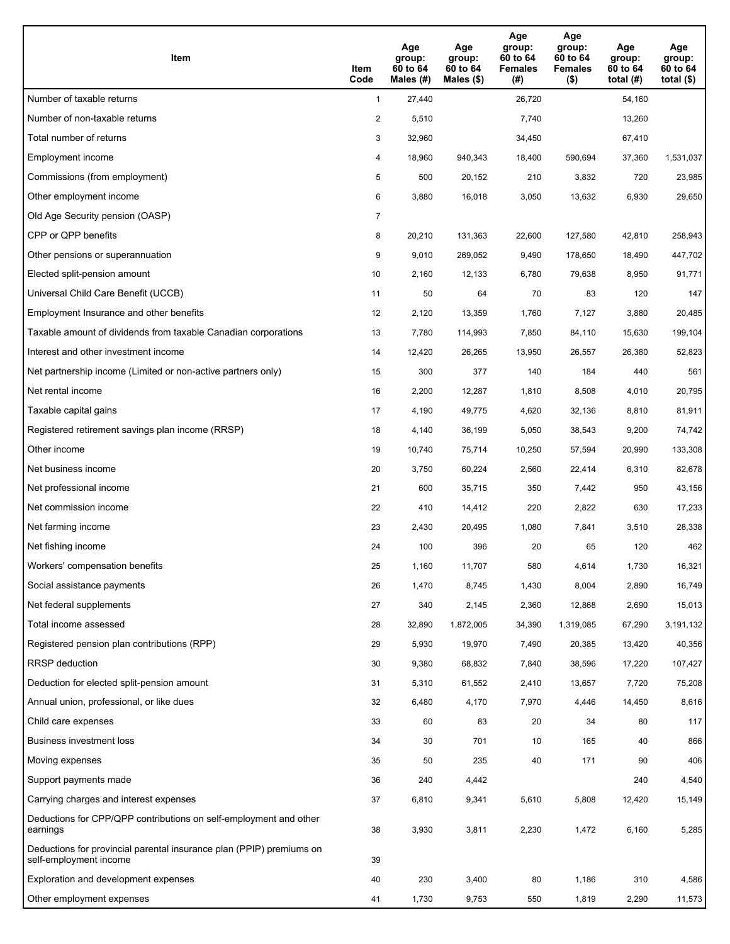| Item                                                                                           | Item<br>Code   | Age<br>group:<br>60 to 64<br>Males (#) | Age<br>group:<br>60 to 64<br>Males $(\$)$ | Age<br>group:<br>60 to 64<br><b>Females</b><br>(#) | Age<br>group:<br>60 to 64<br><b>Females</b><br>$($ \$) | Age<br>group:<br>60 to 64<br>total $(H)$ | Age<br>group:<br>60 to 64<br>total $($ |
|------------------------------------------------------------------------------------------------|----------------|----------------------------------------|-------------------------------------------|----------------------------------------------------|--------------------------------------------------------|------------------------------------------|----------------------------------------|
| Number of taxable returns                                                                      | $\mathbf{1}$   | 27,440                                 |                                           | 26,720                                             |                                                        | 54,160                                   |                                        |
| Number of non-taxable returns                                                                  | $\overline{a}$ | 5,510                                  |                                           | 7,740                                              |                                                        | 13,260                                   |                                        |
| Total number of returns                                                                        | 3              | 32,960                                 |                                           | 34,450                                             |                                                        | 67,410                                   |                                        |
| Employment income                                                                              | 4              | 18,960                                 | 940,343                                   | 18,400                                             | 590.694                                                | 37,360                                   | 1,531,037                              |
| Commissions (from employment)                                                                  | 5              | 500                                    | 20,152                                    | 210                                                | 3,832                                                  | 720                                      | 23,985                                 |
| Other employment income                                                                        | 6              | 3,880                                  | 16,018                                    | 3,050                                              | 13,632                                                 | 6,930                                    | 29,650                                 |
| Old Age Security pension (OASP)                                                                | $\overline{7}$ |                                        |                                           |                                                    |                                                        |                                          |                                        |
| CPP or QPP benefits                                                                            | 8              | 20,210                                 | 131,363                                   | 22,600                                             | 127,580                                                | 42,810                                   | 258,943                                |
| Other pensions or superannuation                                                               | 9              | 9,010                                  | 269,052                                   | 9,490                                              | 178,650                                                | 18,490                                   | 447,702                                |
| Elected split-pension amount                                                                   | 10             | 2,160                                  | 12,133                                    | 6,780                                              | 79,638                                                 | 8,950                                    | 91,771                                 |
| Universal Child Care Benefit (UCCB)                                                            | 11             | 50                                     | 64                                        | 70                                                 | 83                                                     | 120                                      | 147                                    |
| Employment Insurance and other benefits                                                        | 12             | 2,120                                  | 13,359                                    | 1,760                                              | 7,127                                                  | 3,880                                    | 20,485                                 |
| Taxable amount of dividends from taxable Canadian corporations                                 | 13             | 7,780                                  | 114,993                                   | 7,850                                              | 84,110                                                 | 15,630                                   | 199,104                                |
| Interest and other investment income                                                           | 14             | 12,420                                 | 26,265                                    | 13,950                                             | 26,557                                                 | 26,380                                   | 52,823                                 |
| Net partnership income (Limited or non-active partners only)                                   | 15             | 300                                    | 377                                       | 140                                                | 184                                                    | 440                                      | 561                                    |
| Net rental income                                                                              | 16             | 2,200                                  | 12,287                                    | 1,810                                              | 8,508                                                  | 4,010                                    | 20,795                                 |
| Taxable capital gains                                                                          | 17             | 4,190                                  | 49,775                                    | 4,620                                              | 32,136                                                 | 8,810                                    | 81,911                                 |
| Registered retirement savings plan income (RRSP)                                               | 18             | 4,140                                  | 36,199                                    | 5,050                                              | 38,543                                                 | 9,200                                    | 74,742                                 |
| Other income                                                                                   | 19             | 10,740                                 | 75,714                                    | 10,250                                             | 57,594                                                 | 20,990                                   | 133,308                                |
| Net business income                                                                            | 20             | 3,750                                  | 60,224                                    | 2,560                                              | 22,414                                                 | 6,310                                    | 82,678                                 |
| Net professional income                                                                        | 21             | 600                                    | 35,715                                    | 350                                                | 7,442                                                  | 950                                      | 43,156                                 |
| Net commission income                                                                          | 22             | 410                                    | 14,412                                    | 220                                                | 2,822                                                  | 630                                      | 17,233                                 |
| Net farming income                                                                             | 23             | 2,430                                  | 20,495                                    | 1,080                                              | 7,841                                                  | 3,510                                    | 28,338                                 |
| Net fishing income                                                                             | 24             | 100                                    | 396                                       | 20                                                 | 65                                                     | 120                                      | 462                                    |
| Workers' compensation benefits                                                                 | 25             | 1,160                                  | 11,707                                    | 580                                                | 4,614                                                  | 1,730                                    | 16,321                                 |
| Social assistance payments                                                                     | 26             | 1,470                                  | 8,745                                     | 1,430                                              | 8,004                                                  | 2,890                                    | 16,749                                 |
| Net federal supplements                                                                        | 27             | 340                                    | 2,145                                     | 2,360                                              | 12,868                                                 | 2,690                                    | 15,013                                 |
| Total income assessed                                                                          | 28             | 32,890                                 | 1,872,005                                 | 34,390                                             | 1,319,085                                              | 67,290                                   | 3,191,132                              |
| Registered pension plan contributions (RPP)                                                    | 29             | 5,930                                  | 19,970                                    | 7,490                                              | 20,385                                                 | 13,420                                   | 40,356                                 |
| RRSP deduction                                                                                 | 30             | 9,380                                  | 68,832                                    | 7,840                                              | 38,596                                                 | 17,220                                   | 107,427                                |
| Deduction for elected split-pension amount                                                     | 31             | 5,310                                  | 61,552                                    | 2,410                                              | 13,657                                                 | 7,720                                    | 75,208                                 |
| Annual union, professional, or like dues                                                       | 32             | 6,480                                  | 4,170                                     | 7,970                                              | 4,446                                                  | 14,450                                   | 8,616                                  |
| Child care expenses                                                                            | 33             | 60                                     | 83                                        | 20                                                 | 34                                                     | 80                                       | 117                                    |
| Business investment loss                                                                       | 34             | 30                                     | 701                                       | 10                                                 | 165                                                    | 40                                       | 866                                    |
| Moving expenses                                                                                | 35             | 50                                     | 235                                       | 40                                                 | 171                                                    | 90                                       | 406                                    |
| Support payments made                                                                          | 36             | 240                                    | 4,442                                     |                                                    |                                                        | 240                                      | 4,540                                  |
| Carrying charges and interest expenses                                                         | 37             | 6,810                                  | 9,341                                     | 5,610                                              | 5,808                                                  | 12,420                                   | 15,149                                 |
| Deductions for CPP/QPP contributions on self-employment and other<br>earnings                  | 38             | 3,930                                  | 3,811                                     | 2,230                                              | 1,472                                                  | 6,160                                    | 5,285                                  |
| Deductions for provincial parental insurance plan (PPIP) premiums on<br>self-employment income | 39             |                                        |                                           |                                                    |                                                        |                                          |                                        |
| Exploration and development expenses                                                           | 40             | 230                                    | 3,400                                     | 80                                                 | 1,186                                                  | 310                                      | 4,586                                  |
| Other employment expenses                                                                      | 41             | 1,730                                  | 9,753                                     | 550                                                | 1,819                                                  | 2,290                                    | 11,573                                 |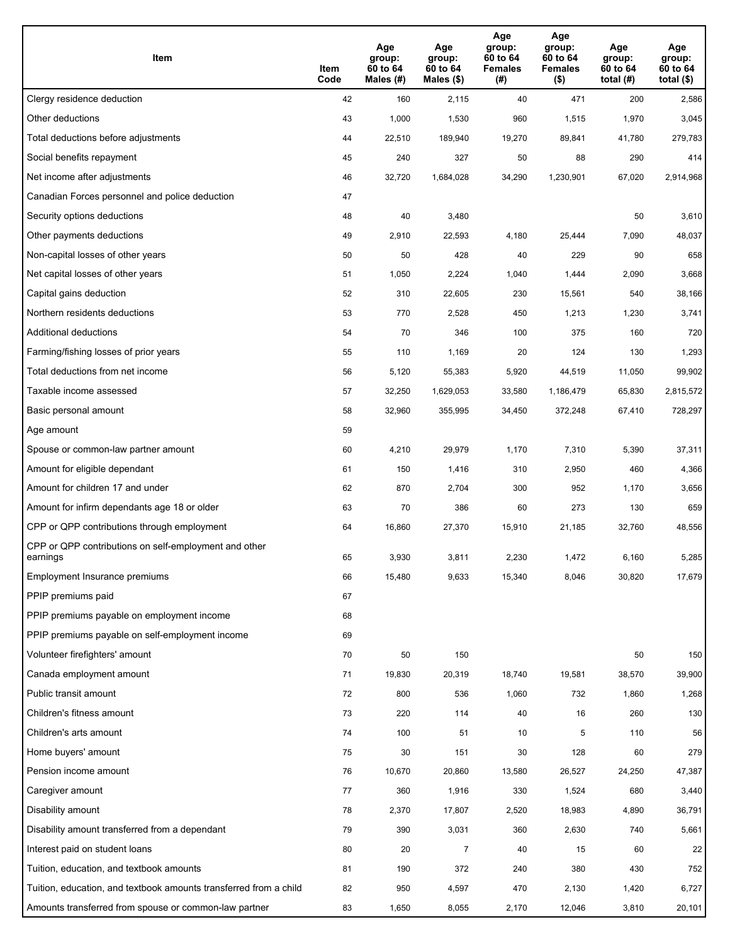| Item                                                              | Item<br>Code | Age<br>group:<br>60 to 64<br>Males (#) | Age<br>group:<br>60 to 64<br>Males (\$) | Age<br>group:<br>60 to 64<br><b>Females</b><br>(# ) | Age<br>group:<br>60 to 64<br><b>Females</b><br>$($ \$) | Age<br>group:<br>60 to 64<br>total $(H)$ | Age<br>group:<br>60 to 64<br>total $($)$ |
|-------------------------------------------------------------------|--------------|----------------------------------------|-----------------------------------------|-----------------------------------------------------|--------------------------------------------------------|------------------------------------------|------------------------------------------|
| Clergy residence deduction                                        | 42           | 160                                    | 2,115                                   | 40                                                  | 471                                                    | 200                                      | 2,586                                    |
| Other deductions                                                  | 43           | 1,000                                  | 1,530                                   | 960                                                 | 1,515                                                  | 1,970                                    | 3,045                                    |
| Total deductions before adjustments                               | 44           | 22,510                                 | 189,940                                 | 19,270                                              | 89,841                                                 | 41,780                                   | 279,783                                  |
| Social benefits repayment                                         | 45           | 240                                    | 327                                     | 50                                                  | 88                                                     | 290                                      | 414                                      |
| Net income after adjustments                                      | 46           | 32,720                                 | 1,684,028                               | 34,290                                              | 1,230,901                                              | 67,020                                   | 2,914,968                                |
| Canadian Forces personnel and police deduction                    | 47           |                                        |                                         |                                                     |                                                        |                                          |                                          |
| Security options deductions                                       | 48           | 40                                     | 3,480                                   |                                                     |                                                        | 50                                       | 3,610                                    |
| Other payments deductions                                         | 49           | 2,910                                  | 22,593                                  | 4,180                                               | 25,444                                                 | 7,090                                    | 48,037                                   |
| Non-capital losses of other years                                 | 50           | 50                                     | 428                                     | 40                                                  | 229                                                    | 90                                       | 658                                      |
| Net capital losses of other years                                 | 51           | 1,050                                  | 2,224                                   | 1,040                                               | 1,444                                                  | 2,090                                    | 3,668                                    |
| Capital gains deduction                                           | 52           | 310                                    | 22,605                                  | 230                                                 | 15,561                                                 | 540                                      | 38,166                                   |
| Northern residents deductions                                     | 53           | 770                                    | 2,528                                   | 450                                                 | 1,213                                                  | 1,230                                    | 3,741                                    |
| Additional deductions                                             | 54           | 70                                     | 346                                     | 100                                                 | 375                                                    | 160                                      | 720                                      |
| Farming/fishing losses of prior years                             | 55           | 110                                    | 1,169                                   | 20                                                  | 124                                                    | 130                                      | 1,293                                    |
| Total deductions from net income                                  | 56           | 5,120                                  | 55,383                                  | 5,920                                               | 44,519                                                 | 11,050                                   | 99,902                                   |
| Taxable income assessed                                           | 57           | 32,250                                 | 1,629,053                               | 33,580                                              | 1,186,479                                              | 65,830                                   | 2,815,572                                |
| Basic personal amount                                             | 58           | 32,960                                 | 355,995                                 | 34,450                                              | 372,248                                                | 67,410                                   | 728,297                                  |
| Age amount                                                        | 59           |                                        |                                         |                                                     |                                                        |                                          |                                          |
| Spouse or common-law partner amount                               | 60           | 4,210                                  | 29,979                                  | 1,170                                               | 7,310                                                  | 5,390                                    | 37,311                                   |
| Amount for eligible dependant                                     | 61           | 150                                    | 1,416                                   | 310                                                 | 2,950                                                  | 460                                      | 4,366                                    |
| Amount for children 17 and under                                  | 62           | 870                                    | 2,704                                   | 300                                                 | 952                                                    | 1,170                                    | 3,656                                    |
| Amount for infirm dependants age 18 or older                      | 63           | 70                                     | 386                                     | 60                                                  | 273                                                    | 130                                      | 659                                      |
| CPP or QPP contributions through employment                       | 64           | 16,860                                 | 27,370                                  | 15,910                                              | 21,185                                                 | 32,760                                   | 48,556                                   |
| CPP or QPP contributions on self-employment and other<br>earnings | 65           | 3,930                                  | 3,811                                   | 2,230                                               | 1,472                                                  | 6,160                                    | 5,285                                    |
| Employment Insurance premiums                                     | 66           | 15,480                                 | 9,633                                   | 15,340                                              | 8,046                                                  | 30,820                                   | 17,679                                   |
| PPIP premiums paid                                                | 67           |                                        |                                         |                                                     |                                                        |                                          |                                          |
| PPIP premiums payable on employment income                        | 68           |                                        |                                         |                                                     |                                                        |                                          |                                          |
| PPIP premiums payable on self-employment income                   | 69           |                                        |                                         |                                                     |                                                        |                                          |                                          |
| Volunteer firefighters' amount                                    | 70           | 50                                     | 150                                     |                                                     |                                                        | 50                                       | 150                                      |
| Canada employment amount                                          | 71           | 19,830                                 | 20,319                                  | 18,740                                              | 19,581                                                 | 38,570                                   | 39,900                                   |
| Public transit amount                                             | 72           | 800                                    | 536                                     | 1,060                                               | 732                                                    | 1,860                                    | 1,268                                    |
| Children's fitness amount                                         | 73           | 220                                    | 114                                     | 40                                                  | 16                                                     | 260                                      | 130                                      |
| Children's arts amount                                            | 74           | 100                                    | 51                                      | 10                                                  | 5                                                      | 110                                      | 56                                       |
| Home buyers' amount                                               | 75           | 30                                     | 151                                     | 30                                                  | 128                                                    | 60                                       | 279                                      |
| Pension income amount                                             | 76           | 10,670                                 | 20,860                                  | 13,580                                              | 26,527                                                 | 24,250                                   | 47,387                                   |
| Caregiver amount                                                  | 77           | 360                                    | 1,916                                   | 330                                                 | 1,524                                                  | 680                                      | 3,440                                    |
| Disability amount                                                 | 78           | 2,370                                  | 17,807                                  | 2,520                                               | 18,983                                                 | 4,890                                    | 36,791                                   |
| Disability amount transferred from a dependant                    | 79           | 390                                    | 3,031                                   | 360                                                 | 2,630                                                  | 740                                      | 5,661                                    |
| Interest paid on student loans                                    | 80           | 20                                     | $\overline{7}$                          | 40                                                  | 15                                                     | 60                                       | 22                                       |
| Tuition, education, and textbook amounts                          | 81           | 190                                    | 372                                     | 240                                                 | 380                                                    | 430                                      | 752                                      |
| Tuition, education, and textbook amounts transferred from a child | 82           | 950                                    | 4,597                                   | 470                                                 | 2,130                                                  | 1,420                                    | 6,727                                    |
| Amounts transferred from spouse or common-law partner             | 83           | 1,650                                  | 8,055                                   | 2,170                                               | 12,046                                                 | 3,810                                    | 20,101                                   |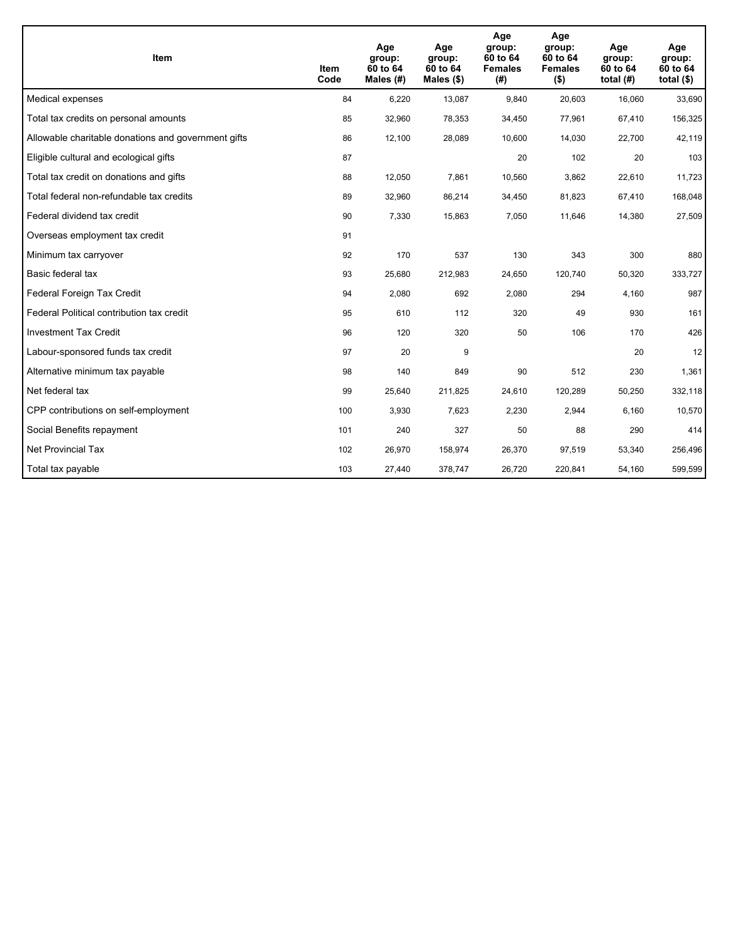| <b>Item</b>                                         | Item<br>Code | Age<br>group:<br>60 to 64<br>Males $(H)$ | Age<br>group:<br>60 to 64<br>Males $(\$)$ | Age<br>group:<br>60 to 64<br><b>Females</b><br>(# ) | Age<br>group:<br>60 to 64<br><b>Females</b><br>$($ \$) | Age<br>group:<br>60 to 64<br>total $(H)$ | Age<br>group:<br>60 to 64<br>total $($)$ |
|-----------------------------------------------------|--------------|------------------------------------------|-------------------------------------------|-----------------------------------------------------|--------------------------------------------------------|------------------------------------------|------------------------------------------|
| Medical expenses                                    | 84           | 6,220                                    | 13,087                                    | 9,840                                               | 20,603                                                 | 16,060                                   | 33,690                                   |
| Total tax credits on personal amounts               | 85           | 32,960                                   | 78,353                                    | 34,450                                              | 77,961                                                 | 67,410                                   | 156,325                                  |
| Allowable charitable donations and government gifts | 86           | 12,100                                   | 28,089                                    | 10.600                                              | 14,030                                                 | 22,700                                   | 42,119                                   |
| Eligible cultural and ecological gifts              | 87           |                                          |                                           | 20                                                  | 102                                                    | 20                                       | 103                                      |
| Total tax credit on donations and gifts             | 88           | 12,050                                   | 7,861                                     | 10,560                                              | 3,862                                                  | 22,610                                   | 11,723                                   |
| Total federal non-refundable tax credits            | 89           | 32,960                                   | 86,214                                    | 34,450                                              | 81,823                                                 | 67,410                                   | 168,048                                  |
| Federal dividend tax credit                         | 90           | 7,330                                    | 15,863                                    | 7,050                                               | 11,646                                                 | 14,380                                   | 27,509                                   |
| Overseas employment tax credit                      | 91           |                                          |                                           |                                                     |                                                        |                                          |                                          |
| Minimum tax carryover                               | 92           | 170                                      | 537                                       | 130                                                 | 343                                                    | 300                                      | 880                                      |
| Basic federal tax                                   | 93           | 25,680                                   | 212,983                                   | 24,650                                              | 120,740                                                | 50.320                                   | 333,727                                  |
| Federal Foreign Tax Credit                          | 94           | 2,080                                    | 692                                       | 2,080                                               | 294                                                    | 4,160                                    | 987                                      |
| Federal Political contribution tax credit           | 95           | 610                                      | 112                                       | 320                                                 | 49                                                     | 930                                      | 161                                      |
| <b>Investment Tax Credit</b>                        | 96           | 120                                      | 320                                       | 50                                                  | 106                                                    | 170                                      | 426                                      |
| Labour-sponsored funds tax credit                   | 97           | 20                                       | 9                                         |                                                     |                                                        | 20                                       | 12                                       |
| Alternative minimum tax payable                     | 98           | 140                                      | 849                                       | 90                                                  | 512                                                    | 230                                      | 1,361                                    |
| Net federal tax                                     | 99           | 25,640                                   | 211,825                                   | 24,610                                              | 120,289                                                | 50,250                                   | 332,118                                  |
| CPP contributions on self-employment                | 100          | 3,930                                    | 7,623                                     | 2,230                                               | 2,944                                                  | 6,160                                    | 10,570                                   |
| Social Benefits repayment                           | 101          | 240                                      | 327                                       | 50                                                  | 88                                                     | 290                                      | 414                                      |
| Net Provincial Tax                                  | 102          | 26,970                                   | 158,974                                   | 26.370                                              | 97.519                                                 | 53,340                                   | 256,496                                  |
| Total tax payable                                   | 103          | 27,440                                   | 378,747                                   | 26,720                                              | 220,841                                                | 54,160                                   | 599,599                                  |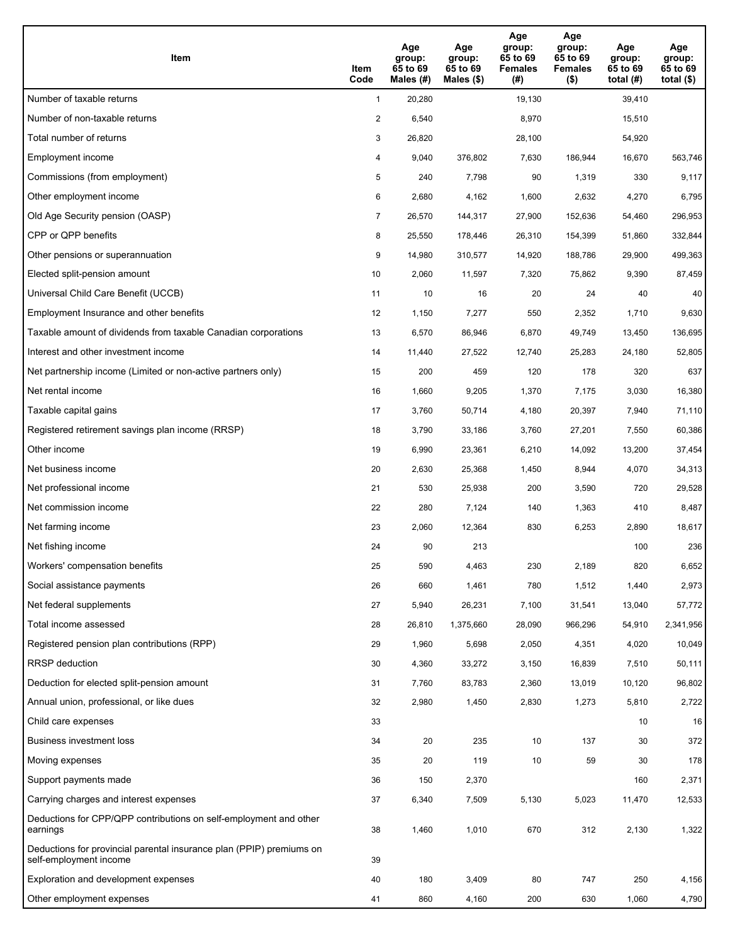| Item                                                                                           | Item<br>Code   | Age<br>group:<br>65 to 69<br>Males (#) | Age<br>group:<br>65 to 69<br>Males $(\$)$ | Age<br>group:<br>65 to 69<br><b>Females</b><br>(#) | Age<br>group:<br>65 to 69<br><b>Females</b><br>$($ \$) | Age<br>group:<br>65 to 69<br>total $(H)$ | Age<br>group:<br>65 to 69<br>total $($ |
|------------------------------------------------------------------------------------------------|----------------|----------------------------------------|-------------------------------------------|----------------------------------------------------|--------------------------------------------------------|------------------------------------------|----------------------------------------|
| Number of taxable returns                                                                      | $\mathbf{1}$   | 20,280                                 |                                           | 19,130                                             |                                                        | 39,410                                   |                                        |
| Number of non-taxable returns                                                                  | $\overline{2}$ | 6,540                                  |                                           | 8,970                                              |                                                        | 15,510                                   |                                        |
| Total number of returns                                                                        | 3              | 26,820                                 |                                           | 28,100                                             |                                                        | 54,920                                   |                                        |
| Employment income                                                                              | 4              | 9,040                                  | 376,802                                   | 7,630                                              | 186,944                                                | 16,670                                   | 563,746                                |
| Commissions (from employment)                                                                  | 5              | 240                                    | 7,798                                     | 90                                                 | 1,319                                                  | 330                                      | 9,117                                  |
| Other employment income                                                                        | 6              | 2,680                                  | 4,162                                     | 1,600                                              | 2,632                                                  | 4,270                                    | 6,795                                  |
| Old Age Security pension (OASP)                                                                | 7              | 26,570                                 | 144,317                                   | 27,900                                             | 152,636                                                | 54,460                                   | 296,953                                |
| CPP or QPP benefits                                                                            | 8              | 25,550                                 | 178,446                                   | 26,310                                             | 154,399                                                | 51,860                                   | 332,844                                |
| Other pensions or superannuation                                                               | 9              | 14,980                                 | 310,577                                   | 14,920                                             | 188,786                                                | 29,900                                   | 499,363                                |
| Elected split-pension amount                                                                   | 10             | 2,060                                  | 11,597                                    | 7,320                                              | 75,862                                                 | 9,390                                    | 87,459                                 |
| Universal Child Care Benefit (UCCB)                                                            | 11             | 10                                     | 16                                        | 20                                                 | 24                                                     | 40                                       | 40                                     |
| Employment Insurance and other benefits                                                        | 12             | 1,150                                  | 7,277                                     | 550                                                | 2,352                                                  | 1,710                                    | 9,630                                  |
| Taxable amount of dividends from taxable Canadian corporations                                 | 13             | 6,570                                  | 86,946                                    | 6,870                                              | 49,749                                                 | 13,450                                   | 136,695                                |
| Interest and other investment income                                                           | 14             | 11,440                                 | 27,522                                    | 12,740                                             | 25,283                                                 | 24,180                                   | 52,805                                 |
| Net partnership income (Limited or non-active partners only)                                   | 15             | 200                                    | 459                                       | 120                                                | 178                                                    | 320                                      | 637                                    |
| Net rental income                                                                              | 16             | 1,660                                  | 9,205                                     | 1,370                                              | 7,175                                                  | 3,030                                    | 16,380                                 |
| Taxable capital gains                                                                          | 17             | 3,760                                  | 50,714                                    | 4,180                                              | 20,397                                                 | 7,940                                    | 71,110                                 |
| Registered retirement savings plan income (RRSP)                                               | 18             | 3,790                                  | 33,186                                    | 3,760                                              | 27,201                                                 | 7,550                                    | 60,386                                 |
| Other income                                                                                   | 19             | 6,990                                  | 23,361                                    | 6,210                                              | 14,092                                                 | 13,200                                   | 37,454                                 |
| Net business income                                                                            | 20             | 2,630                                  | 25,368                                    | 1,450                                              | 8,944                                                  | 4,070                                    | 34,313                                 |
| Net professional income                                                                        | 21             | 530                                    | 25,938                                    | 200                                                | 3,590                                                  | 720                                      | 29,528                                 |
| Net commission income                                                                          | 22             | 280                                    | 7,124                                     | 140                                                | 1,363                                                  | 410                                      | 8,487                                  |
| Net farming income                                                                             | 23             | 2,060                                  | 12,364                                    | 830                                                | 6,253                                                  | 2,890                                    | 18,617                                 |
| Net fishing income                                                                             | 24             | 90                                     | 213                                       |                                                    |                                                        | 100                                      | 236                                    |
| Workers' compensation benefits                                                                 | 25             | 590                                    | 4,463                                     | 230                                                | 2,189                                                  | 820                                      | 6,652                                  |
| Social assistance payments                                                                     | 26             | 660                                    | 1,461                                     | 780                                                | 1,512                                                  | 1,440                                    | 2,973                                  |
| Net federal supplements                                                                        | 27             | 5,940                                  | 26,231                                    | 7,100                                              | 31,541                                                 | 13,040                                   | 57,772                                 |
| Total income assessed                                                                          | 28             | 26,810                                 | 1,375,660                                 | 28,090                                             | 966,296                                                | 54,910                                   | 2,341,956                              |
| Registered pension plan contributions (RPP)                                                    | 29             | 1,960                                  | 5,698                                     | 2,050                                              | 4,351                                                  | 4,020                                    | 10,049                                 |
| RRSP deduction                                                                                 | 30             | 4,360                                  | 33,272                                    | 3,150                                              | 16,839                                                 | 7,510                                    | 50,111                                 |
| Deduction for elected split-pension amount                                                     | 31             | 7,760                                  | 83,783                                    | 2,360                                              | 13,019                                                 | 10,120                                   | 96,802                                 |
| Annual union, professional, or like dues                                                       | 32             | 2,980                                  | 1,450                                     | 2,830                                              | 1,273                                                  | 5,810                                    | 2,722                                  |
| Child care expenses                                                                            | 33             |                                        |                                           |                                                    |                                                        | 10                                       | 16                                     |
| Business investment loss                                                                       | 34             | 20                                     | 235                                       | 10                                                 | 137                                                    | 30                                       | 372                                    |
| Moving expenses                                                                                | 35             | 20                                     | 119                                       | 10                                                 | 59                                                     | 30                                       | 178                                    |
| Support payments made                                                                          | 36             | 150                                    | 2,370                                     |                                                    |                                                        | 160                                      | 2,371                                  |
| Carrying charges and interest expenses                                                         | 37             | 6,340                                  | 7,509                                     | 5,130                                              | 5,023                                                  | 11,470                                   | 12,533                                 |
| Deductions for CPP/QPP contributions on self-employment and other<br>earnings                  | 38             | 1,460                                  | 1,010                                     | 670                                                | 312                                                    | 2,130                                    | 1,322                                  |
| Deductions for provincial parental insurance plan (PPIP) premiums on<br>self-employment income | 39             |                                        |                                           |                                                    |                                                        |                                          |                                        |
| Exploration and development expenses                                                           | 40             | 180                                    | 3,409                                     | 80                                                 | 747                                                    | 250                                      | 4,156                                  |
| Other employment expenses                                                                      | 41             | 860                                    | 4,160                                     | 200                                                | 630                                                    | 1,060                                    | 4,790                                  |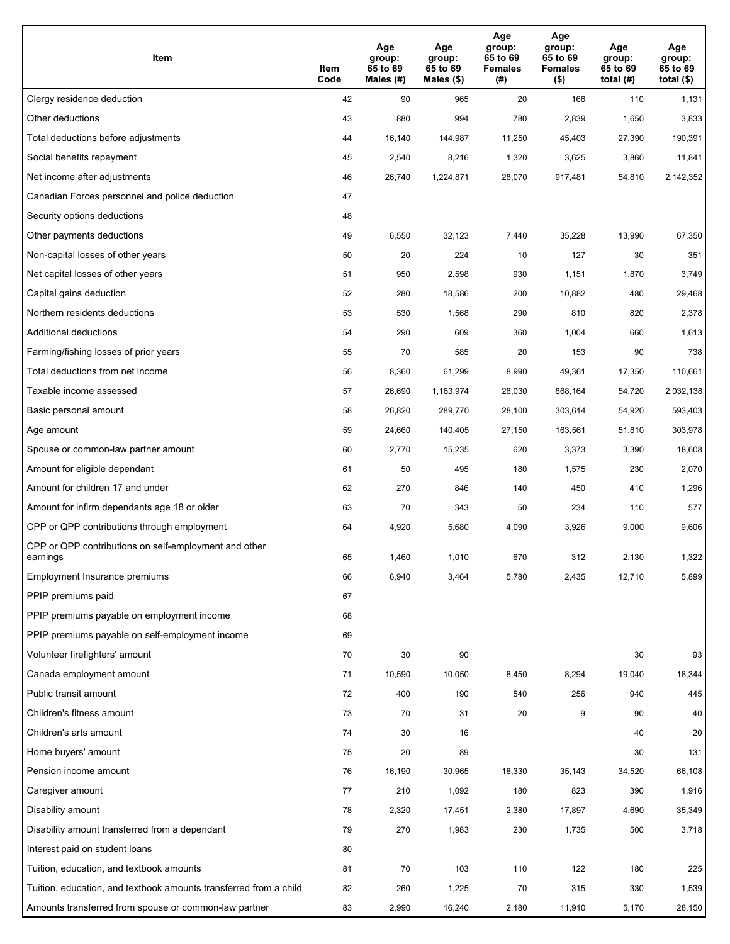| Item                                                              | Item<br>Code | Age<br>group:<br>65 to 69<br>Males (#) | Age<br>group:<br>65 to 69<br>Males (\$) | Age<br>group:<br>65 to 69<br><b>Females</b><br>(# ) | Age<br>group:<br>65 to 69<br><b>Females</b><br>$($ \$) | Age<br>group:<br>65 to 69<br>total $(H)$ | Age<br>group:<br>65 to 69<br>total $($)$ |
|-------------------------------------------------------------------|--------------|----------------------------------------|-----------------------------------------|-----------------------------------------------------|--------------------------------------------------------|------------------------------------------|------------------------------------------|
| Clergy residence deduction                                        | 42           | 90                                     | 965                                     | 20                                                  | 166                                                    | 110                                      | 1,131                                    |
| Other deductions                                                  | 43           | 880                                    | 994                                     | 780                                                 | 2,839                                                  | 1,650                                    | 3,833                                    |
| Total deductions before adjustments                               | 44           | 16,140                                 | 144,987                                 | 11,250                                              | 45,403                                                 | 27,390                                   | 190,391                                  |
| Social benefits repayment                                         | 45           | 2,540                                  | 8,216                                   | 1,320                                               | 3,625                                                  | 3,860                                    | 11,841                                   |
| Net income after adjustments                                      | 46           | 26,740                                 | 1,224,871                               | 28,070                                              | 917,481                                                | 54,810                                   | 2,142,352                                |
| Canadian Forces personnel and police deduction                    | 47           |                                        |                                         |                                                     |                                                        |                                          |                                          |
| Security options deductions                                       | 48           |                                        |                                         |                                                     |                                                        |                                          |                                          |
| Other payments deductions                                         | 49           | 6,550                                  | 32,123                                  | 7,440                                               | 35,228                                                 | 13,990                                   | 67,350                                   |
| Non-capital losses of other years                                 | 50           | 20                                     | 224                                     | 10                                                  | 127                                                    | 30                                       | 351                                      |
| Net capital losses of other years                                 | 51           | 950                                    | 2,598                                   | 930                                                 | 1,151                                                  | 1,870                                    | 3,749                                    |
| Capital gains deduction                                           | 52           | 280                                    | 18,586                                  | 200                                                 | 10,882                                                 | 480                                      | 29,468                                   |
| Northern residents deductions                                     | 53           | 530                                    | 1,568                                   | 290                                                 | 810                                                    | 820                                      | 2,378                                    |
| Additional deductions                                             | 54           | 290                                    | 609                                     | 360                                                 | 1,004                                                  | 660                                      | 1,613                                    |
| Farming/fishing losses of prior years                             | 55           | 70                                     | 585                                     | 20                                                  | 153                                                    | 90                                       | 738                                      |
| Total deductions from net income                                  | 56           | 8,360                                  | 61,299                                  | 8,990                                               | 49,361                                                 | 17,350                                   | 110,661                                  |
| Taxable income assessed                                           | 57           | 26,690                                 | 1,163,974                               | 28,030                                              | 868,164                                                | 54,720                                   | 2,032,138                                |
| Basic personal amount                                             | 58           | 26,820                                 | 289,770                                 | 28,100                                              | 303,614                                                | 54,920                                   | 593,403                                  |
| Age amount                                                        | 59           | 24,660                                 | 140,405                                 | 27,150                                              | 163,561                                                | 51,810                                   | 303,978                                  |
| Spouse or common-law partner amount                               | 60           | 2,770                                  | 15,235                                  | 620                                                 | 3,373                                                  | 3,390                                    | 18,608                                   |
| Amount for eligible dependant                                     | 61           | 50                                     | 495                                     | 180                                                 | 1,575                                                  | 230                                      | 2,070                                    |
| Amount for children 17 and under                                  | 62           | 270                                    | 846                                     | 140                                                 | 450                                                    | 410                                      | 1,296                                    |
| Amount for infirm dependants age 18 or older                      | 63           | 70                                     | 343                                     | 50                                                  | 234                                                    | 110                                      | 577                                      |
| CPP or QPP contributions through employment                       | 64           | 4,920                                  | 5,680                                   | 4,090                                               | 3,926                                                  | 9,000                                    | 9,606                                    |
| CPP or QPP contributions on self-employment and other<br>earnings | 65           | 1,460                                  | 1,010                                   | 670                                                 | 312                                                    | 2,130                                    | 1,322                                    |
| Employment Insurance premiums                                     | 66           | 6,940                                  | 3,464                                   | 5,780                                               | 2,435                                                  | 12,710                                   | 5,899                                    |
| PPIP premiums paid                                                | 67           |                                        |                                         |                                                     |                                                        |                                          |                                          |
| PPIP premiums payable on employment income                        | 68           |                                        |                                         |                                                     |                                                        |                                          |                                          |
| PPIP premiums payable on self-employment income                   | 69           |                                        |                                         |                                                     |                                                        |                                          |                                          |
| Volunteer firefighters' amount                                    | 70           | 30                                     | 90                                      |                                                     |                                                        | 30                                       | 93                                       |
| Canada employment amount                                          | 71           | 10,590                                 | 10,050                                  | 8,450                                               | 8,294                                                  | 19,040                                   | 18,344                                   |
| Public transit amount                                             | 72           | 400                                    | 190                                     | 540                                                 | 256                                                    | 940                                      | 445                                      |
| Children's fitness amount                                         | 73           | 70                                     | 31                                      | 20                                                  | 9                                                      | 90                                       | 40                                       |
| Children's arts amount                                            | 74           | 30                                     | 16                                      |                                                     |                                                        | 40                                       | 20                                       |
| Home buyers' amount                                               | 75           | 20                                     | 89                                      |                                                     |                                                        | 30                                       | 131                                      |
| Pension income amount                                             | 76           | 16,190                                 | 30,965                                  | 18,330                                              | 35,143                                                 | 34,520                                   | 66,108                                   |
| Caregiver amount                                                  | 77           | 210                                    | 1,092                                   | 180                                                 | 823                                                    | 390                                      | 1,916                                    |
| Disability amount                                                 | 78           | 2,320                                  | 17,451                                  | 2,380                                               | 17,897                                                 | 4,690                                    | 35,349                                   |
| Disability amount transferred from a dependant                    | 79           | 270                                    | 1,983                                   | 230                                                 | 1,735                                                  | 500                                      | 3,718                                    |
| Interest paid on student loans                                    | 80           |                                        |                                         |                                                     |                                                        |                                          |                                          |
| Tuition, education, and textbook amounts                          | 81           | 70                                     | 103                                     | 110                                                 | 122                                                    | 180                                      | 225                                      |
| Tuition, education, and textbook amounts transferred from a child | 82           | 260                                    | 1,225                                   | 70                                                  | 315                                                    | 330                                      | 1,539                                    |
| Amounts transferred from spouse or common-law partner             | 83           | 2,990                                  | 16,240                                  | 2,180                                               | 11,910                                                 | 5,170                                    | 28,150                                   |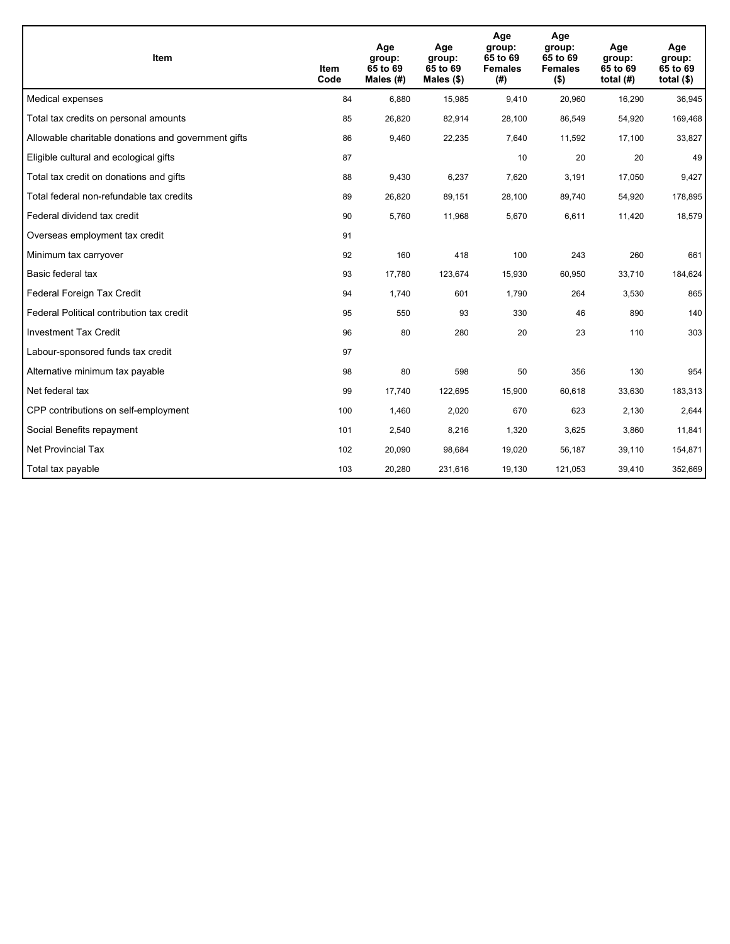| <b>Item</b>                                         | Item<br>Code | Age<br>group:<br>65 to 69<br>Males (#) | Age<br>group:<br>65 to 69<br>Males $(\$)$ | Age<br>group:<br>65 to 69<br><b>Females</b><br>(#) | Age<br>group:<br>65 to 69<br><b>Females</b><br>$($ \$) | Age<br>group:<br>65 to 69<br>total $(H)$ | Age<br>group:<br>65 to 69<br>total $($)$ |
|-----------------------------------------------------|--------------|----------------------------------------|-------------------------------------------|----------------------------------------------------|--------------------------------------------------------|------------------------------------------|------------------------------------------|
| Medical expenses                                    | 84           | 6,880                                  | 15,985                                    | 9,410                                              | 20,960                                                 | 16,290                                   | 36,945                                   |
| Total tax credits on personal amounts               | 85           | 26,820                                 | 82,914                                    | 28,100                                             | 86,549                                                 | 54,920                                   | 169,468                                  |
| Allowable charitable donations and government gifts | 86           | 9,460                                  | 22,235                                    | 7,640                                              | 11,592                                                 | 17,100                                   | 33,827                                   |
| Eligible cultural and ecological gifts              | 87           |                                        |                                           | 10                                                 | 20                                                     | 20                                       | 49                                       |
| Total tax credit on donations and gifts             | 88           | 9,430                                  | 6,237                                     | 7,620                                              | 3,191                                                  | 17,050                                   | 9,427                                    |
| Total federal non-refundable tax credits            | 89           | 26,820                                 | 89,151                                    | 28,100                                             | 89,740                                                 | 54,920                                   | 178,895                                  |
| Federal dividend tax credit                         | 90           | 5,760                                  | 11,968                                    | 5,670                                              | 6,611                                                  | 11,420                                   | 18,579                                   |
| Overseas employment tax credit                      | 91           |                                        |                                           |                                                    |                                                        |                                          |                                          |
| Minimum tax carryover                               | 92           | 160                                    | 418                                       | 100                                                | 243                                                    | 260                                      | 661                                      |
| Basic federal tax                                   | 93           | 17,780                                 | 123,674                                   | 15,930                                             | 60,950                                                 | 33,710                                   | 184,624                                  |
| Federal Foreign Tax Credit                          | 94           | 1,740                                  | 601                                       | 1,790                                              | 264                                                    | 3,530                                    | 865                                      |
| Federal Political contribution tax credit           | 95           | 550                                    | 93                                        | 330                                                | 46                                                     | 890                                      | 140                                      |
| <b>Investment Tax Credit</b>                        | 96           | 80                                     | 280                                       | 20                                                 | 23                                                     | 110                                      | 303                                      |
| Labour-sponsored funds tax credit                   | 97           |                                        |                                           |                                                    |                                                        |                                          |                                          |
| Alternative minimum tax payable                     | 98           | 80                                     | 598                                       | 50                                                 | 356                                                    | 130                                      | 954                                      |
| Net federal tax                                     | 99           | 17,740                                 | 122,695                                   | 15,900                                             | 60,618                                                 | 33,630                                   | 183,313                                  |
| CPP contributions on self-employment                | 100          | 1,460                                  | 2,020                                     | 670                                                | 623                                                    | 2,130                                    | 2,644                                    |
| Social Benefits repayment                           | 101          | 2,540                                  | 8,216                                     | 1,320                                              | 3,625                                                  | 3,860                                    | 11,841                                   |
| <b>Net Provincial Tax</b>                           | 102          | 20,090                                 | 98,684                                    | 19,020                                             | 56,187                                                 | 39,110                                   | 154,871                                  |
| Total tax payable                                   | 103          | 20,280                                 | 231,616                                   | 19,130                                             | 121,053                                                | 39,410                                   | 352,669                                  |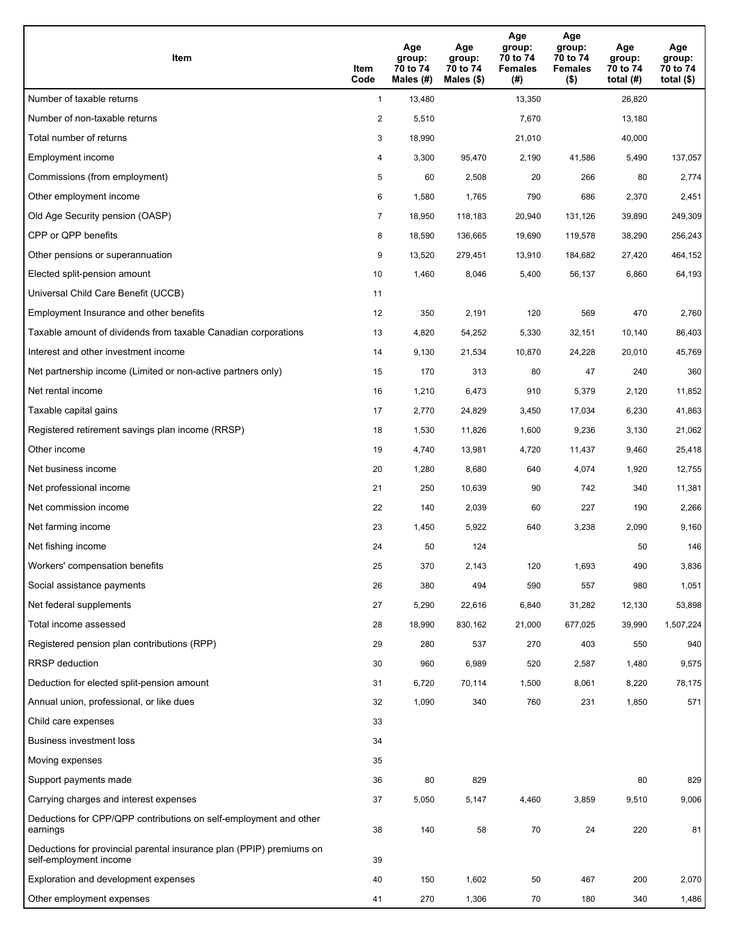| Item                                                                                           | Item<br>Code   | Age<br>group:<br>70 to 74<br>Males (#) | Age<br>group:<br>70 to 74<br>Males (\$) | Age<br>group:<br>70 to 74<br><b>Females</b><br>(# ) | Age<br>group:<br>70 to 74<br><b>Females</b><br>$($ \$) | Age<br>group:<br>70 to 74<br>total $(H)$ | Age<br>group:<br>70 to 74<br>total $($ |
|------------------------------------------------------------------------------------------------|----------------|----------------------------------------|-----------------------------------------|-----------------------------------------------------|--------------------------------------------------------|------------------------------------------|----------------------------------------|
| Number of taxable returns                                                                      | $\mathbf{1}$   | 13,480                                 |                                         | 13,350                                              |                                                        | 26,820                                   |                                        |
| Number of non-taxable returns                                                                  | $\overline{2}$ | 5,510                                  |                                         | 7,670                                               |                                                        | 13,180                                   |                                        |
| Total number of returns                                                                        | 3              | 18,990                                 |                                         | 21,010                                              |                                                        | 40,000                                   |                                        |
| Employment income                                                                              | 4              | 3,300                                  | 95,470                                  | 2,190                                               | 41,586                                                 | 5,490                                    | 137,057                                |
| Commissions (from employment)                                                                  | 5              | 60                                     | 2,508                                   | 20                                                  | 266                                                    | 80                                       | 2,774                                  |
| Other employment income                                                                        | 6              | 1,580                                  | 1,765                                   | 790                                                 | 686                                                    | 2,370                                    | 2,451                                  |
| Old Age Security pension (OASP)                                                                | $\overline{7}$ | 18,950                                 | 118,183                                 | 20,940                                              | 131,126                                                | 39,890                                   | 249,309                                |
| CPP or QPP benefits                                                                            | 8              | 18,590                                 | 136,665                                 | 19,690                                              | 119,578                                                | 38,290                                   | 256,243                                |
| Other pensions or superannuation                                                               | 9              | 13,520                                 | 279,451                                 | 13,910                                              | 184,682                                                | 27,420                                   | 464,152                                |
| Elected split-pension amount                                                                   | 10             | 1,460                                  | 8,046                                   | 5,400                                               | 56,137                                                 | 6,860                                    | 64,193                                 |
| Universal Child Care Benefit (UCCB)                                                            | 11             |                                        |                                         |                                                     |                                                        |                                          |                                        |
| Employment Insurance and other benefits                                                        | 12             | 350                                    | 2,191                                   | 120                                                 | 569                                                    | 470                                      | 2,760                                  |
| Taxable amount of dividends from taxable Canadian corporations                                 | 13             | 4,820                                  | 54,252                                  | 5,330                                               | 32,151                                                 | 10,140                                   | 86,403                                 |
| Interest and other investment income                                                           | 14             | 9,130                                  | 21,534                                  | 10,870                                              | 24,228                                                 | 20,010                                   | 45,769                                 |
| Net partnership income (Limited or non-active partners only)                                   | 15             | 170                                    | 313                                     | 80                                                  | 47                                                     | 240                                      | 360                                    |
| Net rental income                                                                              | 16             | 1,210                                  | 6,473                                   | 910                                                 | 5,379                                                  | 2,120                                    | 11,852                                 |
| Taxable capital gains                                                                          | 17             | 2,770                                  | 24,829                                  | 3,450                                               | 17,034                                                 | 6,230                                    | 41,863                                 |
| Registered retirement savings plan income (RRSP)                                               | 18             | 1,530                                  | 11,826                                  | 1,600                                               | 9,236                                                  | 3,130                                    | 21,062                                 |
| Other income                                                                                   | 19             | 4,740                                  | 13,981                                  | 4,720                                               | 11,437                                                 | 9,460                                    | 25,418                                 |
| Net business income                                                                            | 20             | 1,280                                  | 8,680                                   | 640                                                 | 4,074                                                  | 1,920                                    | 12,755                                 |
| Net professional income                                                                        | 21             | 250                                    | 10,639                                  | 90                                                  | 742                                                    | 340                                      | 11,381                                 |
| Net commission income                                                                          | 22             | 140                                    | 2,039                                   | 60                                                  | 227                                                    | 190                                      | 2,266                                  |
| Net farming income                                                                             | 23             | 1,450                                  | 5,922                                   | 640                                                 | 3,238                                                  | 2,090                                    | 9,160                                  |
| Net fishing income                                                                             | 24             | 50                                     | 124                                     |                                                     |                                                        | 50                                       | 146                                    |
| Workers' compensation benefits                                                                 | 25             | 370                                    | 2,143                                   | 120                                                 | 1,693                                                  | 490                                      | 3,836                                  |
| Social assistance payments                                                                     | 26             | 380                                    | 494                                     | 590                                                 | 557                                                    | 980                                      | 1,051                                  |
| Net federal supplements                                                                        | 27             | 5,290                                  | 22,616                                  | 6,840                                               | 31,282                                                 | 12,130                                   | 53,898                                 |
| Total income assessed                                                                          | 28             | 18,990                                 | 830,162                                 | 21,000                                              | 677,025                                                | 39,990                                   | 1,507,224                              |
| Registered pension plan contributions (RPP)                                                    | 29             | 280                                    | 537                                     | 270                                                 | 403                                                    | 550                                      | 940                                    |
| <b>RRSP</b> deduction                                                                          | 30             | 960                                    | 6,989                                   | 520                                                 | 2,587                                                  | 1,480                                    | 9,575                                  |
| Deduction for elected split-pension amount                                                     | 31             | 6,720                                  | 70,114                                  | 1,500                                               | 8,061                                                  | 8,220                                    | 78,175                                 |
| Annual union, professional, or like dues                                                       | 32             | 1,090                                  | 340                                     | 760                                                 | 231                                                    | 1,850                                    | 571                                    |
| Child care expenses                                                                            | 33             |                                        |                                         |                                                     |                                                        |                                          |                                        |
| Business investment loss                                                                       | 34             |                                        |                                         |                                                     |                                                        |                                          |                                        |
| Moving expenses                                                                                | 35             |                                        |                                         |                                                     |                                                        |                                          |                                        |
| Support payments made                                                                          | 36             | 80                                     | 829                                     |                                                     |                                                        | 80                                       | 829                                    |
| Carrying charges and interest expenses                                                         | 37             | 5,050                                  | 5,147                                   | 4,460                                               | 3,859                                                  | 9,510                                    | 9,006                                  |
| Deductions for CPP/QPP contributions on self-employment and other<br>earnings                  | 38             | 140                                    | 58                                      | 70                                                  | 24                                                     | 220                                      | 81                                     |
| Deductions for provincial parental insurance plan (PPIP) premiums on<br>self-employment income | 39             |                                        |                                         |                                                     |                                                        |                                          |                                        |
| Exploration and development expenses                                                           | 40             | 150                                    | 1,602                                   | 50                                                  | 467                                                    | 200                                      | 2,070                                  |
| Other employment expenses                                                                      | 41             | 270                                    | 1,306                                   | 70                                                  | 180                                                    | 340                                      | 1,486                                  |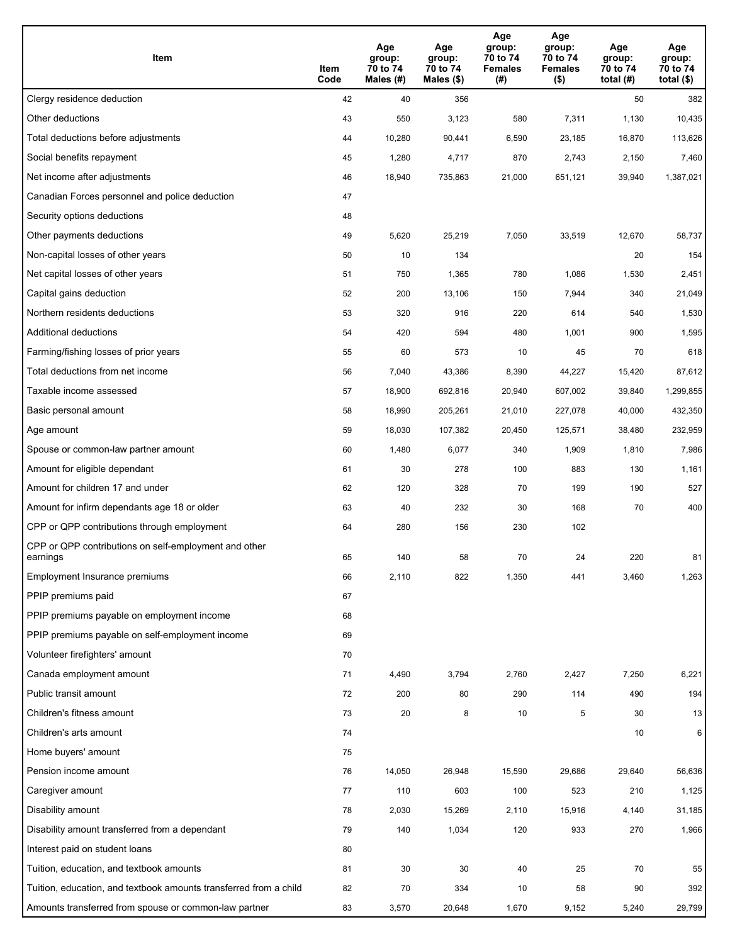| Item                                                              | Item<br>Code | Age<br>group:<br>70 to 74<br>Males (#) | Age<br>group:<br>70 to 74<br>Males (\$) | Age<br>group:<br>70 to 74<br><b>Females</b><br>(# ) | Age<br>group:<br>70 to 74<br>Females<br>$($ \$) | Age<br>group:<br>70 to 74<br>total $(H)$ | Age<br>group:<br>70 to 74<br>total $($ |
|-------------------------------------------------------------------|--------------|----------------------------------------|-----------------------------------------|-----------------------------------------------------|-------------------------------------------------|------------------------------------------|----------------------------------------|
| Clergy residence deduction                                        | 42           | 40                                     | 356                                     |                                                     |                                                 | 50                                       | 382                                    |
| Other deductions                                                  | 43           | 550                                    | 3,123                                   | 580                                                 | 7,311                                           | 1,130                                    | 10,435                                 |
| Total deductions before adjustments                               | 44           | 10,280                                 | 90,441                                  | 6,590                                               | 23,185                                          | 16,870                                   | 113,626                                |
| Social benefits repayment                                         | 45           | 1,280                                  | 4,717                                   | 870                                                 | 2,743                                           | 2,150                                    | 7,460                                  |
| Net income after adjustments                                      | 46           | 18,940                                 | 735,863                                 | 21,000                                              | 651,121                                         | 39,940                                   | 1,387,021                              |
| Canadian Forces personnel and police deduction                    | 47           |                                        |                                         |                                                     |                                                 |                                          |                                        |
| Security options deductions                                       | 48           |                                        |                                         |                                                     |                                                 |                                          |                                        |
| Other payments deductions                                         | 49           | 5,620                                  | 25,219                                  | 7,050                                               | 33,519                                          | 12,670                                   | 58,737                                 |
| Non-capital losses of other years                                 | 50           | 10                                     | 134                                     |                                                     |                                                 | 20                                       | 154                                    |
| Net capital losses of other years                                 | 51           | 750                                    | 1,365                                   | 780                                                 | 1,086                                           | 1,530                                    | 2,451                                  |
| Capital gains deduction                                           | 52           | 200                                    | 13,106                                  | 150                                                 | 7,944                                           | 340                                      | 21,049                                 |
| Northern residents deductions                                     | 53           | 320                                    | 916                                     | 220                                                 | 614                                             | 540                                      | 1,530                                  |
| Additional deductions                                             | 54           | 420                                    | 594                                     | 480                                                 | 1,001                                           | 900                                      | 1,595                                  |
| Farming/fishing losses of prior years                             | 55           | 60                                     | 573                                     | 10                                                  | 45                                              | 70                                       | 618                                    |
| Total deductions from net income                                  | 56           | 7,040                                  | 43,386                                  | 8,390                                               | 44,227                                          | 15,420                                   | 87,612                                 |
| Taxable income assessed                                           | 57           | 18,900                                 | 692,816                                 | 20,940                                              | 607,002                                         | 39,840                                   | 1,299,855                              |
| Basic personal amount                                             | 58           | 18,990                                 | 205,261                                 | 21,010                                              | 227,078                                         | 40,000                                   | 432,350                                |
| Age amount                                                        | 59           | 18,030                                 | 107,382                                 | 20,450                                              | 125,571                                         | 38,480                                   | 232,959                                |
| Spouse or common-law partner amount                               | 60           | 1,480                                  | 6,077                                   | 340                                                 | 1,909                                           | 1,810                                    | 7,986                                  |
| Amount for eligible dependant                                     | 61           | 30                                     | 278                                     | 100                                                 | 883                                             | 130                                      | 1,161                                  |
| Amount for children 17 and under                                  | 62           | 120                                    | 328                                     | 70                                                  | 199                                             | 190                                      | 527                                    |
| Amount for infirm dependants age 18 or older                      | 63           | 40                                     | 232                                     | 30                                                  | 168                                             | 70                                       | 400                                    |
| CPP or QPP contributions through employment                       | 64           | 280                                    | 156                                     | 230                                                 | 102                                             |                                          |                                        |
| CPP or QPP contributions on self-employment and other<br>earnings | 65           | 140                                    | 58                                      | 70                                                  | 24                                              | 220                                      | 81                                     |
| Employment Insurance premiums                                     | 66           | 2,110                                  | 822                                     | 1,350                                               | 441                                             | 3,460                                    | 1,263                                  |
| PPIP premiums paid                                                | 67           |                                        |                                         |                                                     |                                                 |                                          |                                        |
| PPIP premiums payable on employment income                        | 68           |                                        |                                         |                                                     |                                                 |                                          |                                        |
| PPIP premiums payable on self-employment income                   | 69           |                                        |                                         |                                                     |                                                 |                                          |                                        |
| Volunteer firefighters' amount                                    | 70           |                                        |                                         |                                                     |                                                 |                                          |                                        |
| Canada employment amount                                          | 71           | 4,490                                  | 3,794                                   | 2,760                                               | 2,427                                           | 7,250                                    | 6,221                                  |
| Public transit amount                                             | 72           | 200                                    | 80                                      | 290                                                 | 114                                             | 490                                      | 194                                    |
| Children's fitness amount                                         | 73           | 20                                     | 8                                       | 10                                                  | 5                                               | 30                                       | 13                                     |
| Children's arts amount                                            | 74           |                                        |                                         |                                                     |                                                 | 10                                       | 6                                      |
| Home buyers' amount                                               | 75           |                                        |                                         |                                                     |                                                 |                                          |                                        |
| Pension income amount                                             | 76           | 14,050                                 | 26,948                                  | 15,590                                              | 29,686                                          | 29,640                                   | 56,636                                 |
| Caregiver amount                                                  | 77           | 110                                    | 603                                     | 100                                                 | 523                                             | 210                                      | 1,125                                  |
| Disability amount                                                 | 78           | 2,030                                  | 15,269                                  | 2,110                                               | 15,916                                          | 4,140                                    | 31,185                                 |
| Disability amount transferred from a dependant                    | 79           | 140                                    | 1,034                                   | 120                                                 | 933                                             | 270                                      | 1,966                                  |
| Interest paid on student loans                                    | 80           |                                        |                                         |                                                     |                                                 |                                          |                                        |
| Tuition, education, and textbook amounts                          | 81           | 30                                     | 30                                      | 40                                                  | 25                                              | 70                                       | 55                                     |
| Tuition, education, and textbook amounts transferred from a child | 82           | 70                                     | 334                                     | 10                                                  | 58                                              | 90                                       | 392                                    |
| Amounts transferred from spouse or common-law partner             | 83           | 3,570                                  | 20,648                                  | 1,670                                               | 9,152                                           | 5,240                                    | 29,799                                 |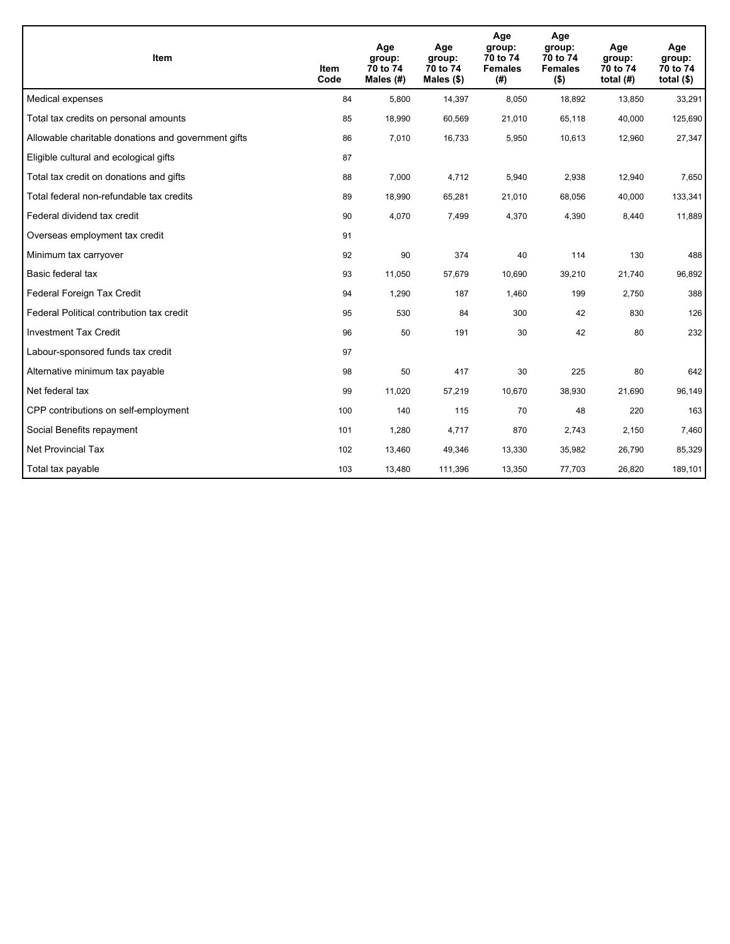| Item                                                | Item<br>Code | Age<br>group:<br>70 to 74<br>Males $(H)$ | Age<br>group:<br>70 to 74<br>Males $(\$)$ | Age<br>group:<br>70 to 74<br><b>Females</b><br>(# ) | Age<br>group:<br>70 to 74<br><b>Females</b><br>$($ \$) | Age<br>group:<br>70 to 74<br>total $(H)$ | Age<br>group:<br>70 to 74<br>total $($)$ |
|-----------------------------------------------------|--------------|------------------------------------------|-------------------------------------------|-----------------------------------------------------|--------------------------------------------------------|------------------------------------------|------------------------------------------|
| Medical expenses                                    | 84           | 5,800                                    | 14,397                                    | 8,050                                               | 18,892                                                 | 13,850                                   | 33,291                                   |
| Total tax credits on personal amounts               | 85           | 18,990                                   | 60,569                                    | 21,010                                              | 65,118                                                 | 40,000                                   | 125,690                                  |
| Allowable charitable donations and government gifts | 86           | 7,010                                    | 16,733                                    | 5,950                                               | 10,613                                                 | 12,960                                   | 27,347                                   |
| Eligible cultural and ecological gifts              | 87           |                                          |                                           |                                                     |                                                        |                                          |                                          |
| Total tax credit on donations and gifts             | 88           | 7,000                                    | 4,712                                     | 5,940                                               | 2,938                                                  | 12,940                                   | 7,650                                    |
| Total federal non-refundable tax credits            | 89           | 18,990                                   | 65,281                                    | 21,010                                              | 68,056                                                 | 40,000                                   | 133,341                                  |
| Federal dividend tax credit                         | 90           | 4,070                                    | 7,499                                     | 4,370                                               | 4,390                                                  | 8,440                                    | 11,889                                   |
| Overseas employment tax credit                      | 91           |                                          |                                           |                                                     |                                                        |                                          |                                          |
| Minimum tax carryover                               | 92           | 90                                       | 374                                       | 40                                                  | 114                                                    | 130                                      | 488                                      |
| Basic federal tax                                   | 93           | 11,050                                   | 57,679                                    | 10,690                                              | 39,210                                                 | 21,740                                   | 96,892                                   |
| Federal Foreign Tax Credit                          | 94           | 1,290                                    | 187                                       | 1,460                                               | 199                                                    | 2,750                                    | 388                                      |
| Federal Political contribution tax credit           | 95           | 530                                      | 84                                        | 300                                                 | 42                                                     | 830                                      | 126                                      |
| <b>Investment Tax Credit</b>                        | 96           | 50                                       | 191                                       | 30                                                  | 42                                                     | 80                                       | 232                                      |
| Labour-sponsored funds tax credit                   | 97           |                                          |                                           |                                                     |                                                        |                                          |                                          |
| Alternative minimum tax payable                     | 98           | 50                                       | 417                                       | 30                                                  | 225                                                    | 80                                       | 642                                      |
| Net federal tax                                     | 99           | 11,020                                   | 57,219                                    | 10,670                                              | 38,930                                                 | 21,690                                   | 96,149                                   |
| CPP contributions on self-employment                | 100          | 140                                      | 115                                       | 70                                                  | 48                                                     | 220                                      | 163                                      |
| Social Benefits repayment                           | 101          | 1,280                                    | 4,717                                     | 870                                                 | 2,743                                                  | 2,150                                    | 7,460                                    |
| Net Provincial Tax                                  | 102          | 13,460                                   | 49,346                                    | 13,330                                              | 35,982                                                 | 26,790                                   | 85,329                                   |
| Total tax payable                                   | 103          | 13,480                                   | 111,396                                   | 13,350                                              | 77,703                                                 | 26,820                                   | 189,101                                  |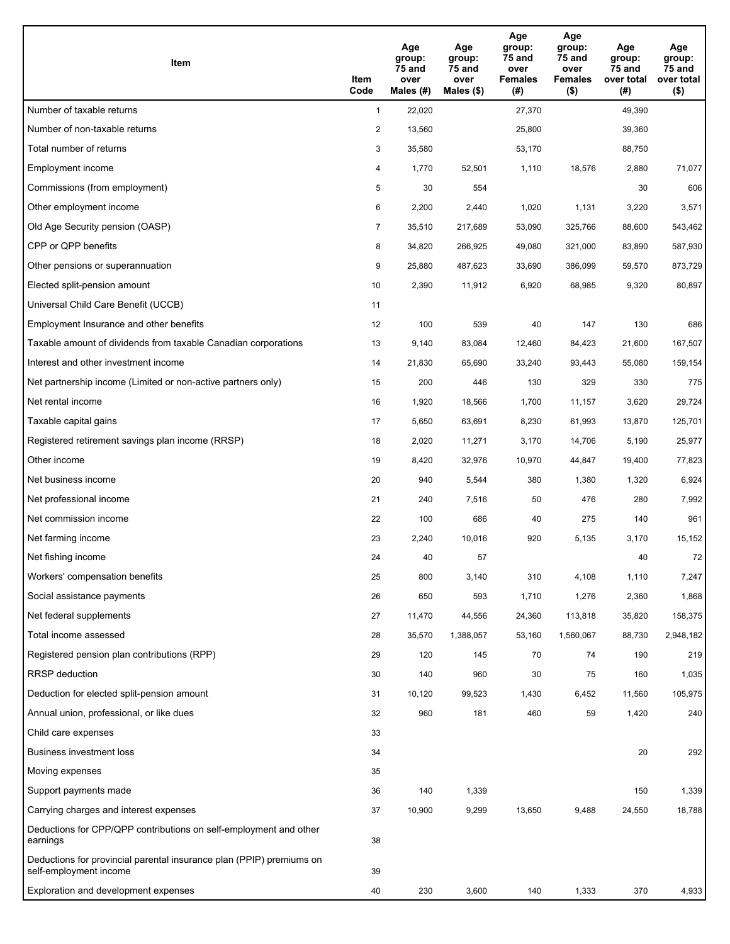| Item                                                                                           | Item<br>Code   | Age<br>group:<br><b>75 and</b><br>over<br>Males (#) | Age<br>group:<br>75 and<br>over<br>Males $(\$)$ | Age<br>group:<br>75 and<br>over<br><b>Females</b><br>(#) | Age<br>group:<br>75 and<br>over<br><b>Females</b><br>$($ \$) | Age<br>group:<br>75 and<br>over total<br>(#) | Age<br>group:<br>75 and<br>over total<br>$($ \$) |
|------------------------------------------------------------------------------------------------|----------------|-----------------------------------------------------|-------------------------------------------------|----------------------------------------------------------|--------------------------------------------------------------|----------------------------------------------|--------------------------------------------------|
| Number of taxable returns                                                                      | $\mathbf{1}$   | 22,020                                              |                                                 | 27,370                                                   |                                                              | 49,390                                       |                                                  |
| Number of non-taxable returns                                                                  | $\overline{2}$ | 13,560                                              |                                                 | 25,800                                                   |                                                              | 39,360                                       |                                                  |
| Total number of returns                                                                        | 3              | 35,580                                              |                                                 | 53,170                                                   |                                                              | 88,750                                       |                                                  |
| Employment income                                                                              | 4              | 1,770                                               | 52,501                                          | 1,110                                                    | 18,576                                                       | 2,880                                        | 71,077                                           |
| Commissions (from employment)                                                                  | 5              | 30                                                  | 554                                             |                                                          |                                                              | 30                                           | 606                                              |
| Other employment income                                                                        | 6              | 2,200                                               | 2,440                                           | 1,020                                                    | 1,131                                                        | 3,220                                        | 3,571                                            |
| Old Age Security pension (OASP)                                                                | $\overline{7}$ | 35,510                                              | 217,689                                         | 53,090                                                   | 325,766                                                      | 88,600                                       | 543,462                                          |
| CPP or QPP benefits                                                                            | 8              | 34,820                                              | 266,925                                         | 49,080                                                   | 321,000                                                      | 83,890                                       | 587,930                                          |
| Other pensions or superannuation                                                               | 9              | 25,880                                              | 487,623                                         | 33,690                                                   | 386,099                                                      | 59,570                                       | 873,729                                          |
| Elected split-pension amount                                                                   | 10             | 2,390                                               | 11,912                                          | 6,920                                                    | 68,985                                                       | 9,320                                        | 80,897                                           |
| Universal Child Care Benefit (UCCB)                                                            | 11             |                                                     |                                                 |                                                          |                                                              |                                              |                                                  |
| Employment Insurance and other benefits                                                        | 12             | 100                                                 | 539                                             | 40                                                       | 147                                                          | 130                                          | 686                                              |
| Taxable amount of dividends from taxable Canadian corporations                                 | 13             | 9,140                                               | 83,084                                          | 12,460                                                   | 84,423                                                       | 21,600                                       | 167,507                                          |
| Interest and other investment income                                                           | 14             | 21,830                                              | 65,690                                          | 33,240                                                   | 93,443                                                       | 55,080                                       | 159,154                                          |
| Net partnership income (Limited or non-active partners only)                                   | 15             | 200                                                 | 446                                             | 130                                                      | 329                                                          | 330                                          | 775                                              |
| Net rental income                                                                              | 16             | 1,920                                               | 18,566                                          | 1,700                                                    | 11,157                                                       | 3,620                                        | 29,724                                           |
| Taxable capital gains                                                                          | 17             | 5,650                                               | 63,691                                          | 8,230                                                    | 61,993                                                       | 13,870                                       | 125,701                                          |
| Registered retirement savings plan income (RRSP)                                               | 18             | 2,020                                               | 11,271                                          | 3,170                                                    | 14,706                                                       | 5,190                                        | 25,977                                           |
| Other income                                                                                   | 19             | 8,420                                               | 32,976                                          | 10,970                                                   | 44,847                                                       | 19,400                                       | 77,823                                           |
| Net business income                                                                            | 20             | 940                                                 | 5,544                                           | 380                                                      | 1,380                                                        | 1,320                                        | 6,924                                            |
| Net professional income                                                                        | 21             | 240                                                 | 7,516                                           | 50                                                       | 476                                                          | 280                                          | 7,992                                            |
| Net commission income                                                                          | 22             | 100                                                 | 686                                             | 40                                                       | 275                                                          | 140                                          | 961                                              |
| Net farming income                                                                             | 23             | 2,240                                               | 10,016                                          | 920                                                      | 5,135                                                        | 3,170                                        | 15,152                                           |
| Net fishing income                                                                             | 24             | 40                                                  | 57                                              |                                                          |                                                              | 40                                           | 72                                               |
| Workers' compensation benefits                                                                 | 25             | 800                                                 | 3,140                                           | 310                                                      | 4,108                                                        | 1,110                                        | 7,247                                            |
| Social assistance payments                                                                     | 26             | 650                                                 | 593                                             | 1,710                                                    | 1,276                                                        | 2,360                                        | 1,868                                            |
| Net federal supplements                                                                        | 27             | 11,470                                              | 44,556                                          | 24,360                                                   | 113,818                                                      | 35,820                                       | 158,375                                          |
| Total income assessed                                                                          | 28             | 35,570                                              | 1,388,057                                       | 53,160                                                   | 1,560,067                                                    | 88,730                                       | 2,948,182                                        |
| Registered pension plan contributions (RPP)                                                    | 29             | 120                                                 | 145                                             | 70                                                       | 74                                                           | 190                                          | 219                                              |
| <b>RRSP</b> deduction                                                                          | 30             | 140                                                 | 960                                             | 30                                                       | 75                                                           | 160                                          | 1,035                                            |
| Deduction for elected split-pension amount                                                     | 31             | 10,120                                              | 99,523                                          | 1,430                                                    | 6,452                                                        | 11,560                                       | 105,975                                          |
| Annual union, professional, or like dues                                                       | 32             | 960                                                 | 181                                             | 460                                                      | 59                                                           | 1,420                                        | 240                                              |
| Child care expenses                                                                            | 33             |                                                     |                                                 |                                                          |                                                              |                                              |                                                  |
| <b>Business investment loss</b>                                                                | 34             |                                                     |                                                 |                                                          |                                                              | 20                                           | 292                                              |
| Moving expenses                                                                                | 35             |                                                     |                                                 |                                                          |                                                              |                                              |                                                  |
| Support payments made                                                                          | 36             | 140                                                 | 1,339                                           |                                                          |                                                              | 150                                          | 1,339                                            |
| Carrying charges and interest expenses                                                         | 37             | 10,900                                              | 9,299                                           | 13,650                                                   | 9,488                                                        | 24,550                                       | 18,788                                           |
| Deductions for CPP/QPP contributions on self-employment and other<br>earnings                  | 38             |                                                     |                                                 |                                                          |                                                              |                                              |                                                  |
| Deductions for provincial parental insurance plan (PPIP) premiums on<br>self-employment income | 39             |                                                     |                                                 |                                                          |                                                              |                                              |                                                  |
| Exploration and development expenses                                                           | 40             | 230                                                 | 3,600                                           | 140                                                      | 1,333                                                        | 370                                          | 4,933                                            |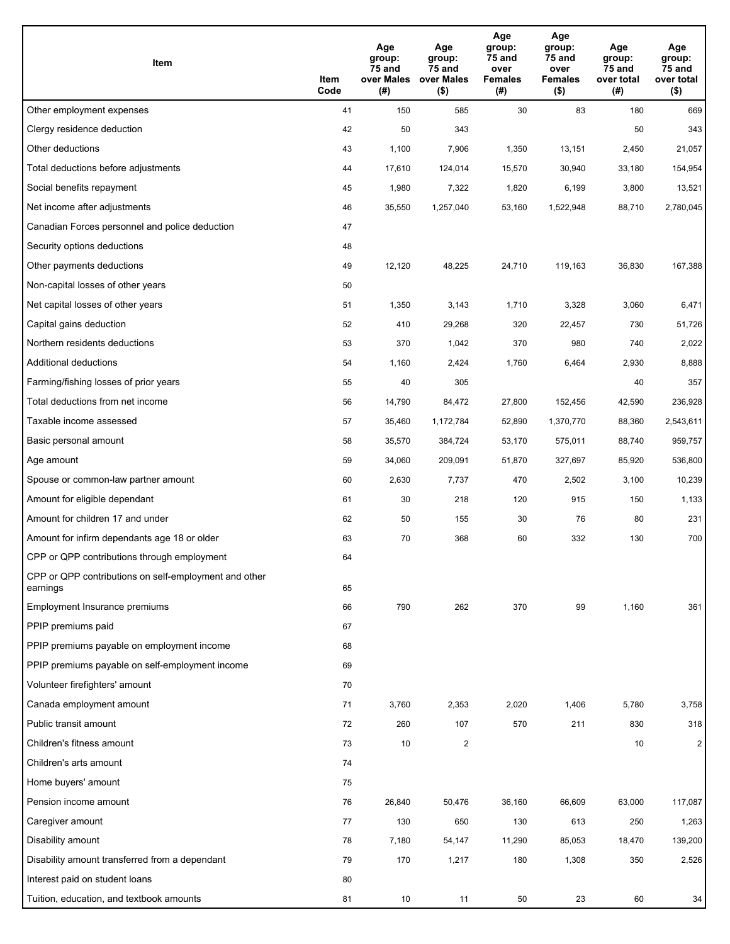| Item                                                              | Item<br>Code | Age<br>group:<br>75 and<br>over Males<br>(# ) | Age<br>group:<br>75 and<br>over Males<br>$($ \$) | Age<br>group:<br>75 and<br>over<br><b>Females</b><br>(# ) | Age<br>group:<br>75 and<br>over<br><b>Females</b><br>$($ \$) | Age<br>group:<br>75 and<br>over total<br>(#) | Age<br>group:<br>75 and<br>over total<br>$($ \$) |
|-------------------------------------------------------------------|--------------|-----------------------------------------------|--------------------------------------------------|-----------------------------------------------------------|--------------------------------------------------------------|----------------------------------------------|--------------------------------------------------|
| Other employment expenses                                         | 41           | 150                                           | 585                                              | 30                                                        | 83                                                           | 180                                          | 669                                              |
| Clergy residence deduction                                        | 42           | 50                                            | 343                                              |                                                           |                                                              | 50                                           | 343                                              |
| Other deductions                                                  | 43           | 1,100                                         | 7,906                                            | 1,350                                                     | 13,151                                                       | 2,450                                        | 21,057                                           |
| Total deductions before adjustments                               | 44           | 17,610                                        | 124,014                                          | 15,570                                                    | 30,940                                                       | 33,180                                       | 154,954                                          |
| Social benefits repayment                                         | 45           | 1,980                                         | 7,322                                            | 1,820                                                     | 6,199                                                        | 3,800                                        | 13,521                                           |
| Net income after adjustments                                      | 46           | 35,550                                        | 1,257,040                                        | 53,160                                                    | 1,522,948                                                    | 88,710                                       | 2,780,045                                        |
| Canadian Forces personnel and police deduction                    | 47           |                                               |                                                  |                                                           |                                                              |                                              |                                                  |
| Security options deductions                                       | 48           |                                               |                                                  |                                                           |                                                              |                                              |                                                  |
| Other payments deductions                                         | 49           | 12,120                                        | 48,225                                           | 24,710                                                    | 119,163                                                      | 36,830                                       | 167,388                                          |
| Non-capital losses of other years                                 | 50           |                                               |                                                  |                                                           |                                                              |                                              |                                                  |
| Net capital losses of other years                                 | 51           | 1,350                                         | 3,143                                            | 1,710                                                     | 3,328                                                        | 3,060                                        | 6,471                                            |
| Capital gains deduction                                           | 52           | 410                                           | 29,268                                           | 320                                                       | 22,457                                                       | 730                                          | 51,726                                           |
| Northern residents deductions                                     | 53           | 370                                           | 1,042                                            | 370                                                       | 980                                                          | 740                                          | 2,022                                            |
| Additional deductions                                             | 54           | 1,160                                         | 2,424                                            | 1,760                                                     | 6,464                                                        | 2,930                                        | 8,888                                            |
| Farming/fishing losses of prior years                             | 55           | 40                                            | 305                                              |                                                           |                                                              | 40                                           | 357                                              |
| Total deductions from net income                                  | 56           | 14,790                                        | 84,472                                           | 27,800                                                    | 152,456                                                      | 42,590                                       | 236,928                                          |
| Taxable income assessed                                           | 57           | 35,460                                        | 1,172,784                                        | 52,890                                                    | 1,370,770                                                    | 88,360                                       | 2,543,611                                        |
| Basic personal amount                                             | 58           | 35,570                                        | 384,724                                          | 53,170                                                    | 575,011                                                      | 88,740                                       | 959,757                                          |
| Age amount                                                        | 59           | 34,060                                        | 209,091                                          | 51,870                                                    | 327,697                                                      | 85,920                                       | 536,800                                          |
| Spouse or common-law partner amount                               | 60           | 2,630                                         | 7,737                                            | 470                                                       | 2,502                                                        | 3,100                                        | 10,239                                           |
| Amount for eligible dependant                                     | 61           | 30                                            | 218                                              | 120                                                       | 915                                                          | 150                                          | 1,133                                            |
| Amount for children 17 and under                                  | 62           | 50                                            | 155                                              | 30                                                        | 76                                                           | 80                                           | 231                                              |
| Amount for infirm dependants age 18 or older                      | 63           | 70                                            | 368                                              | 60                                                        | 332                                                          | 130                                          | 700                                              |
| CPP or QPP contributions through employment                       | 64           |                                               |                                                  |                                                           |                                                              |                                              |                                                  |
| CPP or QPP contributions on self-employment and other<br>earnings | 65           |                                               |                                                  |                                                           |                                                              |                                              |                                                  |
| Employment Insurance premiums                                     | 66           | 790                                           | 262                                              | 370                                                       | 99                                                           | 1,160                                        | 361                                              |
| PPIP premiums paid                                                | 67           |                                               |                                                  |                                                           |                                                              |                                              |                                                  |
| PPIP premiums payable on employment income                        | 68           |                                               |                                                  |                                                           |                                                              |                                              |                                                  |
| PPIP premiums payable on self-employment income                   | 69           |                                               |                                                  |                                                           |                                                              |                                              |                                                  |
| Volunteer firefighters' amount                                    | 70           |                                               |                                                  |                                                           |                                                              |                                              |                                                  |
| Canada employment amount                                          | 71           | 3,760                                         | 2,353                                            | 2,020                                                     | 1,406                                                        | 5,780                                        | 3,758                                            |
| Public transit amount                                             | 72           | 260                                           | 107                                              | 570                                                       | 211                                                          | 830                                          | 318                                              |
| Children's fitness amount                                         | 73           | 10                                            | $\overline{2}$                                   |                                                           |                                                              | 10                                           | $\overline{2}$                                   |
| Children's arts amount                                            | 74           |                                               |                                                  |                                                           |                                                              |                                              |                                                  |
| Home buyers' amount                                               | 75           |                                               |                                                  |                                                           |                                                              |                                              |                                                  |
| Pension income amount                                             | 76           | 26,840                                        | 50,476                                           | 36,160                                                    | 66,609                                                       | 63,000                                       | 117,087                                          |
| Caregiver amount                                                  | 77           | 130                                           | 650                                              | 130                                                       | 613                                                          | 250                                          | 1,263                                            |
| Disability amount                                                 | 78           | 7,180                                         | 54,147                                           | 11,290                                                    | 85,053                                                       | 18,470                                       | 139,200                                          |
| Disability amount transferred from a dependant                    | 79           | 170                                           | 1,217                                            | 180                                                       | 1,308                                                        | 350                                          | 2,526                                            |
| Interest paid on student loans                                    | 80           |                                               |                                                  |                                                           |                                                              |                                              |                                                  |
| Tuition, education, and textbook amounts                          | 81           | 10                                            | 11                                               | 50                                                        | 23                                                           | 60                                           | 34                                               |